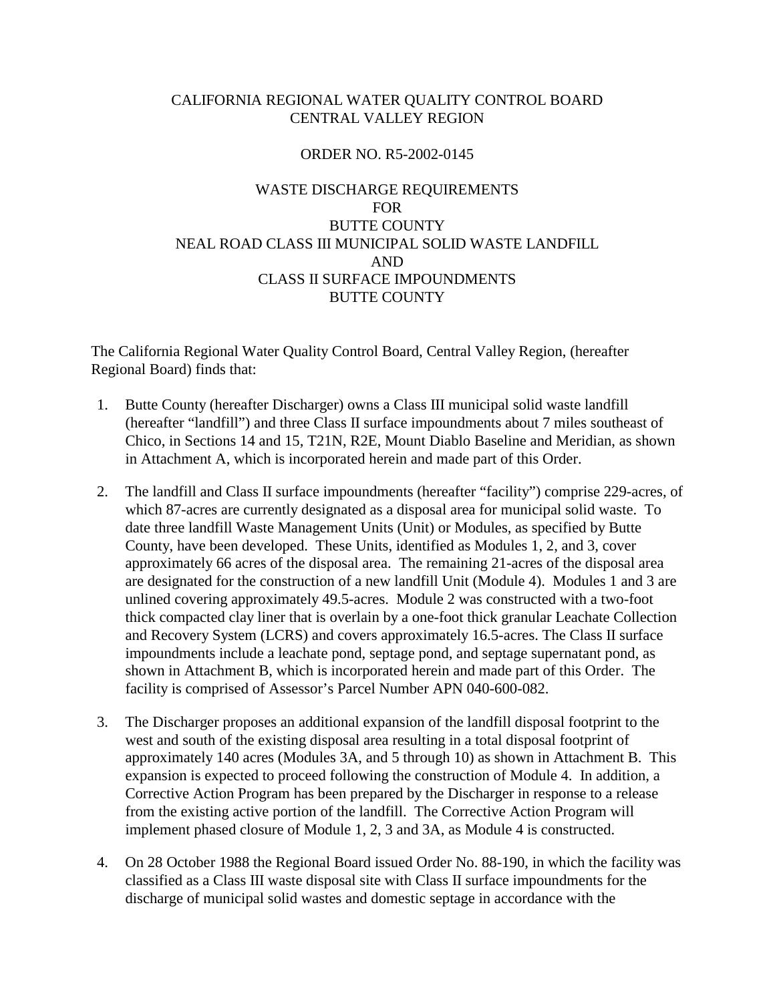## CALIFORNIA REGIONAL WATER QUALITY CONTROL BOARD CENTRAL VALLEY REGION

## ORDER NO. R5-2002-0145

# WASTE DISCHARGE REQUIREMENTS FOR BUTTE COUNTY NEAL ROAD CLASS III MUNICIPAL SOLID WASTE LANDFILL AND CLASS II SURFACE IMPOUNDMENTS BUTTE COUNTY

The California Regional Water Quality Control Board, Central Valley Region, (hereafter Regional Board) finds that:

- 1. Butte County (hereafter Discharger) owns a Class III municipal solid waste landfill (hereafter "landfill") and three Class II surface impoundments about 7 miles southeast of Chico, in Sections 14 and 15, T21N, R2E, Mount Diablo Baseline and Meridian, as shown in Attachment A, which is incorporated herein and made part of this Order.
- 2. The landfill and Class II surface impoundments (hereafter "facility") comprise 229-acres, of which 87-acres are currently designated as a disposal area for municipal solid waste. To date three landfill Waste Management Units (Unit) or Modules, as specified by Butte County, have been developed. These Units, identified as Modules 1, 2, and 3, cover approximately 66 acres of the disposal area. The remaining 21-acres of the disposal area are designated for the construction of a new landfill Unit (Module 4). Modules 1 and 3 are unlined covering approximately 49.5-acres. Module 2 was constructed with a two-foot thick compacted clay liner that is overlain by a one-foot thick granular Leachate Collection and Recovery System (LCRS) and covers approximately 16.5-acres. The Class II surface impoundments include a leachate pond, septage pond, and septage supernatant pond, as shown in Attachment B, which is incorporated herein and made part of this Order. The facility is comprised of Assessor's Parcel Number APN 040-600-082.
- 3. The Discharger proposes an additional expansion of the landfill disposal footprint to the west and south of the existing disposal area resulting in a total disposal footprint of approximately 140 acres (Modules 3A, and 5 through 10) as shown in Attachment B. This expansion is expected to proceed following the construction of Module 4. In addition, a Corrective Action Program has been prepared by the Discharger in response to a release from the existing active portion of the landfill. The Corrective Action Program will implement phased closure of Module 1, 2, 3 and 3A, as Module 4 is constructed.
- 4. On 28 October 1988 the Regional Board issued Order No. 88-190, in which the facility was classified as a Class III waste disposal site with Class II surface impoundments for the discharge of municipal solid wastes and domestic septage in accordance with the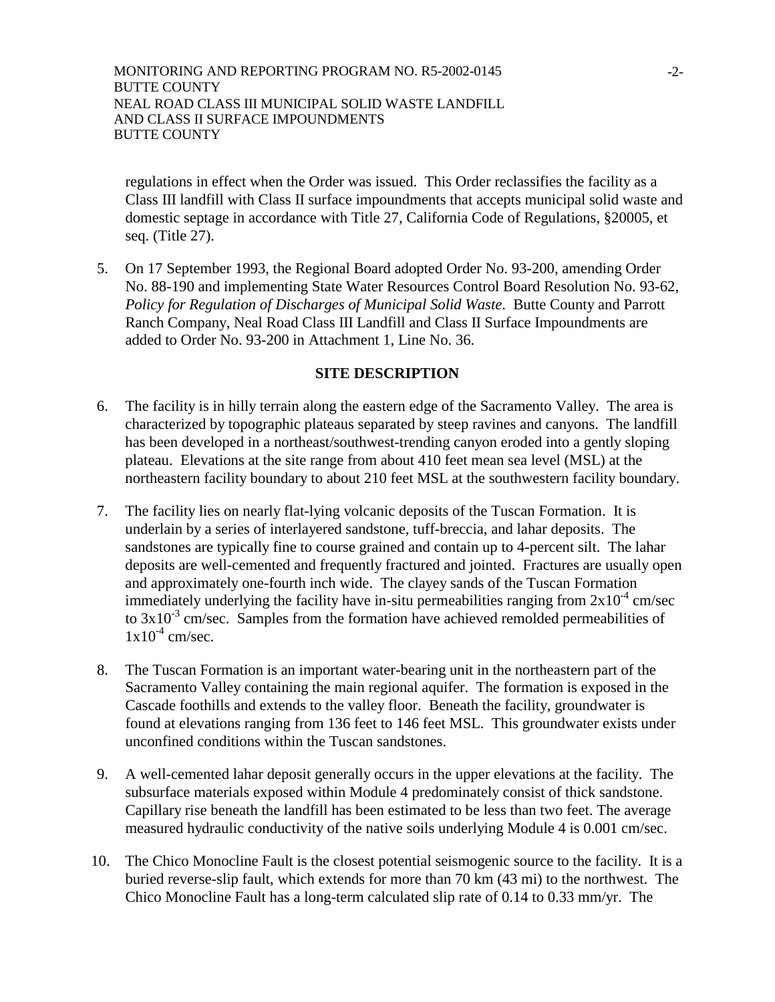regulations in effect when the Order was issued. This Order reclassifies the facility as a Class III landfill with Class II surface impoundments that accepts municipal solid waste and domestic septage in accordance with Title 27, California Code of Regulations, §20005, et seq. (Title 27).

5. On 17 September 1993, the Regional Board adopted Order No. 93-200, amending Order No. 88-190 and implementing State Water Resources Control Board Resolution No. 93-62, *Policy for Regulation of Discharges of Municipal Solid Waste*. Butte County and Parrott Ranch Company, Neal Road Class III Landfill and Class II Surface Impoundments are added to Order No. 93-200 in Attachment 1, Line No. 36.

## **SITE DESCRIPTION**

- 6. The facility is in hilly terrain along the eastern edge of the Sacramento Valley. The area is characterized by topographic plateaus separated by steep ravines and canyons. The landfill has been developed in a northeast/southwest-trending canyon eroded into a gently sloping plateau. Elevations at the site range from about 410 feet mean sea level (MSL) at the northeastern facility boundary to about 210 feet MSL at the southwestern facility boundary.
- 7. The facility lies on nearly flat-lying volcanic deposits of the Tuscan Formation. It is underlain by a series of interlayered sandstone, tuff-breccia, and lahar deposits. The sandstones are typically fine to course grained and contain up to 4-percent silt. The lahar deposits are well-cemented and frequently fractured and jointed. Fractures are usually open and approximately one-fourth inch wide. The clayey sands of the Tuscan Formation immediately underlying the facility have in-situ permeabilities ranging from  $2x10^{-4}$  cm/sec to  $3x10^{-3}$  cm/sec. Samples from the formation have achieved remolded permeabilities of  $1x10^{-4}$  cm/sec.
- 8. The Tuscan Formation is an important water-bearing unit in the northeastern part of the Sacramento Valley containing the main regional aquifer. The formation is exposed in the Cascade foothills and extends to the valley floor. Beneath the facility, groundwater is found at elevations ranging from 136 feet to 146 feet MSL. This groundwater exists under unconfined conditions within the Tuscan sandstones.
- 9. A well-cemented lahar deposit generally occurs in the upper elevations at the facility. The subsurface materials exposed within Module 4 predominately consist of thick sandstone. Capillary rise beneath the landfill has been estimated to be less than two feet. The average measured hydraulic conductivity of the native soils underlying Module 4 is 0.001 cm/sec.
- 10. The Chico Monocline Fault is the closest potential seismogenic source to the facility. It is a buried reverse-slip fault, which extends for more than 70 km (43 mi) to the northwest. The Chico Monocline Fault has a long-term calculated slip rate of 0.14 to 0.33 mm/yr. The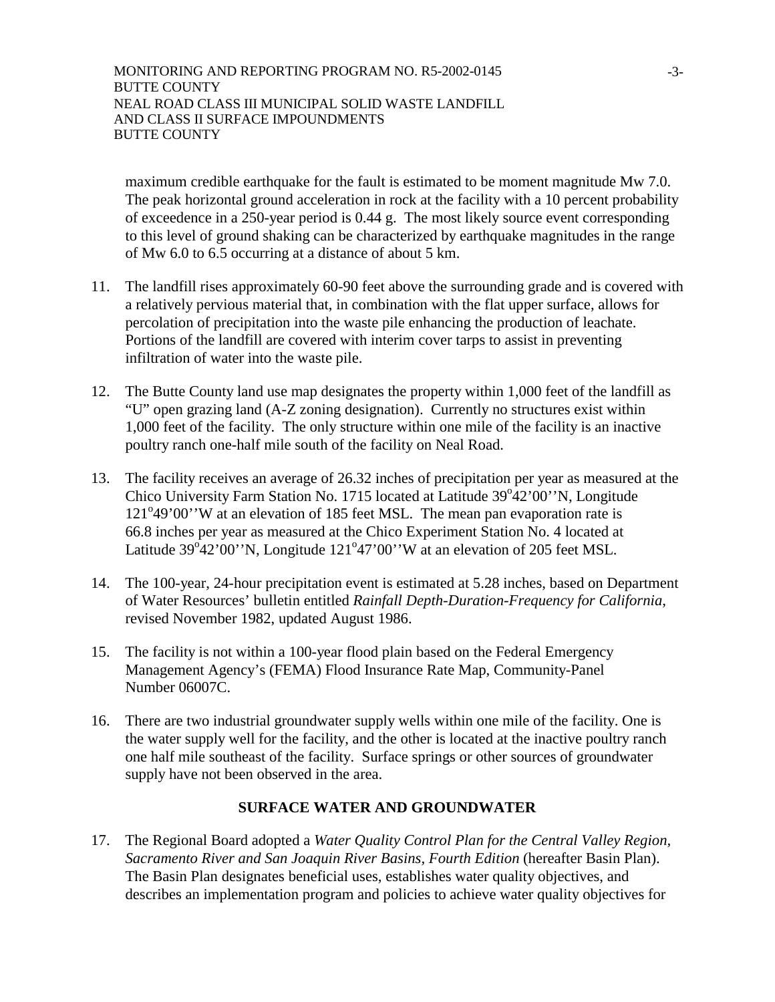maximum credible earthquake for the fault is estimated to be moment magnitude Mw 7.0. The peak horizontal ground acceleration in rock at the facility with a 10 percent probability of exceedence in a 250-year period is 0.44 g. The most likely source event corresponding to this level of ground shaking can be characterized by earthquake magnitudes in the range of Mw 6.0 to 6.5 occurring at a distance of about 5 km.

- 11. The landfill rises approximately 60-90 feet above the surrounding grade and is covered with a relatively pervious material that, in combination with the flat upper surface, allows for percolation of precipitation into the waste pile enhancing the production of leachate. Portions of the landfill are covered with interim cover tarps to assist in preventing infiltration of water into the waste pile.
- 12. The Butte County land use map designates the property within 1,000 feet of the landfill as "U" open grazing land (A-Z zoning designation). Currently no structures exist within 1,000 feet of the facility. The only structure within one mile of the facility is an inactive poultry ranch one-half mile south of the facility on Neal Road.
- 13. The facility receives an average of 26.32 inches of precipitation per year as measured at the Chico University Farm Station No. 1715 located at Latitude 39°42'00"N, Longitude 121°49'00''W at an elevation of 185 feet MSL. The mean pan evaporation rate is 66.8 inches per year as measured at the Chico Experiment Station No. 4 located at Latitude  $39^{\circ}42'00''$ N, Longitude  $121^{\circ}47'00''$  W at an elevation of 205 feet MSL.
- 14. The 100-year, 24-hour precipitation event is estimated at 5.28 inches, based on Department of Water Resources' bulletin entitled *Rainfall Depth-Duration-Frequency for California*, revised November 1982, updated August 1986.
- 15. The facility is not within a 100-year flood plain based on the Federal Emergency Management Agency's (FEMA) Flood Insurance Rate Map, Community-Panel Number 06007C.
- 16. There are two industrial groundwater supply wells within one mile of the facility. One is the water supply well for the facility, and the other is located at the inactive poultry ranch one half mile southeast of the facility. Surface springs or other sources of groundwater supply have not been observed in the area.

# **SURFACE WATER AND GROUNDWATER**

17. The Regional Board adopted a *Water Quality Control Plan for the Central Valley Region, Sacramento River and San Joaquin River Basins, Fourth Edition* (hereafter Basin Plan). The Basin Plan designates beneficial uses, establishes water quality objectives, and describes an implementation program and policies to achieve water quality objectives for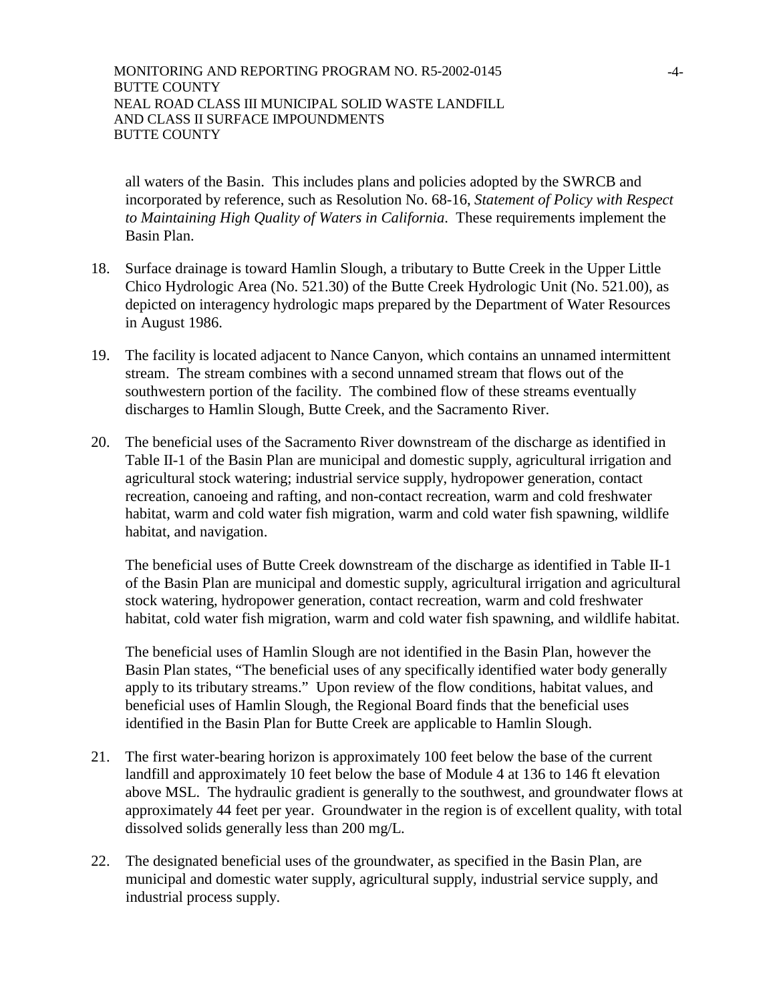all waters of the Basin. This includes plans and policies adopted by the SWRCB and incorporated by reference, such as Resolution No. 68-16, *Statement of Policy with Respect to Maintaining High Quality of Waters in California*. These requirements implement the Basin Plan.

- 18. Surface drainage is toward Hamlin Slough, a tributary to Butte Creek in the Upper Little Chico Hydrologic Area (No. 521.30) of the Butte Creek Hydrologic Unit (No. 521.00), as depicted on interagency hydrologic maps prepared by the Department of Water Resources in August 1986.
- 19. The facility is located adjacent to Nance Canyon, which contains an unnamed intermittent stream. The stream combines with a second unnamed stream that flows out of the southwestern portion of the facility. The combined flow of these streams eventually discharges to Hamlin Slough, Butte Creek, and the Sacramento River.
- 20. The beneficial uses of the Sacramento River downstream of the discharge as identified in Table II-1 of the Basin Plan are municipal and domestic supply, agricultural irrigation and agricultural stock watering; industrial service supply, hydropower generation, contact recreation, canoeing and rafting, and non-contact recreation, warm and cold freshwater habitat, warm and cold water fish migration, warm and cold water fish spawning, wildlife habitat, and navigation.

The beneficial uses of Butte Creek downstream of the discharge as identified in Table II-1 of the Basin Plan are municipal and domestic supply, agricultural irrigation and agricultural stock watering, hydropower generation, contact recreation, warm and cold freshwater habitat, cold water fish migration, warm and cold water fish spawning, and wildlife habitat.

The beneficial uses of Hamlin Slough are not identified in the Basin Plan, however the Basin Plan states, "The beneficial uses of any specifically identified water body generally apply to its tributary streams." Upon review of the flow conditions, habitat values, and beneficial uses of Hamlin Slough, the Regional Board finds that the beneficial uses identified in the Basin Plan for Butte Creek are applicable to Hamlin Slough.

- 21. The first water-bearing horizon is approximately 100 feet below the base of the current landfill and approximately 10 feet below the base of Module 4 at 136 to 146 ft elevation above MSL. The hydraulic gradient is generally to the southwest, and groundwater flows at approximately 44 feet per year. Groundwater in the region is of excellent quality, with total dissolved solids generally less than 200 mg/L.
- 22. The designated beneficial uses of the groundwater, as specified in the Basin Plan, are municipal and domestic water supply, agricultural supply, industrial service supply, and industrial process supply.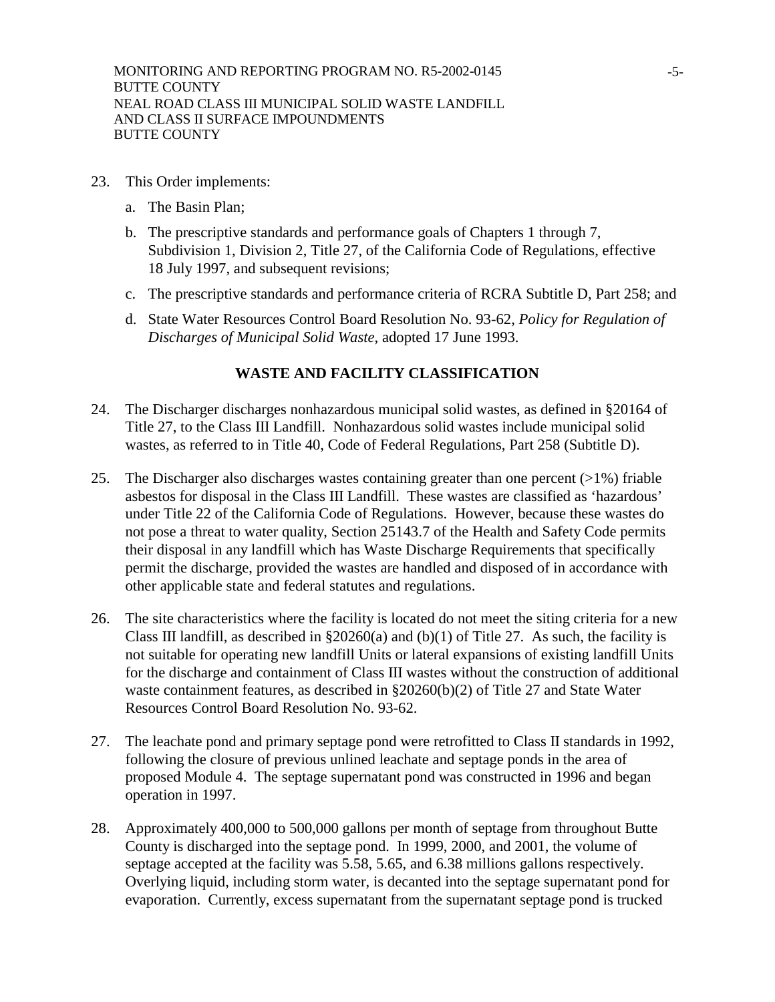- 23. This Order implements:
	- a. The Basin Plan;
	- b. The prescriptive standards and performance goals of Chapters 1 through 7, Subdivision 1, Division 2, Title 27, of the California Code of Regulations, effective 18 July 1997, and subsequent revisions;
	- c. The prescriptive standards and performance criteria of RCRA Subtitle D, Part 258; and
	- d. State Water Resources Control Board Resolution No. 93-62, *Policy for Regulation of Discharges of Municipal Solid Waste*, adopted 17 June 1993.

## **WASTE AND FACILITY CLASSIFICATION**

- 24. The Discharger discharges nonhazardous municipal solid wastes, as defined in §20164 of Title 27, to the Class III Landfill. Nonhazardous solid wastes include municipal solid wastes, as referred to in Title 40, Code of Federal Regulations, Part 258 (Subtitle D).
- 25. The Discharger also discharges wastes containing greater than one percent (>1%) friable asbestos for disposal in the Class III Landfill. These wastes are classified as 'hazardous' under Title 22 of the California Code of Regulations. However, because these wastes do not pose a threat to water quality, Section 25143.7 of the Health and Safety Code permits their disposal in any landfill which has Waste Discharge Requirements that specifically permit the discharge, provided the wastes are handled and disposed of in accordance with other applicable state and federal statutes and regulations.
- 26. The site characteristics where the facility is located do not meet the siting criteria for a new Class III landfill, as described in  $\S20260(a)$  and (b)(1) of Title 27. As such, the facility is not suitable for operating new landfill Units or lateral expansions of existing landfill Units for the discharge and containment of Class III wastes without the construction of additional waste containment features, as described in §20260(b)(2) of Title 27 and State Water Resources Control Board Resolution No. 93-62.
- 27. The leachate pond and primary septage pond were retrofitted to Class II standards in 1992, following the closure of previous unlined leachate and septage ponds in the area of proposed Module 4. The septage supernatant pond was constructed in 1996 and began operation in 1997.
- 28. Approximately 400,000 to 500,000 gallons per month of septage from throughout Butte County is discharged into the septage pond. In 1999, 2000, and 2001, the volume of septage accepted at the facility was 5.58, 5.65, and 6.38 millions gallons respectively. Overlying liquid, including storm water, is decanted into the septage supernatant pond for evaporation. Currently, excess supernatant from the supernatant septage pond is trucked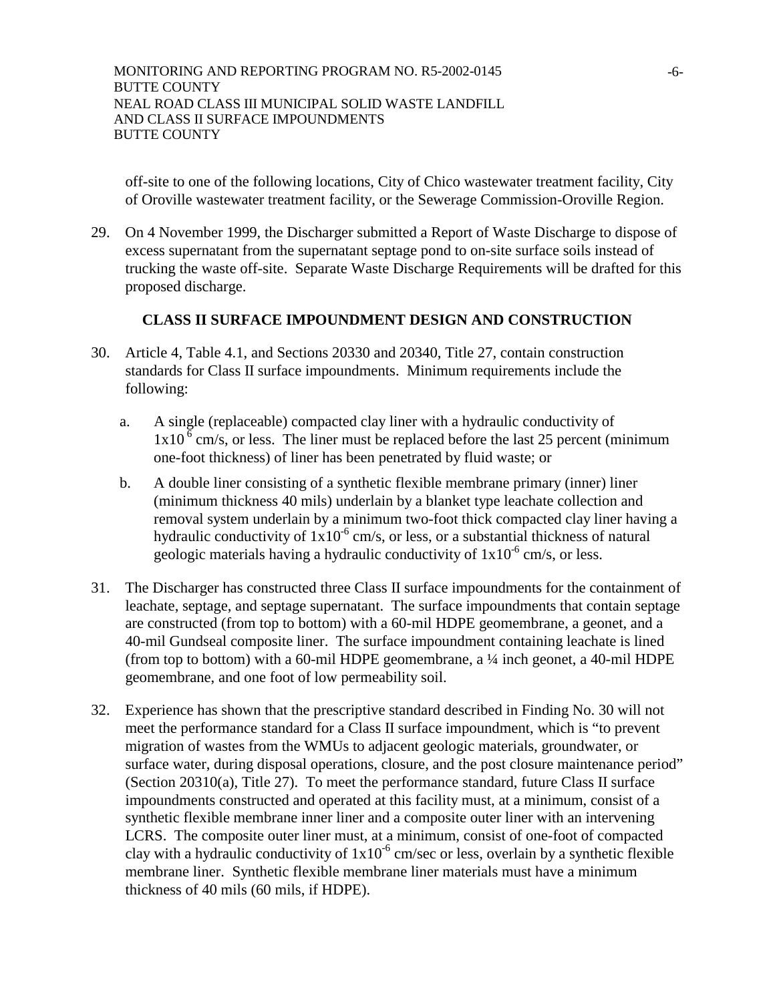off-site to one of the following locations, City of Chico wastewater treatment facility, City of Oroville wastewater treatment facility, or the Sewerage Commission-Oroville Region.

29. On 4 November 1999, the Discharger submitted a Report of Waste Discharge to dispose of excess supernatant from the supernatant septage pond to on-site surface soils instead of trucking the waste off-site. Separate Waste Discharge Requirements will be drafted for this proposed discharge.

## **CLASS II SURFACE IMPOUNDMENT DESIGN AND CONSTRUCTION**

- 30. Article 4, Table 4.1, and Sections 20330 and 20340, Title 27, contain construction standards for Class II surface impoundments. Minimum requirements include the following:
	- a. A single (replaceable) compacted clay liner with a hydraulic conductivity of  $1x10^{\overline{6}}$  cm/s, or less. The liner must be replaced before the last 25 percent (minimum one-foot thickness) of liner has been penetrated by fluid waste; or
	- b. A double liner consisting of a synthetic flexible membrane primary (inner) liner (minimum thickness 40 mils) underlain by a blanket type leachate collection and removal system underlain by a minimum two-foot thick compacted clay liner having a hydraulic conductivity of  $1x10^{-6}$  cm/s, or less, or a substantial thickness of natural geologic materials having a hydraulic conductivity of  $1x10^{-6}$  cm/s, or less.
- 31. The Discharger has constructed three Class II surface impoundments for the containment of leachate, septage, and septage supernatant. The surface impoundments that contain septage are constructed (from top to bottom) with a 60-mil HDPE geomembrane, a geonet, and a 40-mil Gundseal composite liner. The surface impoundment containing leachate is lined (from top to bottom) with a 60-mil HDPE geomembrane, a ¼ inch geonet, a 40-mil HDPE geomembrane, and one foot of low permeability soil.
- 32. Experience has shown that the prescriptive standard described in Finding No. 30 will not meet the performance standard for a Class II surface impoundment, which is "to prevent migration of wastes from the WMUs to adjacent geologic materials, groundwater, or surface water, during disposal operations, closure, and the post closure maintenance period" (Section 20310(a), Title 27). To meet the performance standard, future Class II surface impoundments constructed and operated at this facility must, at a minimum, consist of a synthetic flexible membrane inner liner and a composite outer liner with an intervening LCRS. The composite outer liner must, at a minimum, consist of one-foot of compacted clay with a hydraulic conductivity of  $1x10^{-6}$  cm/sec or less, overlain by a synthetic flexible membrane liner. Synthetic flexible membrane liner materials must have a minimum thickness of 40 mils (60 mils, if HDPE).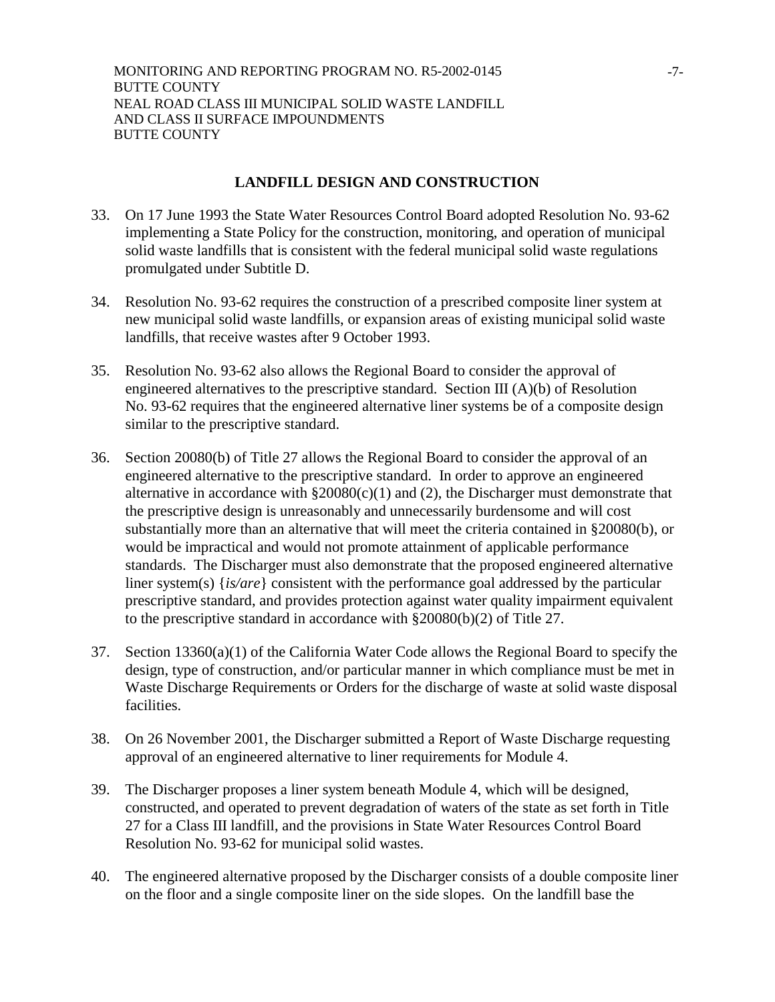## **LANDFILL DESIGN AND CONSTRUCTION**

- 33. On 17 June 1993 the State Water Resources Control Board adopted Resolution No. 93-62 implementing a State Policy for the construction, monitoring, and operation of municipal solid waste landfills that is consistent with the federal municipal solid waste regulations promulgated under Subtitle D.
- 34. Resolution No. 93-62 requires the construction of a prescribed composite liner system at new municipal solid waste landfills, or expansion areas of existing municipal solid waste landfills, that receive wastes after 9 October 1993.
- 35. Resolution No. 93-62 also allows the Regional Board to consider the approval of engineered alternatives to the prescriptive standard. Section III (A)(b) of Resolution No. 93-62 requires that the engineered alternative liner systems be of a composite design similar to the prescriptive standard.
- 36. Section 20080(b) of Title 27 allows the Regional Board to consider the approval of an engineered alternative to the prescriptive standard. In order to approve an engineered alternative in accordance with  $\S 20080(c)(1)$  and (2), the Discharger must demonstrate that the prescriptive design is unreasonably and unnecessarily burdensome and will cost substantially more than an alternative that will meet the criteria contained in §20080(b), or would be impractical and would not promote attainment of applicable performance standards. The Discharger must also demonstrate that the proposed engineered alternative liner system(s) {*is/are*} consistent with the performance goal addressed by the particular prescriptive standard, and provides protection against water quality impairment equivalent to the prescriptive standard in accordance with §20080(b)(2) of Title 27.
- 37. Section 13360(a)(1) of the California Water Code allows the Regional Board to specify the design, type of construction, and/or particular manner in which compliance must be met in Waste Discharge Requirements or Orders for the discharge of waste at solid waste disposal facilities.
- 38. On 26 November 2001, the Discharger submitted a Report of Waste Discharge requesting approval of an engineered alternative to liner requirements for Module 4.
- 39. The Discharger proposes a liner system beneath Module 4, which will be designed, constructed, and operated to prevent degradation of waters of the state as set forth in Title 27 for a Class III landfill, and the provisions in State Water Resources Control Board Resolution No. 93-62 for municipal solid wastes.
- 40. The engineered alternative proposed by the Discharger consists of a double composite liner on the floor and a single composite liner on the side slopes. On the landfill base the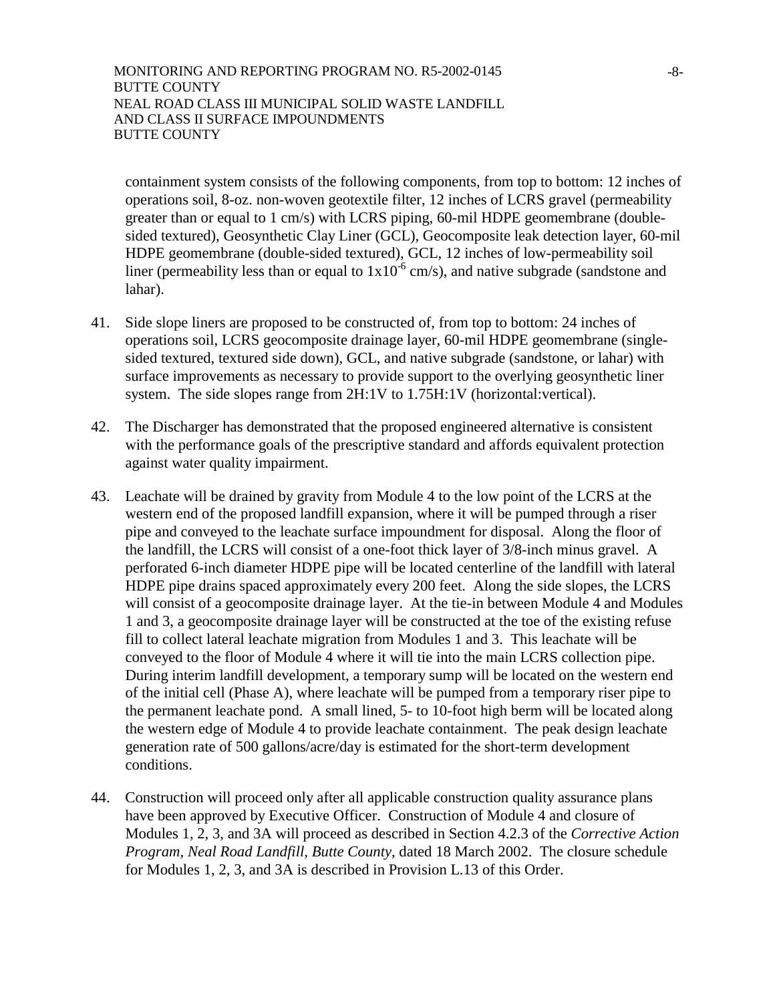containment system consists of the following components, from top to bottom: 12 inches of operations soil, 8-oz. non-woven geotextile filter, 12 inches of LCRS gravel (permeability greater than or equal to 1 cm/s) with LCRS piping, 60-mil HDPE geomembrane (doublesided textured), Geosynthetic Clay Liner (GCL), Geocomposite leak detection layer, 60-mil HDPE geomembrane (double-sided textured), GCL, 12 inches of low-permeability soil liner (permeability less than or equal to  $1x10^{-6}$  cm/s), and native subgrade (sandstone and lahar).

- 41. Side slope liners are proposed to be constructed of, from top to bottom: 24 inches of operations soil, LCRS geocomposite drainage layer, 60-mil HDPE geomembrane (singlesided textured, textured side down), GCL, and native subgrade (sandstone, or lahar) with surface improvements as necessary to provide support to the overlying geosynthetic liner system. The side slopes range from 2H:1V to 1.75H:1V (horizontal:vertical).
- 42. The Discharger has demonstrated that the proposed engineered alternative is consistent with the performance goals of the prescriptive standard and affords equivalent protection against water quality impairment.
- 43. Leachate will be drained by gravity from Module 4 to the low point of the LCRS at the western end of the proposed landfill expansion, where it will be pumped through a riser pipe and conveyed to the leachate surface impoundment for disposal. Along the floor of the landfill, the LCRS will consist of a one-foot thick layer of 3/8-inch minus gravel. A perforated 6-inch diameter HDPE pipe will be located centerline of the landfill with lateral HDPE pipe drains spaced approximately every 200 feet. Along the side slopes, the LCRS will consist of a geocomposite drainage layer. At the tie-in between Module 4 and Modules 1 and 3, a geocomposite drainage layer will be constructed at the toe of the existing refuse fill to collect lateral leachate migration from Modules 1 and 3. This leachate will be conveyed to the floor of Module 4 where it will tie into the main LCRS collection pipe. During interim landfill development, a temporary sump will be located on the western end of the initial cell (Phase A), where leachate will be pumped from a temporary riser pipe to the permanent leachate pond. A small lined, 5- to 10-foot high berm will be located along the western edge of Module 4 to provide leachate containment. The peak design leachate generation rate of 500 gallons/acre/day is estimated for the short-term development conditions.
- 44. Construction will proceed only after all applicable construction quality assurance plans have been approved by Executive Officer. Construction of Module 4 and closure of Modules 1, 2, 3, and 3A will proceed as described in Section 4.2.3 of the *Corrective Action Program, Neal Road Landfill, Butte County*, dated 18 March 2002. The closure schedule for Modules 1, 2, 3, and 3A is described in Provision L.13 of this Order.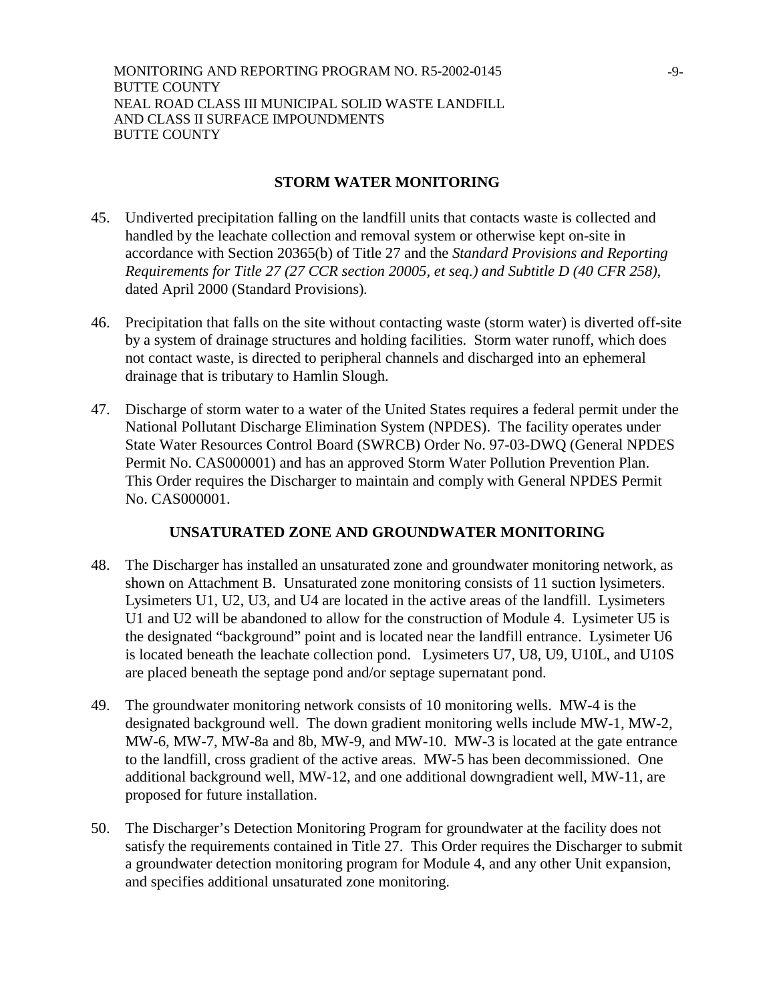### **STORM WATER MONITORING**

- 45. Undiverted precipitation falling on the landfill units that contacts waste is collected and handled by the leachate collection and removal system or otherwise kept on-site in accordance with Section 20365(b) of Title 27 and the *Standard Provisions and Reporting Requirements for Title 27 (27 CCR section 20005, et seq.) and Subtitle D (40 CFR 258)*, dated April 2000 (Standard Provisions)*.*
- 46. Precipitation that falls on the site without contacting waste (storm water) is diverted off-site by a system of drainage structures and holding facilities. Storm water runoff, which does not contact waste, is directed to peripheral channels and discharged into an ephemeral drainage that is tributary to Hamlin Slough.
- 47. Discharge of storm water to a water of the United States requires a federal permit under the National Pollutant Discharge Elimination System (NPDES). The facility operates under State Water Resources Control Board (SWRCB) Order No. 97-03-DWQ (General NPDES Permit No. CAS000001) and has an approved Storm Water Pollution Prevention Plan. This Order requires the Discharger to maintain and comply with General NPDES Permit No. CAS000001.

#### **UNSATURATED ZONE AND GROUNDWATER MONITORING**

- 48. The Discharger has installed an unsaturated zone and groundwater monitoring network, as shown on Attachment B. Unsaturated zone monitoring consists of 11 suction lysimeters. Lysimeters U1, U2, U3, and U4 are located in the active areas of the landfill. Lysimeters U1 and U2 will be abandoned to allow for the construction of Module 4. Lysimeter U5 is the designated "background" point and is located near the landfill entrance. Lysimeter U6 is located beneath the leachate collection pond. Lysimeters U7, U8, U9, U10L, and U10S are placed beneath the septage pond and/or septage supernatant pond.
- 49. The groundwater monitoring network consists of 10 monitoring wells. MW-4 is the designated background well. The down gradient monitoring wells include MW-1, MW-2, MW-6, MW-7, MW-8a and 8b, MW-9, and MW-10. MW-3 is located at the gate entrance to the landfill, cross gradient of the active areas. MW-5 has been decommissioned. One additional background well, MW-12, and one additional downgradient well, MW-11, are proposed for future installation.
- 50. The Discharger's Detection Monitoring Program for groundwater at the facility does not satisfy the requirements contained in Title 27. This Order requires the Discharger to submit a groundwater detection monitoring program for Module 4, and any other Unit expansion, and specifies additional unsaturated zone monitoring.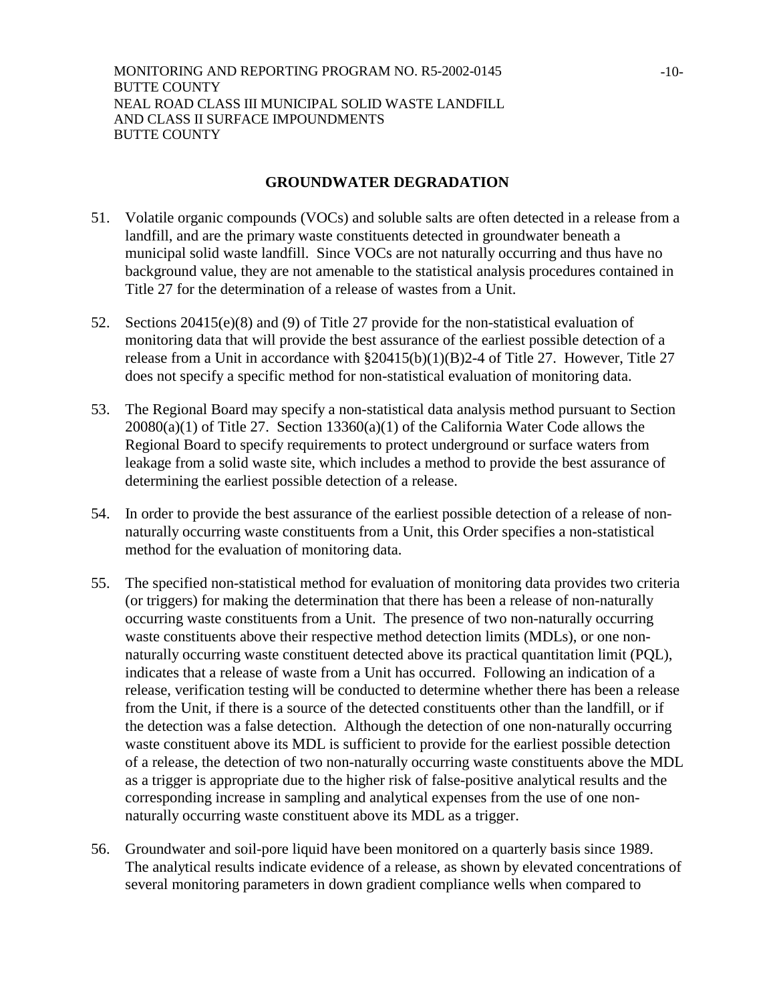## **GROUNDWATER DEGRADATION**

- 51. Volatile organic compounds (VOCs) and soluble salts are often detected in a release from a landfill, and are the primary waste constituents detected in groundwater beneath a municipal solid waste landfill. Since VOCs are not naturally occurring and thus have no background value, they are not amenable to the statistical analysis procedures contained in Title 27 for the determination of a release of wastes from a Unit.
- 52. Sections 20415(e)(8) and (9) of Title 27 provide for the non-statistical evaluation of monitoring data that will provide the best assurance of the earliest possible detection of a release from a Unit in accordance with §20415(b)(1)(B)2-4 of Title 27. However, Title 27 does not specify a specific method for non-statistical evaluation of monitoring data.
- 53. The Regional Board may specify a non-statistical data analysis method pursuant to Section 20080(a)(1) of Title 27. Section 13360(a)(1) of the California Water Code allows the Regional Board to specify requirements to protect underground or surface waters from leakage from a solid waste site, which includes a method to provide the best assurance of determining the earliest possible detection of a release.
- 54. In order to provide the best assurance of the earliest possible detection of a release of nonnaturally occurring waste constituents from a Unit, this Order specifies a non-statistical method for the evaluation of monitoring data.
- 55. The specified non-statistical method for evaluation of monitoring data provides two criteria (or triggers) for making the determination that there has been a release of non-naturally occurring waste constituents from a Unit. The presence of two non-naturally occurring waste constituents above their respective method detection limits (MDLs), or one nonnaturally occurring waste constituent detected above its practical quantitation limit (PQL), indicates that a release of waste from a Unit has occurred. Following an indication of a release, verification testing will be conducted to determine whether there has been a release from the Unit, if there is a source of the detected constituents other than the landfill, or if the detection was a false detection. Although the detection of one non-naturally occurring waste constituent above its MDL is sufficient to provide for the earliest possible detection of a release, the detection of two non-naturally occurring waste constituents above the MDL as a trigger is appropriate due to the higher risk of false-positive analytical results and the corresponding increase in sampling and analytical expenses from the use of one nonnaturally occurring waste constituent above its MDL as a trigger.
- 56. Groundwater and soil-pore liquid have been monitored on a quarterly basis since 1989. The analytical results indicate evidence of a release, as shown by elevated concentrations of several monitoring parameters in down gradient compliance wells when compared to

-10-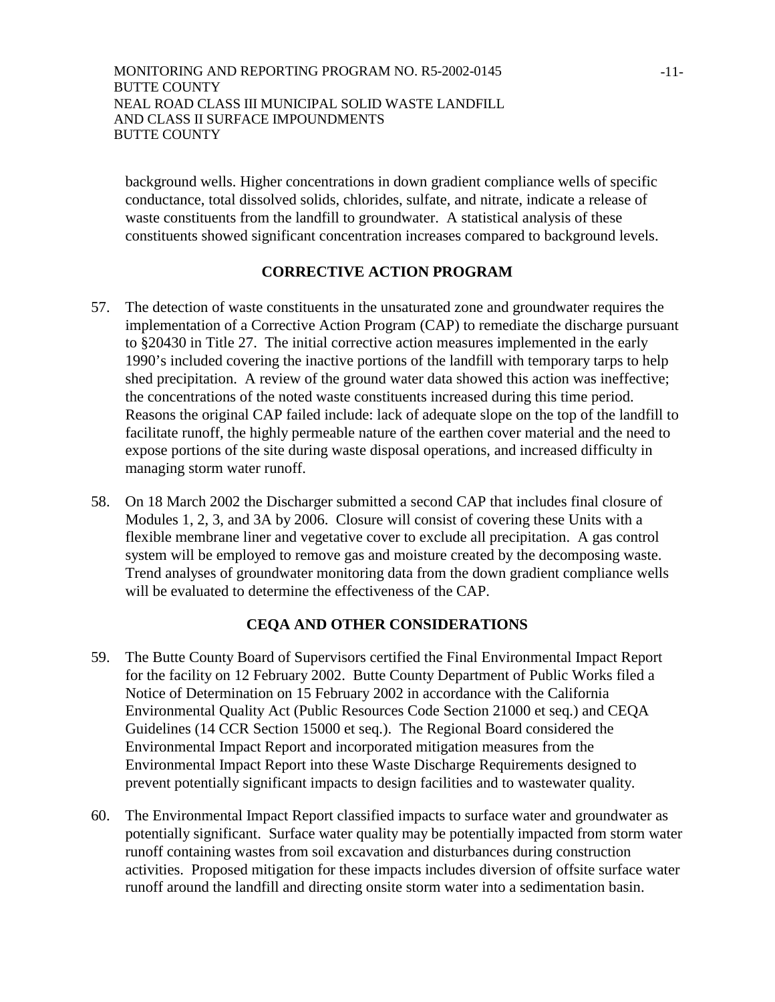background wells. Higher concentrations in down gradient compliance wells of specific conductance, total dissolved solids, chlorides, sulfate, and nitrate, indicate a release of waste constituents from the landfill to groundwater. A statistical analysis of these constituents showed significant concentration increases compared to background levels.

## **CORRECTIVE ACTION PROGRAM**

- 57. The detection of waste constituents in the unsaturated zone and groundwater requires the implementation of a Corrective Action Program (CAP) to remediate the discharge pursuant to §20430 in Title 27. The initial corrective action measures implemented in the early 1990's included covering the inactive portions of the landfill with temporary tarps to help shed precipitation. A review of the ground water data showed this action was ineffective; the concentrations of the noted waste constituents increased during this time period. Reasons the original CAP failed include: lack of adequate slope on the top of the landfill to facilitate runoff, the highly permeable nature of the earthen cover material and the need to expose portions of the site during waste disposal operations, and increased difficulty in managing storm water runoff.
- 58. On 18 March 2002 the Discharger submitted a second CAP that includes final closure of Modules 1, 2, 3, and 3A by 2006. Closure will consist of covering these Units with a flexible membrane liner and vegetative cover to exclude all precipitation. A gas control system will be employed to remove gas and moisture created by the decomposing waste. Trend analyses of groundwater monitoring data from the down gradient compliance wells will be evaluated to determine the effectiveness of the CAP.

## **CEQA AND OTHER CONSIDERATIONS**

- 59. The Butte County Board of Supervisors certified the Final Environmental Impact Report for the facility on 12 February 2002. Butte County Department of Public Works filed a Notice of Determination on 15 February 2002 in accordance with the California Environmental Quality Act (Public Resources Code Section 21000 et seq.) and CEQA Guidelines (14 CCR Section 15000 et seq.). The Regional Board considered the Environmental Impact Report and incorporated mitigation measures from the Environmental Impact Report into these Waste Discharge Requirements designed to prevent potentially significant impacts to design facilities and to wastewater quality.
- 60. The Environmental Impact Report classified impacts to surface water and groundwater as potentially significant. Surface water quality may be potentially impacted from storm water runoff containing wastes from soil excavation and disturbances during construction activities. Proposed mitigation for these impacts includes diversion of offsite surface water runoff around the landfill and directing onsite storm water into a sedimentation basin.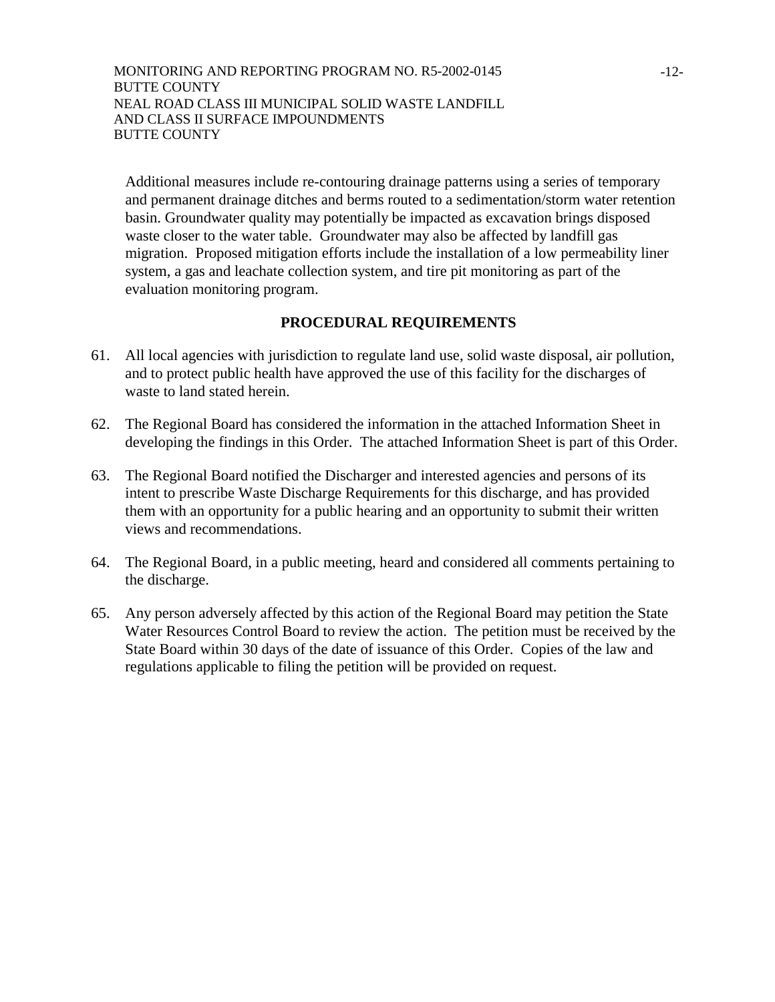Additional measures include re-contouring drainage patterns using a series of temporary and permanent drainage ditches and berms routed to a sedimentation/storm water retention basin. Groundwater quality may potentially be impacted as excavation brings disposed waste closer to the water table. Groundwater may also be affected by landfill gas migration. Proposed mitigation efforts include the installation of a low permeability liner system, a gas and leachate collection system, and tire pit monitoring as part of the evaluation monitoring program.

## **PROCEDURAL REQUIREMENTS**

- 61. All local agencies with jurisdiction to regulate land use, solid waste disposal, air pollution, and to protect public health have approved the use of this facility for the discharges of waste to land stated herein.
- 62. The Regional Board has considered the information in the attached Information Sheet in developing the findings in this Order. The attached Information Sheet is part of this Order.
- 63. The Regional Board notified the Discharger and interested agencies and persons of its intent to prescribe Waste Discharge Requirements for this discharge, and has provided them with an opportunity for a public hearing and an opportunity to submit their written views and recommendations.
- 64. The Regional Board, in a public meeting, heard and considered all comments pertaining to the discharge.
- 65. Any person adversely affected by this action of the Regional Board may petition the State Water Resources Control Board to review the action. The petition must be received by the State Board within 30 days of the date of issuance of this Order. Copies of the law and regulations applicable to filing the petition will be provided on request.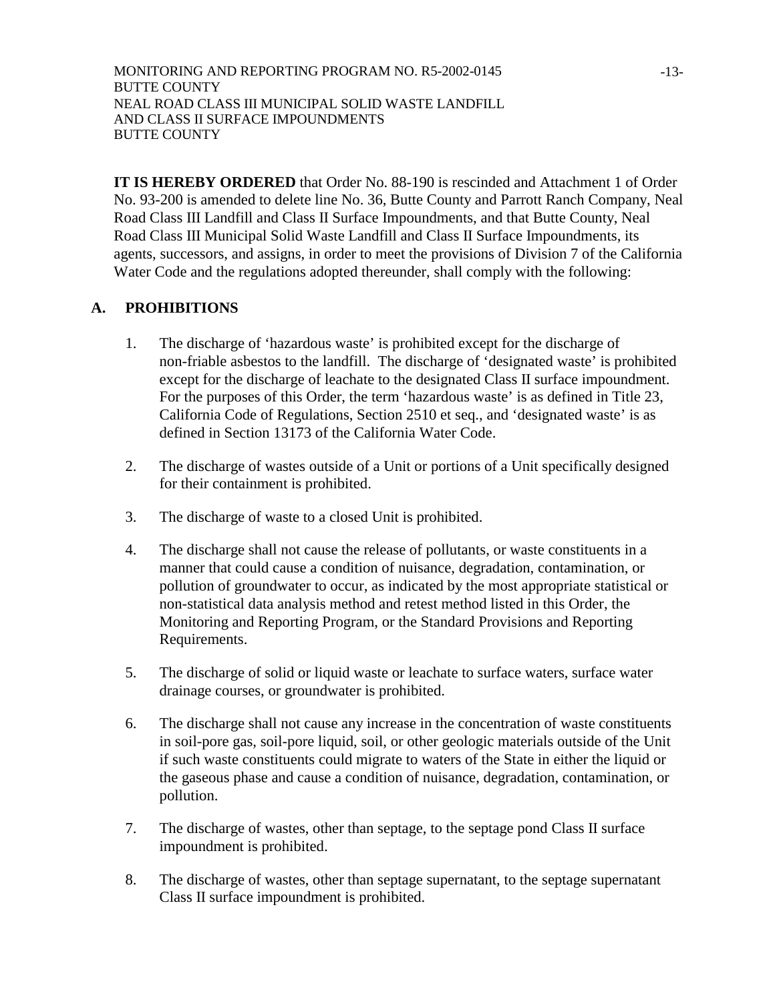**IT IS HEREBY ORDERED** that Order No. 88-190 is rescinded and Attachment 1 of Order No. 93-200 is amended to delete line No. 36, Butte County and Parrott Ranch Company, Neal Road Class III Landfill and Class II Surface Impoundments, and that Butte County, Neal Road Class III Municipal Solid Waste Landfill and Class II Surface Impoundments, its agents, successors, and assigns, in order to meet the provisions of Division 7 of the California Water Code and the regulations adopted thereunder, shall comply with the following:

# **A. PROHIBITIONS**

- 1. The discharge of 'hazardous waste' is prohibited except for the discharge of non-friable asbestos to the landfill. The discharge of 'designated waste' is prohibited except for the discharge of leachate to the designated Class II surface impoundment. For the purposes of this Order, the term 'hazardous waste' is as defined in Title 23, California Code of Regulations, Section 2510 et seq., and 'designated waste' is as defined in Section 13173 of the California Water Code.
- 2. The discharge of wastes outside of a Unit or portions of a Unit specifically designed for their containment is prohibited.
- 3. The discharge of waste to a closed Unit is prohibited.
- 4. The discharge shall not cause the release of pollutants, or waste constituents in a manner that could cause a condition of nuisance, degradation, contamination, or pollution of groundwater to occur, as indicated by the most appropriate statistical or non-statistical data analysis method and retest method listed in this Order, the Monitoring and Reporting Program, or the Standard Provisions and Reporting Requirements.
- 5. The discharge of solid or liquid waste or leachate to surface waters, surface water drainage courses, or groundwater is prohibited.
- 6. The discharge shall not cause any increase in the concentration of waste constituents in soil-pore gas, soil-pore liquid, soil, or other geologic materials outside of the Unit if such waste constituents could migrate to waters of the State in either the liquid or the gaseous phase and cause a condition of nuisance, degradation, contamination, or pollution.
- 7. The discharge of wastes, other than septage, to the septage pond Class II surface impoundment is prohibited.
- 8. The discharge of wastes, other than septage supernatant, to the septage supernatant Class II surface impoundment is prohibited.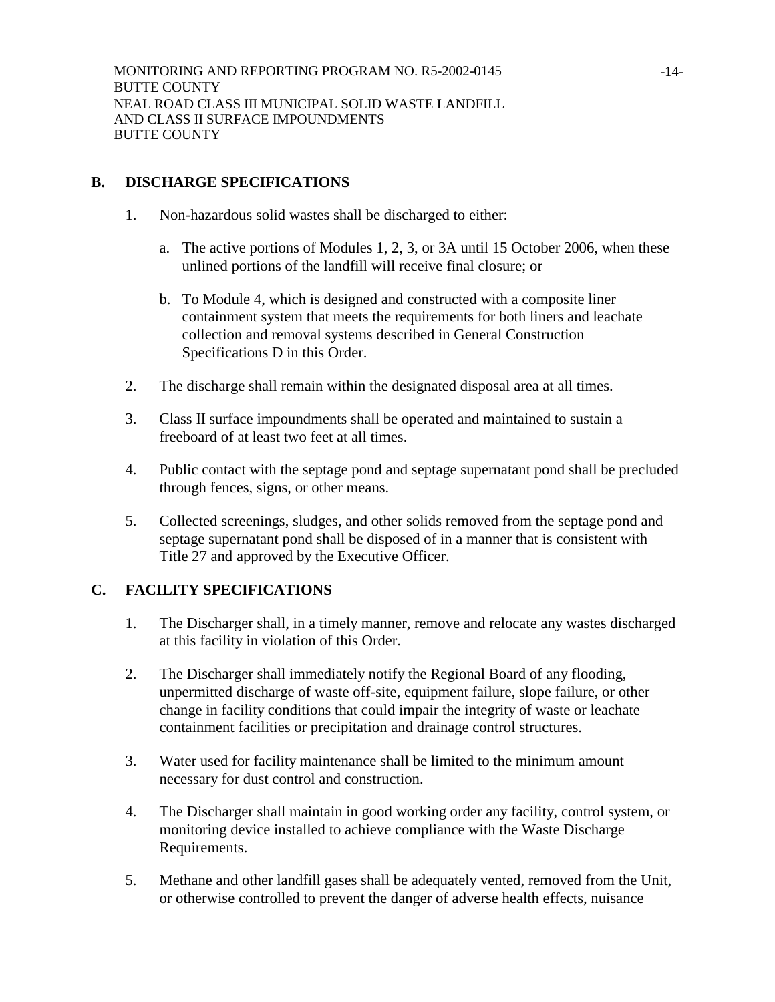# **B. DISCHARGE SPECIFICATIONS**

- 1. Non-hazardous solid wastes shall be discharged to either:
	- a. The active portions of Modules 1, 2, 3, or 3A until 15 October 2006, when these unlined portions of the landfill will receive final closure; or
	- b. To Module 4, which is designed and constructed with a composite liner containment system that meets the requirements for both liners and leachate collection and removal systems described in General Construction Specifications D in this Order.
- 2. The discharge shall remain within the designated disposal area at all times.
- 3. Class II surface impoundments shall be operated and maintained to sustain a freeboard of at least two feet at all times.
- 4. Public contact with the septage pond and septage supernatant pond shall be precluded through fences, signs, or other means.
- 5. Collected screenings, sludges, and other solids removed from the septage pond and septage supernatant pond shall be disposed of in a manner that is consistent with Title 27 and approved by the Executive Officer.

## **C. FACILITY SPECIFICATIONS**

- 1. The Discharger shall, in a timely manner, remove and relocate any wastes discharged at this facility in violation of this Order.
- 2. The Discharger shall immediately notify the Regional Board of any flooding, unpermitted discharge of waste off-site, equipment failure, slope failure, or other change in facility conditions that could impair the integrity of waste or leachate containment facilities or precipitation and drainage control structures.
- 3. Water used for facility maintenance shall be limited to the minimum amount necessary for dust control and construction.
- 4. The Discharger shall maintain in good working order any facility, control system, or monitoring device installed to achieve compliance with the Waste Discharge Requirements.
- 5. Methane and other landfill gases shall be adequately vented, removed from the Unit, or otherwise controlled to prevent the danger of adverse health effects, nuisance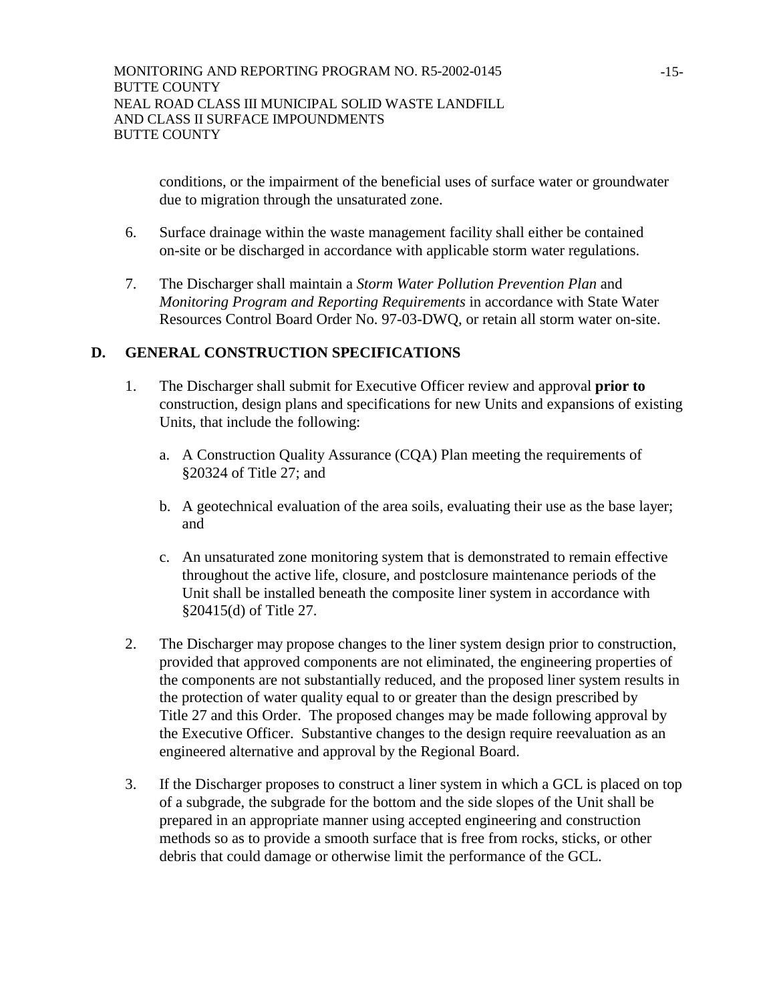conditions, or the impairment of the beneficial uses of surface water or groundwater due to migration through the unsaturated zone.

- 6. Surface drainage within the waste management facility shall either be contained on-site or be discharged in accordance with applicable storm water regulations.
- 7. The Discharger shall maintain a *Storm Water Pollution Prevention Plan* and *Monitoring Program and Reporting Requirements* in accordance with State Water Resources Control Board Order No. 97-03-DWQ, or retain all storm water on-site.

## **D. GENERAL CONSTRUCTION SPECIFICATIONS**

- 1. The Discharger shall submit for Executive Officer review and approval **prior to** construction, design plans and specifications for new Units and expansions of existing Units, that include the following:
	- a. A Construction Quality Assurance (CQA) Plan meeting the requirements of §20324 of Title 27; and
	- b. A geotechnical evaluation of the area soils, evaluating their use as the base layer; and
	- c. An unsaturated zone monitoring system that is demonstrated to remain effective throughout the active life, closure, and postclosure maintenance periods of the Unit shall be installed beneath the composite liner system in accordance with §20415(d) of Title 27.
- 2. The Discharger may propose changes to the liner system design prior to construction, provided that approved components are not eliminated, the engineering properties of the components are not substantially reduced, and the proposed liner system results in the protection of water quality equal to or greater than the design prescribed by Title 27 and this Order. The proposed changes may be made following approval by the Executive Officer. Substantive changes to the design require reevaluation as an engineered alternative and approval by the Regional Board.
- 3. If the Discharger proposes to construct a liner system in which a GCL is placed on top of a subgrade, the subgrade for the bottom and the side slopes of the Unit shall be prepared in an appropriate manner using accepted engineering and construction methods so as to provide a smooth surface that is free from rocks, sticks, or other debris that could damage or otherwise limit the performance of the GCL.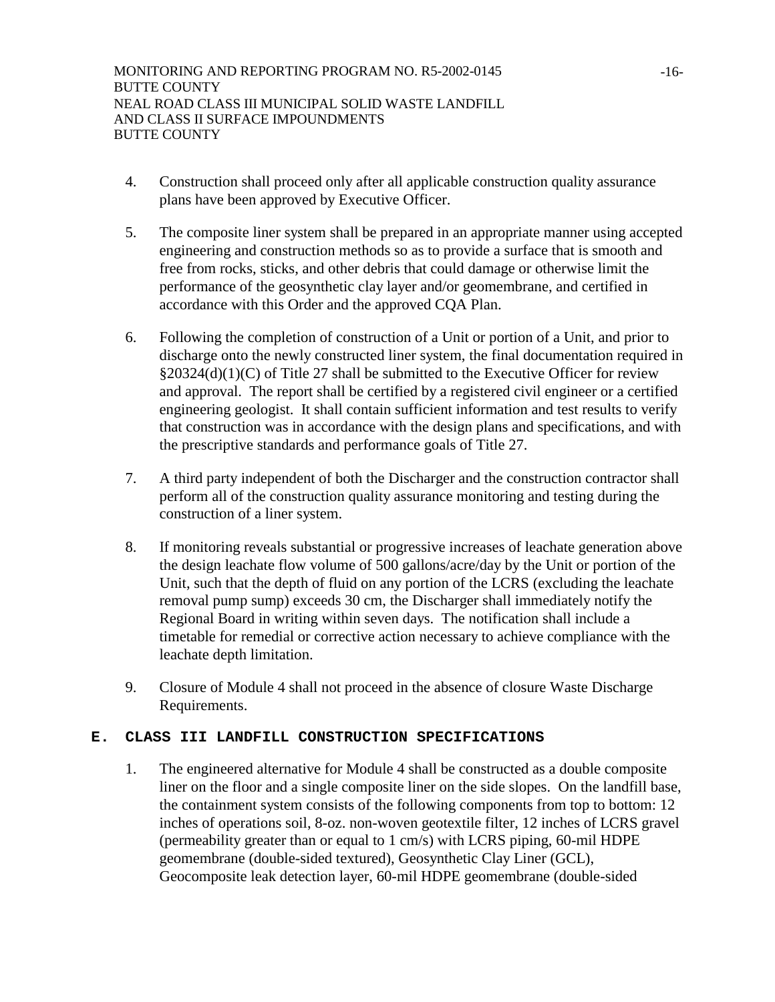- 4. Construction shall proceed only after all applicable construction quality assurance plans have been approved by Executive Officer.
- 5. The composite liner system shall be prepared in an appropriate manner using accepted engineering and construction methods so as to provide a surface that is smooth and free from rocks, sticks, and other debris that could damage or otherwise limit the performance of the geosynthetic clay layer and/or geomembrane, and certified in accordance with this Order and the approved CQA Plan.
- 6. Following the completion of construction of a Unit or portion of a Unit, and prior to discharge onto the newly constructed liner system, the final documentation required in §20324(d)(1)(C) of Title 27 shall be submitted to the Executive Officer for review and approval. The report shall be certified by a registered civil engineer or a certified engineering geologist. It shall contain sufficient information and test results to verify that construction was in accordance with the design plans and specifications, and with the prescriptive standards and performance goals of Title 27.
- 7. A third party independent of both the Discharger and the construction contractor shall perform all of the construction quality assurance monitoring and testing during the construction of a liner system.
- 8. If monitoring reveals substantial or progressive increases of leachate generation above the design leachate flow volume of 500 gallons/acre/day by the Unit or portion of the Unit, such that the depth of fluid on any portion of the LCRS (excluding the leachate removal pump sump) exceeds 30 cm, the Discharger shall immediately notify the Regional Board in writing within seven days. The notification shall include a timetable for remedial or corrective action necessary to achieve compliance with the leachate depth limitation.
- 9. Closure of Module 4 shall not proceed in the absence of closure Waste Discharge Requirements.

## **E. CLASS III LANDFILL CONSTRUCTION SPECIFICATIONS**

1. The engineered alternative for Module 4 shall be constructed as a double composite liner on the floor and a single composite liner on the side slopes. On the landfill base, the containment system consists of the following components from top to bottom: 12 inches of operations soil, 8-oz. non-woven geotextile filter, 12 inches of LCRS gravel (permeability greater than or equal to 1 cm/s) with LCRS piping, 60-mil HDPE geomembrane (double-sided textured), Geosynthetic Clay Liner (GCL), Geocomposite leak detection layer, 60-mil HDPE geomembrane (double-sided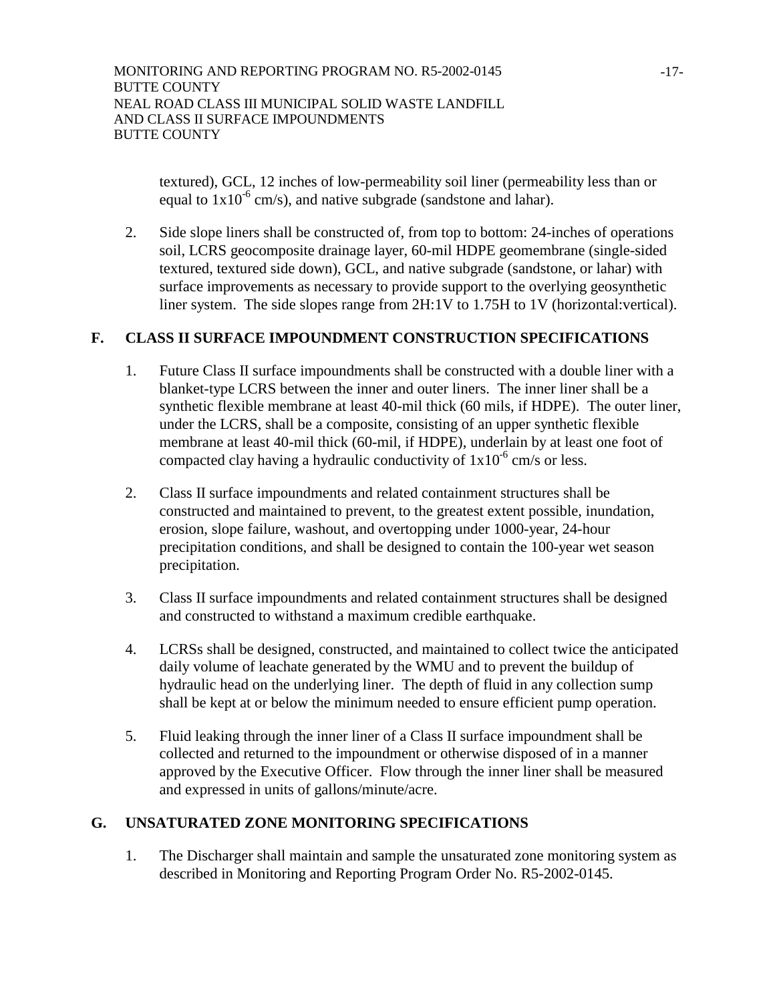textured), GCL, 12 inches of low-permeability soil liner (permeability less than or equal to  $1x10^{-6}$  cm/s), and native subgrade (sandstone and lahar).

2. Side slope liners shall be constructed of, from top to bottom: 24-inches of operations soil, LCRS geocomposite drainage layer, 60-mil HDPE geomembrane (single-sided textured, textured side down), GCL, and native subgrade (sandstone, or lahar) with surface improvements as necessary to provide support to the overlying geosynthetic liner system. The side slopes range from 2H:1V to 1.75H to 1V (horizontal:vertical).

# **F. CLASS II SURFACE IMPOUNDMENT CONSTRUCTION SPECIFICATIONS**

- 1. Future Class II surface impoundments shall be constructed with a double liner with a blanket-type LCRS between the inner and outer liners. The inner liner shall be a synthetic flexible membrane at least 40-mil thick (60 mils, if HDPE). The outer liner, under the LCRS, shall be a composite, consisting of an upper synthetic flexible membrane at least 40-mil thick (60-mil, if HDPE), underlain by at least one foot of compacted clay having a hydraulic conductivity of  $1x10^{-6}$  cm/s or less.
- 2. Class II surface impoundments and related containment structures shall be constructed and maintained to prevent, to the greatest extent possible, inundation, erosion, slope failure, washout, and overtopping under 1000-year, 24-hour precipitation conditions, and shall be designed to contain the 100-year wet season precipitation.
- 3. Class II surface impoundments and related containment structures shall be designed and constructed to withstand a maximum credible earthquake.
- 4. LCRSs shall be designed, constructed, and maintained to collect twice the anticipated daily volume of leachate generated by the WMU and to prevent the buildup of hydraulic head on the underlying liner. The depth of fluid in any collection sump shall be kept at or below the minimum needed to ensure efficient pump operation.
- 5. Fluid leaking through the inner liner of a Class II surface impoundment shall be collected and returned to the impoundment or otherwise disposed of in a manner approved by the Executive Officer. Flow through the inner liner shall be measured and expressed in units of gallons/minute/acre.

# **G. UNSATURATED ZONE MONITORING SPECIFICATIONS**

1. The Discharger shall maintain and sample the unsaturated zone monitoring system as described in Monitoring and Reporting Program Order No. R5-2002-0145.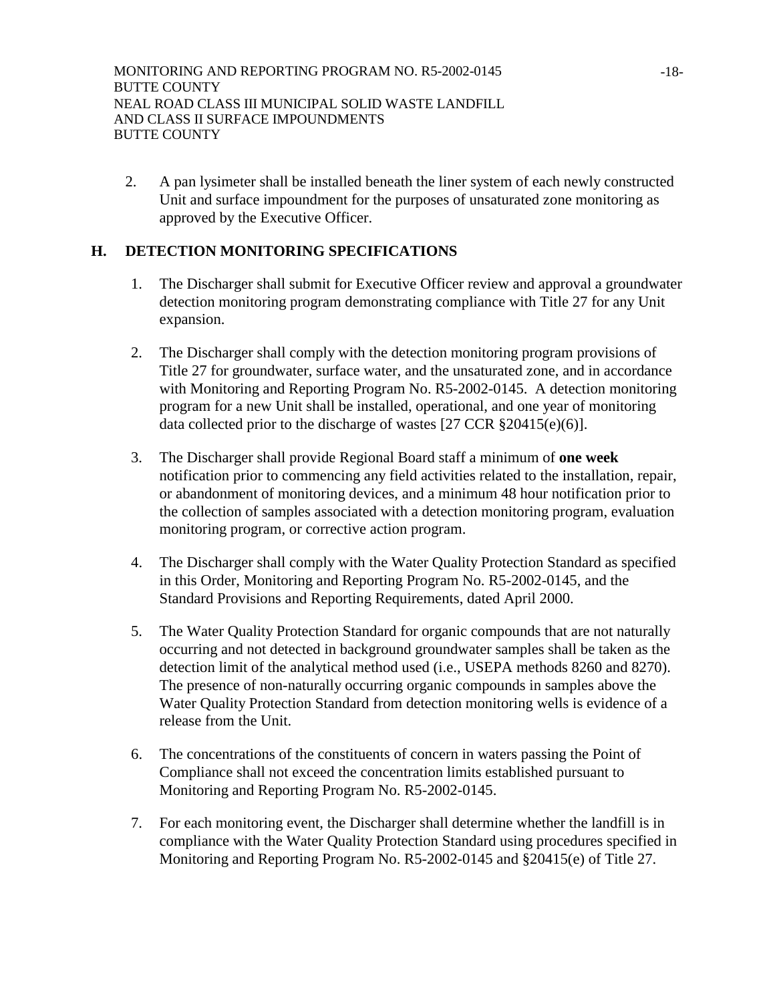2. A pan lysimeter shall be installed beneath the liner system of each newly constructed Unit and surface impoundment for the purposes of unsaturated zone monitoring as approved by the Executive Officer.

# **H. DETECTION MONITORING SPECIFICATIONS**

- 1. The Discharger shall submit for Executive Officer review and approval a groundwater detection monitoring program demonstrating compliance with Title 27 for any Unit expansion.
- 2. The Discharger shall comply with the detection monitoring program provisions of Title 27 for groundwater, surface water, and the unsaturated zone, and in accordance with Monitoring and Reporting Program No. R5-2002-0145. A detection monitoring program for a new Unit shall be installed, operational, and one year of monitoring data collected prior to the discharge of wastes [27 CCR §20415(e)(6)].
- 3. The Discharger shall provide Regional Board staff a minimum of **one week** notification prior to commencing any field activities related to the installation, repair, or abandonment of monitoring devices, and a minimum 48 hour notification prior to the collection of samples associated with a detection monitoring program, evaluation monitoring program, or corrective action program.
- 4. The Discharger shall comply with the Water Quality Protection Standard as specified in this Order, Monitoring and Reporting Program No. R5-2002-0145, and the Standard Provisions and Reporting Requirements, dated April 2000.
- 5. The Water Quality Protection Standard for organic compounds that are not naturally occurring and not detected in background groundwater samples shall be taken as the detection limit of the analytical method used (i.e., USEPA methods 8260 and 8270). The presence of non-naturally occurring organic compounds in samples above the Water Quality Protection Standard from detection monitoring wells is evidence of a release from the Unit.
- 6. The concentrations of the constituents of concern in waters passing the Point of Compliance shall not exceed the concentration limits established pursuant to Monitoring and Reporting Program No. R5-2002-0145.
- 7. For each monitoring event, the Discharger shall determine whether the landfill is in compliance with the Water Quality Protection Standard using procedures specified in Monitoring and Reporting Program No. R5-2002-0145 and §20415(e) of Title 27.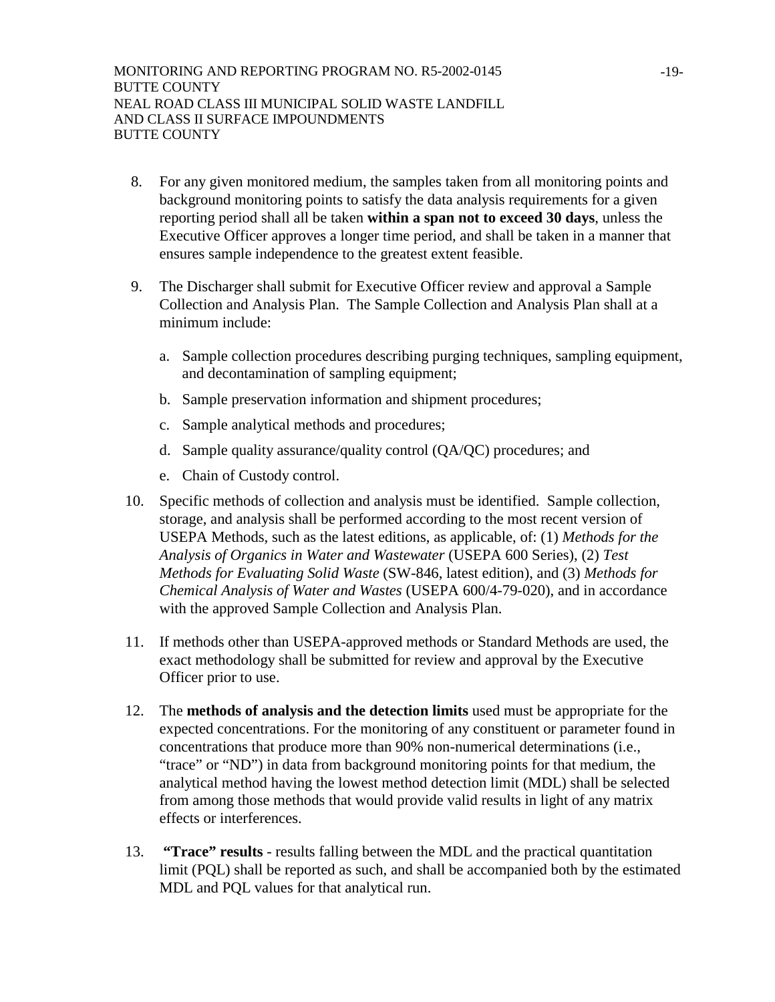- 8. For any given monitored medium, the samples taken from all monitoring points and background monitoring points to satisfy the data analysis requirements for a given reporting period shall all be taken **within a span not to exceed 30 days**, unless the Executive Officer approves a longer time period, and shall be taken in a manner that ensures sample independence to the greatest extent feasible.
- 9. The Discharger shall submit for Executive Officer review and approval a Sample Collection and Analysis Plan. The Sample Collection and Analysis Plan shall at a minimum include:
	- a. Sample collection procedures describing purging techniques, sampling equipment, and decontamination of sampling equipment;
	- b. Sample preservation information and shipment procedures;
	- c. Sample analytical methods and procedures;
	- d. Sample quality assurance/quality control (QA/QC) procedures; and
	- e. Chain of Custody control.
- 10. Specific methods of collection and analysis must be identified. Sample collection, storage, and analysis shall be performed according to the most recent version of USEPA Methods, such as the latest editions, as applicable, of: (1) *Methods for the Analysis of Organics in Water and Wastewater* (USEPA 600 Series), (2) *Test Methods for Evaluating Solid Waste* (SW-846, latest edition), and (3) *Methods for Chemical Analysis of Water and Wastes* (USEPA 600/4-79-020), and in accordance with the approved Sample Collection and Analysis Plan.
- 11. If methods other than USEPA-approved methods or Standard Methods are used, the exact methodology shall be submitted for review and approval by the Executive Officer prior to use.
- 12. The **methods of analysis and the detection limits** used must be appropriate for the expected concentrations. For the monitoring of any constituent or parameter found in concentrations that produce more than 90% non-numerical determinations (i.e., "trace" or "ND") in data from background monitoring points for that medium, the analytical method having the lowest method detection limit (MDL) shall be selected from among those methods that would provide valid results in light of any matrix effects or interferences.
- 13. **"Trace" results** results falling between the MDL and the practical quantitation limit (PQL) shall be reported as such, and shall be accompanied both by the estimated MDL and PQL values for that analytical run.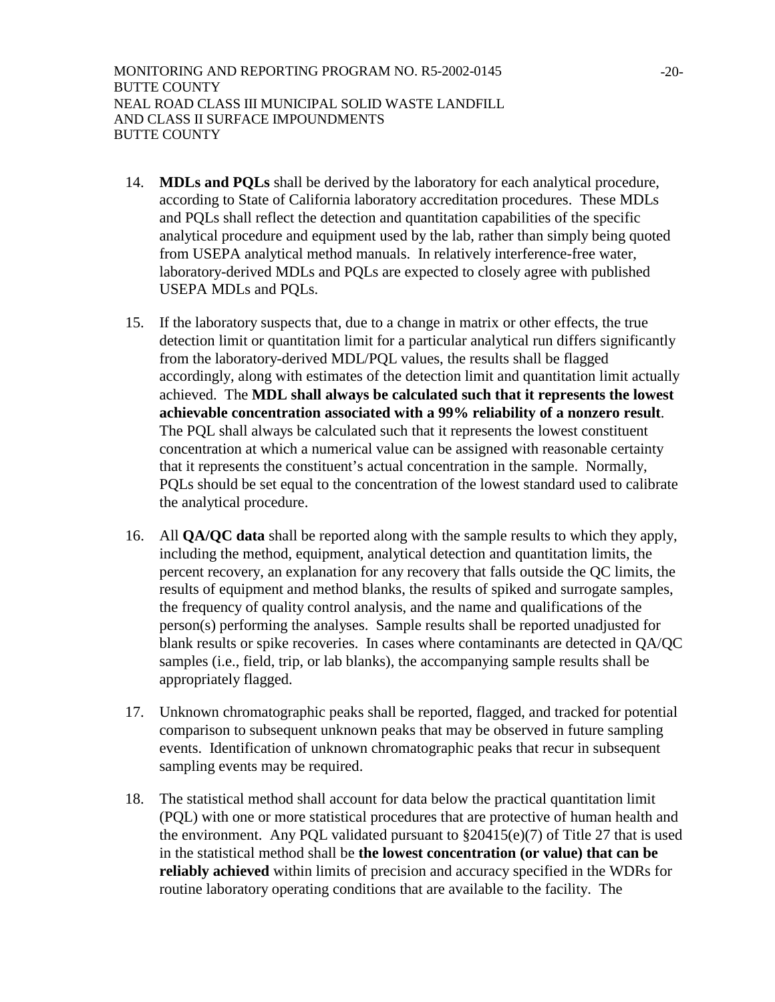- 14. **MDLs and PQLs** shall be derived by the laboratory for each analytical procedure, according to State of California laboratory accreditation procedures. These MDLs and PQLs shall reflect the detection and quantitation capabilities of the specific analytical procedure and equipment used by the lab, rather than simply being quoted from USEPA analytical method manuals. In relatively interference-free water, laboratory-derived MDLs and PQLs are expected to closely agree with published USEPA MDLs and PQLs.
- 15. If the laboratory suspects that, due to a change in matrix or other effects, the true detection limit or quantitation limit for a particular analytical run differs significantly from the laboratory-derived MDL/PQL values, the results shall be flagged accordingly, along with estimates of the detection limit and quantitation limit actually achieved. The **MDL shall always be calculated such that it represents the lowest achievable concentration associated with a 99% reliability of a nonzero result**. The PQL shall always be calculated such that it represents the lowest constituent concentration at which a numerical value can be assigned with reasonable certainty that it represents the constituent's actual concentration in the sample. Normally, PQLs should be set equal to the concentration of the lowest standard used to calibrate the analytical procedure.
- 16. All **QA/QC data** shall be reported along with the sample results to which they apply, including the method, equipment, analytical detection and quantitation limits, the percent recovery, an explanation for any recovery that falls outside the QC limits, the results of equipment and method blanks, the results of spiked and surrogate samples, the frequency of quality control analysis, and the name and qualifications of the person(s) performing the analyses. Sample results shall be reported unadjusted for blank results or spike recoveries. In cases where contaminants are detected in QA/QC samples (i.e., field, trip, or lab blanks), the accompanying sample results shall be appropriately flagged.
- 17. Unknown chromatographic peaks shall be reported, flagged, and tracked for potential comparison to subsequent unknown peaks that may be observed in future sampling events. Identification of unknown chromatographic peaks that recur in subsequent sampling events may be required.
- 18. The statistical method shall account for data below the practical quantitation limit (PQL) with one or more statistical procedures that are protective of human health and the environment. Any PQL validated pursuant to  $\S20415(e)(7)$  of Title 27 that is used in the statistical method shall be **the lowest concentration (or value) that can be reliably achieved** within limits of precision and accuracy specified in the WDRs for routine laboratory operating conditions that are available to the facility. The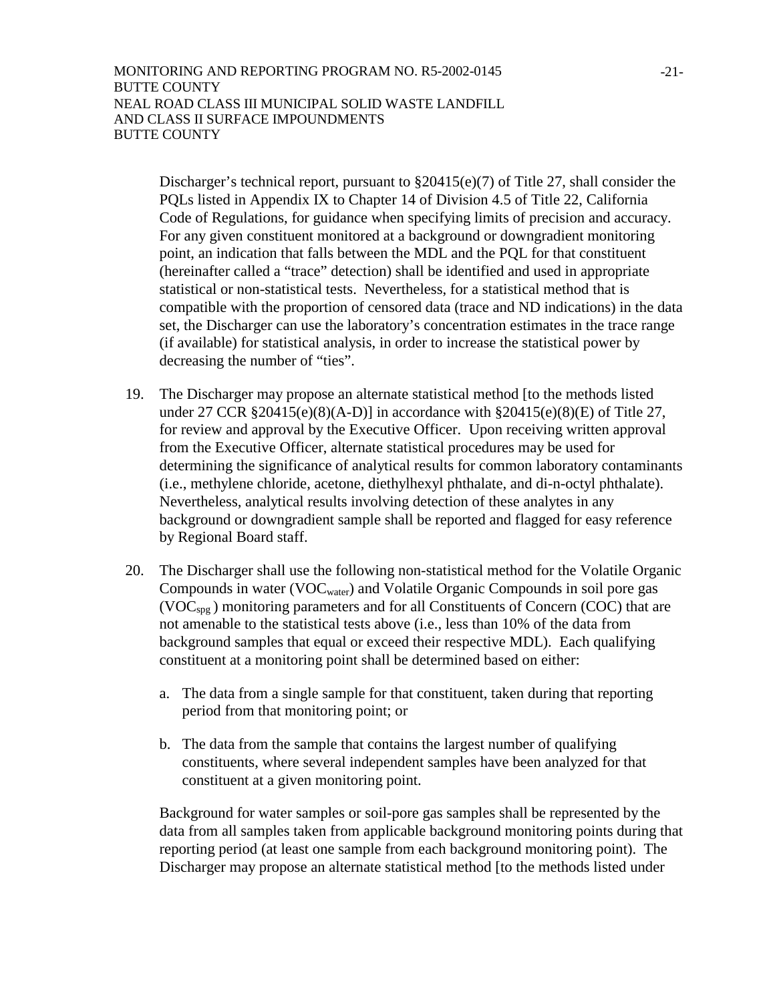Discharger's technical report, pursuant to  $\S 20415(e)(7)$  of Title 27, shall consider the PQLs listed in Appendix IX to Chapter 14 of Division 4.5 of Title 22, California Code of Regulations, for guidance when specifying limits of precision and accuracy. For any given constituent monitored at a background or downgradient monitoring point, an indication that falls between the MDL and the PQL for that constituent (hereinafter called a "trace" detection) shall be identified and used in appropriate statistical or non-statistical tests. Nevertheless, for a statistical method that is compatible with the proportion of censored data (trace and ND indications) in the data set, the Discharger can use the laboratory's concentration estimates in the trace range (if available) for statistical analysis, in order to increase the statistical power by decreasing the number of "ties".

- 19. The Discharger may propose an alternate statistical method [to the methods listed under 27 CCR  $\S 20415(e)(8)(A-D)$ ] in accordance with  $\S 20415(e)(8)(E)$  of Title 27, for review and approval by the Executive Officer. Upon receiving written approval from the Executive Officer, alternate statistical procedures may be used for determining the significance of analytical results for common laboratory contaminants (i.e., methylene chloride, acetone, diethylhexyl phthalate, and di-n-octyl phthalate). Nevertheless, analytical results involving detection of these analytes in any background or downgradient sample shall be reported and flagged for easy reference by Regional Board staff.
- 20. The Discharger shall use the following non-statistical method for the Volatile Organic Compounds in water (VOC<sub>water</sub>) and Volatile Organic Compounds in soil pore gas  $(VOC<sub>spg</sub>)$  monitoring parameters and for all Constituents of Concern (COC) that are not amenable to the statistical tests above (i.e., less than 10% of the data from background samples that equal or exceed their respective MDL). Each qualifying constituent at a monitoring point shall be determined based on either:
	- a. The data from a single sample for that constituent, taken during that reporting period from that monitoring point; or
	- b. The data from the sample that contains the largest number of qualifying constituents, where several independent samples have been analyzed for that constituent at a given monitoring point.

Background for water samples or soil-pore gas samples shall be represented by the data from all samples taken from applicable background monitoring points during that reporting period (at least one sample from each background monitoring point). The Discharger may propose an alternate statistical method [to the methods listed under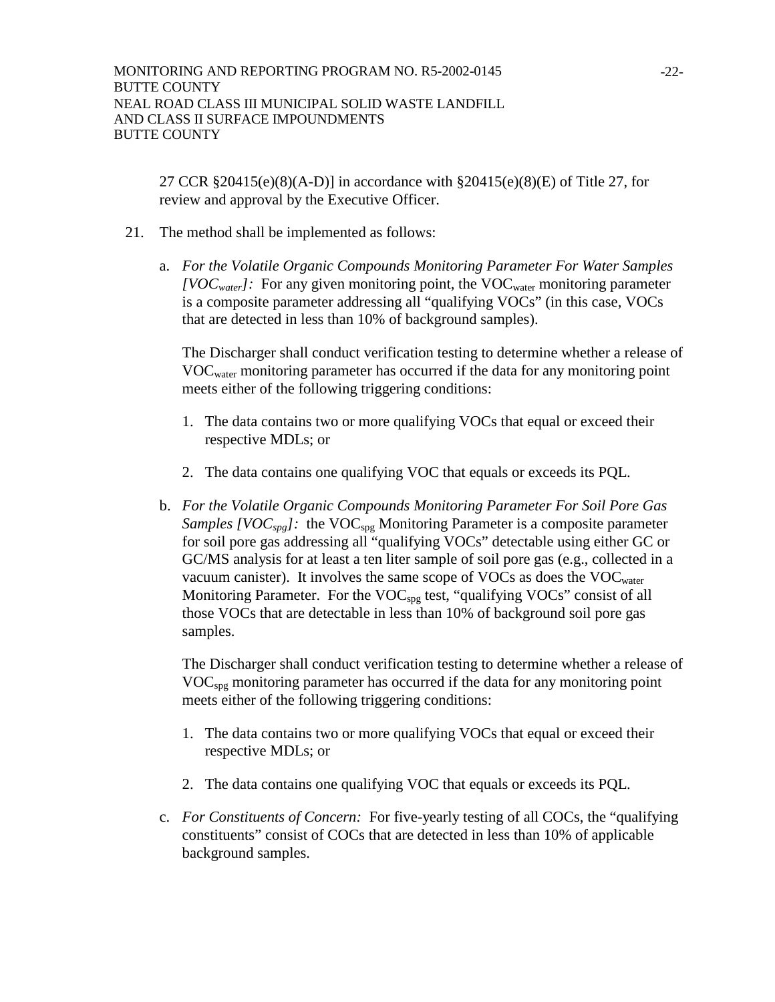27 CCR §20415(e)(8)(A-D)] in accordance with §20415(e)(8)(E) of Title 27, for review and approval by the Executive Officer.

- 21. The method shall be implemented as follows:
	- a. *For the Volatile Organic Compounds Monitoring Parameter For Water Samples [VOC<sub>water</sub>]*: For any given monitoring point, the VOC<sub>water</sub> monitoring parameter is a composite parameter addressing all "qualifying VOCs" (in this case, VOCs that are detected in less than 10% of background samples).

The Discharger shall conduct verification testing to determine whether a release of VOCwater monitoring parameter has occurred if the data for any monitoring point meets either of the following triggering conditions:

- 1. The data contains two or more qualifying VOCs that equal or exceed their respective MDLs; or
- 2. The data contains one qualifying VOC that equals or exceeds its PQL.
- b. *For the Volatile Organic Compounds Monitoring Parameter For Soil Pore Gas Samples [VOC<sub>spg</sub>]*: the VOC<sub>spg</sub> Monitoring Parameter is a composite parameter for soil pore gas addressing all "qualifying VOCs" detectable using either GC or GC/MS analysis for at least a ten liter sample of soil pore gas (e.g., collected in a vacuum canister). It involves the same scope of VOCs as does the  $VOC_{water}$ Monitoring Parameter. For the  $VOC<sub>spg</sub>$  test, "qualifying  $VOCs$ " consist of all those VOCs that are detectable in less than 10% of background soil pore gas samples.

The Discharger shall conduct verification testing to determine whether a release of VOCspg monitoring parameter has occurred if the data for any monitoring point meets either of the following triggering conditions:

- 1. The data contains two or more qualifying VOCs that equal or exceed their respective MDLs; or
- 2. The data contains one qualifying VOC that equals or exceeds its PQL.
- c. *For Constituents of Concern:* For five-yearly testing of all COCs, the "qualifying constituents" consist of COCs that are detected in less than 10% of applicable background samples.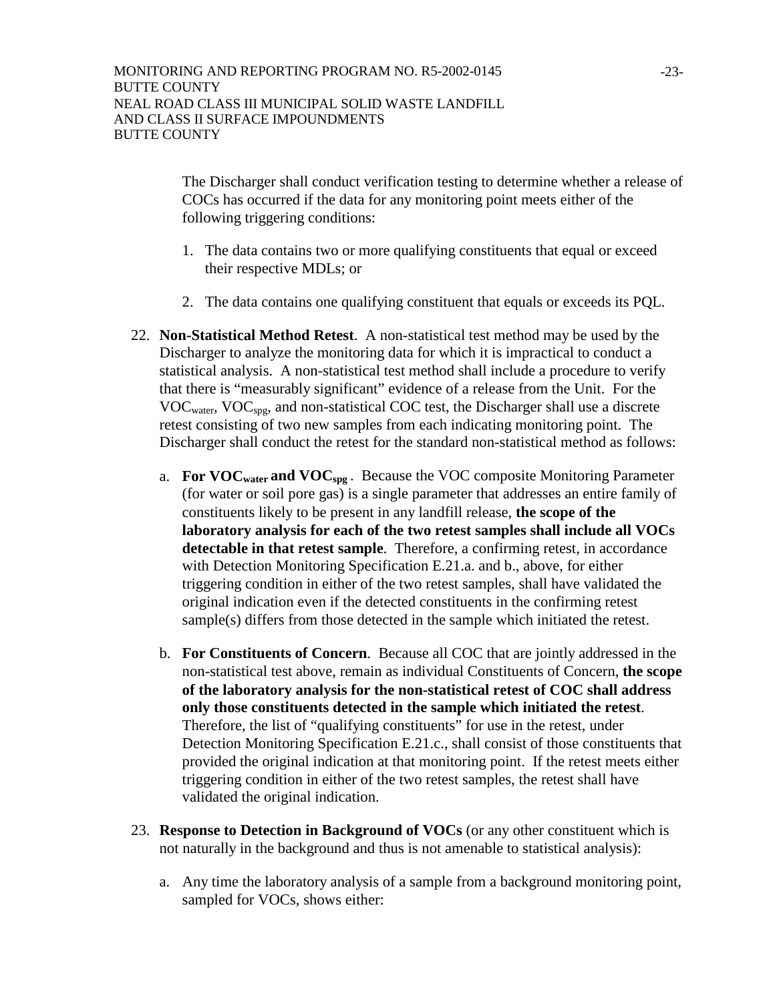The Discharger shall conduct verification testing to determine whether a release of COCs has occurred if the data for any monitoring point meets either of the following triggering conditions:

- 1. The data contains two or more qualifying constituents that equal or exceed their respective MDLs; or
- 2. The data contains one qualifying constituent that equals or exceeds its PQL.
- 22. **Non-Statistical Method Retest**. A non-statistical test method may be used by the Discharger to analyze the monitoring data for which it is impractical to conduct a statistical analysis. A non-statistical test method shall include a procedure to verify that there is "measurably significant" evidence of a release from the Unit. For the VOCwater, VOCspg, and non-statistical COC test, the Discharger shall use a discrete retest consisting of two new samples from each indicating monitoring point. The Discharger shall conduct the retest for the standard non-statistical method as follows:
	- a. **For VOCwater and VOCspg** . Because the VOC composite Monitoring Parameter (for water or soil pore gas) is a single parameter that addresses an entire family of constituents likely to be present in any landfill release, **the scope of the laboratory analysis for each of the two retest samples shall include all VOCs detectable in that retest sample**. Therefore, a confirming retest, in accordance with Detection Monitoring Specification E.21.a. and b., above, for either triggering condition in either of the two retest samples, shall have validated the original indication even if the detected constituents in the confirming retest sample(s) differs from those detected in the sample which initiated the retest.
	- b. **For Constituents of Concern**. Because all COC that are jointly addressed in the non-statistical test above, remain as individual Constituents of Concern, **the scope of the laboratory analysis for the non-statistical retest of COC shall address only those constituents detected in the sample which initiated the retest**. Therefore, the list of "qualifying constituents" for use in the retest, under Detection Monitoring Specification E.21.c., shall consist of those constituents that provided the original indication at that monitoring point. If the retest meets either triggering condition in either of the two retest samples, the retest shall have validated the original indication.
- 23. **Response to Detection in Background of VOCs** (or any other constituent which is not naturally in the background and thus is not amenable to statistical analysis):
	- a. Any time the laboratory analysis of a sample from a background monitoring point, sampled for VOCs, shows either: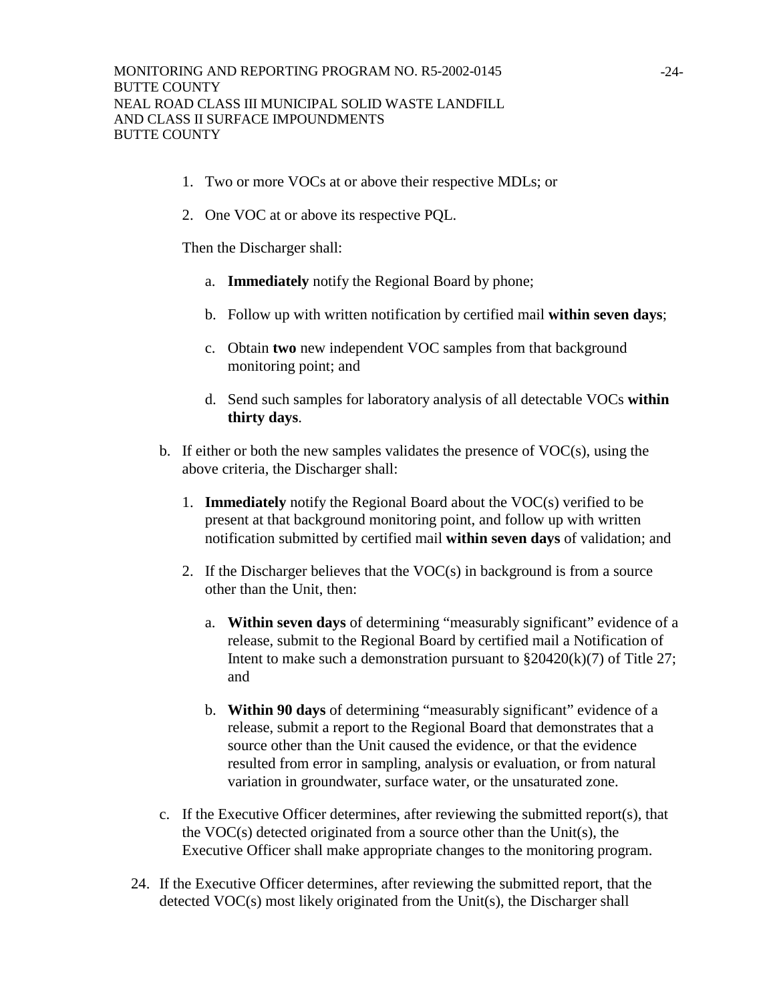- 1. Two or more VOCs at or above their respective MDLs; or
- 2. One VOC at or above its respective PQL.

Then the Discharger shall:

- a. **Immediately** notify the Regional Board by phone;
- b. Follow up with written notification by certified mail **within seven days**;
- c. Obtain **two** new independent VOC samples from that background monitoring point; and
- d. Send such samples for laboratory analysis of all detectable VOCs **within thirty days**.
- b. If either or both the new samples validates the presence of  $VOC(s)$ , using the above criteria, the Discharger shall:
	- 1. **Immediately** notify the Regional Board about the VOC(s) verified to be present at that background monitoring point, and follow up with written notification submitted by certified mail **within seven days** of validation; and
	- 2. If the Discharger believes that the VOC(s) in background is from a source other than the Unit, then:
		- a. **Within seven days** of determining "measurably significant" evidence of a release, submit to the Regional Board by certified mail a Notification of Intent to make such a demonstration pursuant to  $\S 20420(k)(7)$  of Title 27; and
		- b. **Within 90 days** of determining "measurably significant" evidence of a release, submit a report to the Regional Board that demonstrates that a source other than the Unit caused the evidence, or that the evidence resulted from error in sampling, analysis or evaluation, or from natural variation in groundwater, surface water, or the unsaturated zone.
- c. If the Executive Officer determines, after reviewing the submitted report(s), that the VOC(s) detected originated from a source other than the Unit(s), the Executive Officer shall make appropriate changes to the monitoring program.
- 24. If the Executive Officer determines, after reviewing the submitted report, that the detected VOC(s) most likely originated from the Unit(s), the Discharger shall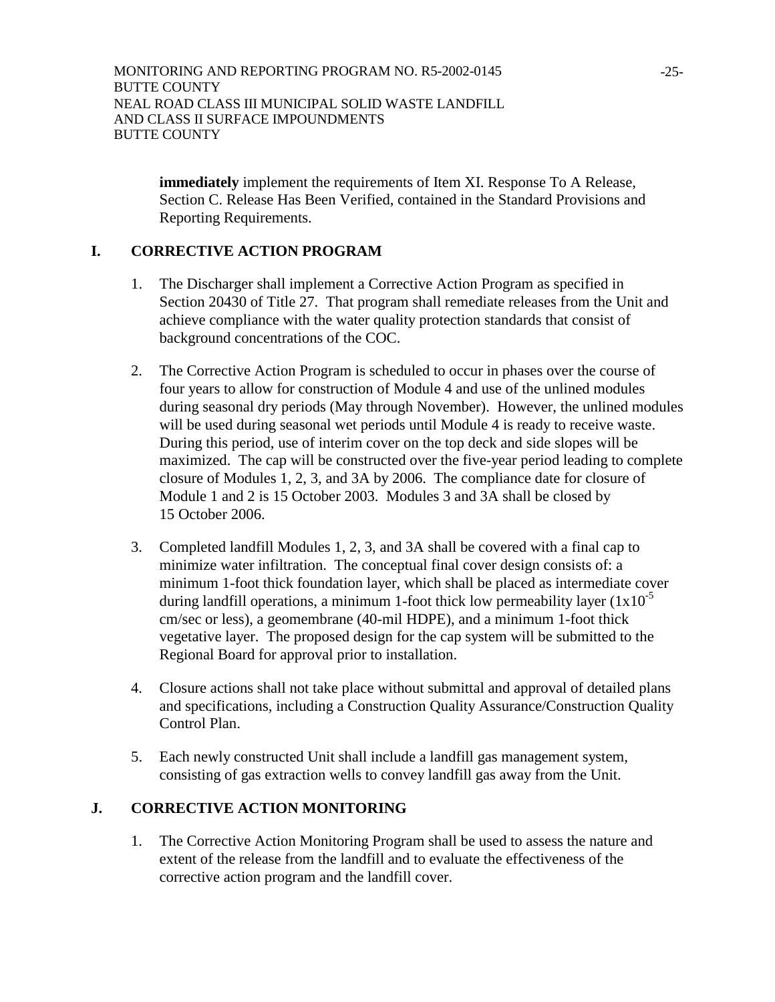**immediately** implement the requirements of Item XI. Response To A Release, Section C. Release Has Been Verified, contained in the Standard Provisions and Reporting Requirements.

# **I. CORRECTIVE ACTION PROGRAM**

- 1. The Discharger shall implement a Corrective Action Program as specified in Section 20430 of Title 27. That program shall remediate releases from the Unit and achieve compliance with the water quality protection standards that consist of background concentrations of the COC.
- 2. The Corrective Action Program is scheduled to occur in phases over the course of four years to allow for construction of Module 4 and use of the unlined modules during seasonal dry periods (May through November). However, the unlined modules will be used during seasonal wet periods until Module 4 is ready to receive waste. During this period, use of interim cover on the top deck and side slopes will be maximized. The cap will be constructed over the five-year period leading to complete closure of Modules 1, 2, 3, and 3A by 2006. The compliance date for closure of Module 1 and 2 is 15 October 2003. Modules 3 and 3A shall be closed by 15 October 2006.
- 3. Completed landfill Modules 1, 2, 3, and 3A shall be covered with a final cap to minimize water infiltration. The conceptual final cover design consists of: a minimum 1-foot thick foundation layer, which shall be placed as intermediate cover during landfill operations, a minimum 1-foot thick low permeability layer  $(1x10^{-5})$ cm/sec or less), a geomembrane (40-mil HDPE), and a minimum 1-foot thick vegetative layer. The proposed design for the cap system will be submitted to the Regional Board for approval prior to installation.
- 4. Closure actions shall not take place without submittal and approval of detailed plans and specifications, including a Construction Quality Assurance/Construction Quality Control Plan.
- 5. Each newly constructed Unit shall include a landfill gas management system, consisting of gas extraction wells to convey landfill gas away from the Unit.

# **J. CORRECTIVE ACTION MONITORING**

1. The Corrective Action Monitoring Program shall be used to assess the nature and extent of the release from the landfill and to evaluate the effectiveness of the corrective action program and the landfill cover.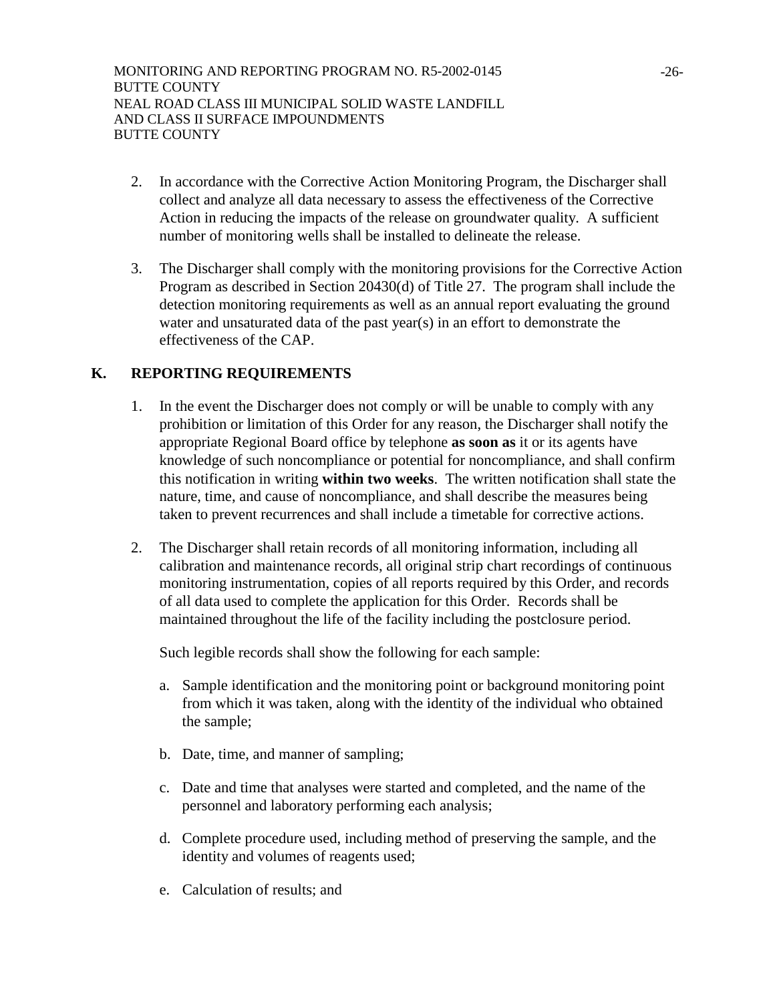- 2. In accordance with the Corrective Action Monitoring Program, the Discharger shall collect and analyze all data necessary to assess the effectiveness of the Corrective Action in reducing the impacts of the release on groundwater quality. A sufficient number of monitoring wells shall be installed to delineate the release.
- 3. The Discharger shall comply with the monitoring provisions for the Corrective Action Program as described in Section 20430(d) of Title 27. The program shall include the detection monitoring requirements as well as an annual report evaluating the ground water and unsaturated data of the past year(s) in an effort to demonstrate the effectiveness of the CAP.

# **K. REPORTING REQUIREMENTS**

- 1. In the event the Discharger does not comply or will be unable to comply with any prohibition or limitation of this Order for any reason, the Discharger shall notify the appropriate Regional Board office by telephone **as soon as** it or its agents have knowledge of such noncompliance or potential for noncompliance, and shall confirm this notification in writing **within two weeks**. The written notification shall state the nature, time, and cause of noncompliance, and shall describe the measures being taken to prevent recurrences and shall include a timetable for corrective actions.
- 2. The Discharger shall retain records of all monitoring information, including all calibration and maintenance records, all original strip chart recordings of continuous monitoring instrumentation, copies of all reports required by this Order, and records of all data used to complete the application for this Order. Records shall be maintained throughout the life of the facility including the postclosure period.

Such legible records shall show the following for each sample:

- a. Sample identification and the monitoring point or background monitoring point from which it was taken, along with the identity of the individual who obtained the sample;
- b. Date, time, and manner of sampling;
- c. Date and time that analyses were started and completed, and the name of the personnel and laboratory performing each analysis;
- d. Complete procedure used, including method of preserving the sample, and the identity and volumes of reagents used;
- e. Calculation of results; and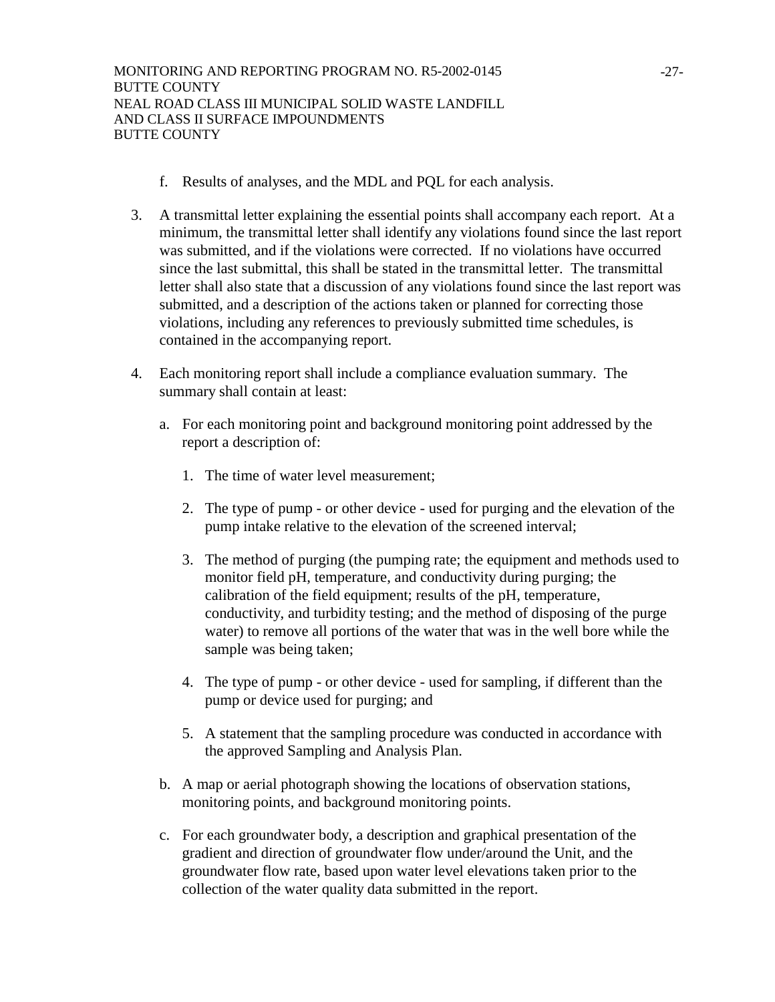- f. Results of analyses, and the MDL and PQL for each analysis.
- 3. A transmittal letter explaining the essential points shall accompany each report. At a minimum, the transmittal letter shall identify any violations found since the last report was submitted, and if the violations were corrected. If no violations have occurred since the last submittal, this shall be stated in the transmittal letter. The transmittal letter shall also state that a discussion of any violations found since the last report was submitted, and a description of the actions taken or planned for correcting those violations, including any references to previously submitted time schedules, is contained in the accompanying report.
- 4. Each monitoring report shall include a compliance evaluation summary. The summary shall contain at least:
	- a. For each monitoring point and background monitoring point addressed by the report a description of:
		- 1. The time of water level measurement;
		- 2. The type of pump or other device used for purging and the elevation of the pump intake relative to the elevation of the screened interval;
		- 3. The method of purging (the pumping rate; the equipment and methods used to monitor field pH, temperature, and conductivity during purging; the calibration of the field equipment; results of the pH, temperature, conductivity, and turbidity testing; and the method of disposing of the purge water) to remove all portions of the water that was in the well bore while the sample was being taken;
		- 4. The type of pump or other device used for sampling, if different than the pump or device used for purging; and
		- 5. A statement that the sampling procedure was conducted in accordance with the approved Sampling and Analysis Plan.
	- b. A map or aerial photograph showing the locations of observation stations, monitoring points, and background monitoring points.
	- c. For each groundwater body, a description and graphical presentation of the gradient and direction of groundwater flow under/around the Unit, and the groundwater flow rate, based upon water level elevations taken prior to the collection of the water quality data submitted in the report.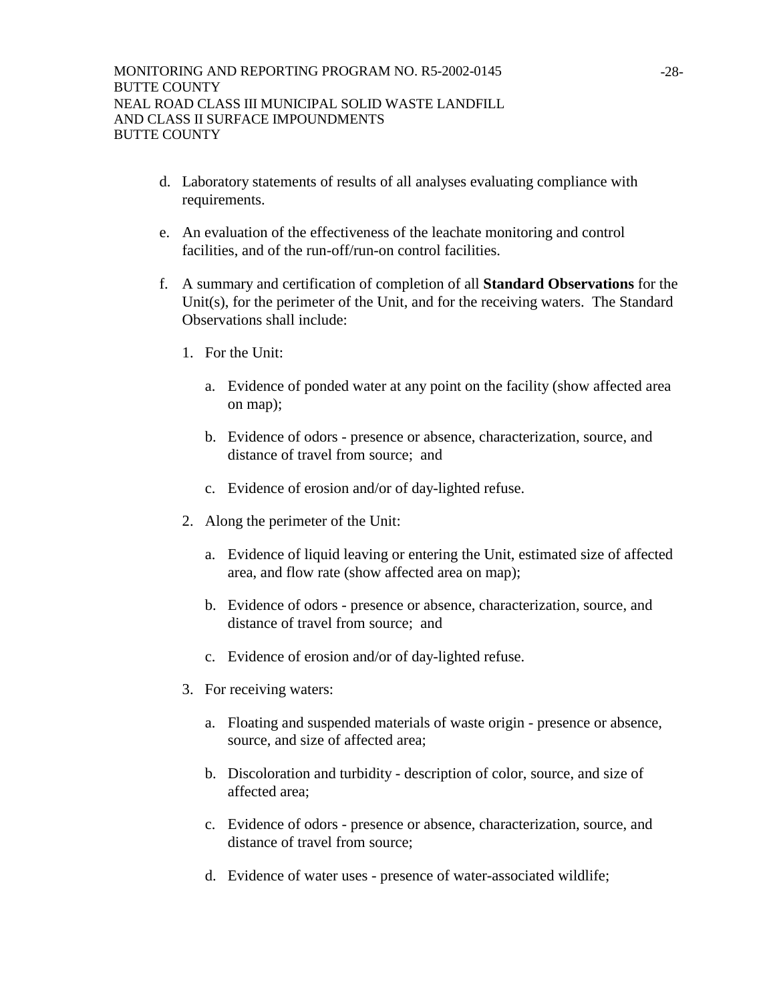- d. Laboratory statements of results of all analyses evaluating compliance with requirements.
- e. An evaluation of the effectiveness of the leachate monitoring and control facilities, and of the run-off/run-on control facilities.
- f. A summary and certification of completion of all **Standard Observations** for the Unit(s), for the perimeter of the Unit, and for the receiving waters. The Standard Observations shall include:
	- 1. For the Unit:
		- a. Evidence of ponded water at any point on the facility (show affected area on map);
		- b. Evidence of odors presence or absence, characterization, source, and distance of travel from source; and
		- c. Evidence of erosion and/or of day-lighted refuse.
	- 2. Along the perimeter of the Unit:
		- a. Evidence of liquid leaving or entering the Unit, estimated size of affected area, and flow rate (show affected area on map);
		- b. Evidence of odors presence or absence, characterization, source, and distance of travel from source; and
		- c. Evidence of erosion and/or of day-lighted refuse.
	- 3. For receiving waters:
		- a. Floating and suspended materials of waste origin presence or absence, source, and size of affected area;
		- b. Discoloration and turbidity description of color, source, and size of affected area;
		- c. Evidence of odors presence or absence, characterization, source, and distance of travel from source;
		- d. Evidence of water uses presence of water-associated wildlife;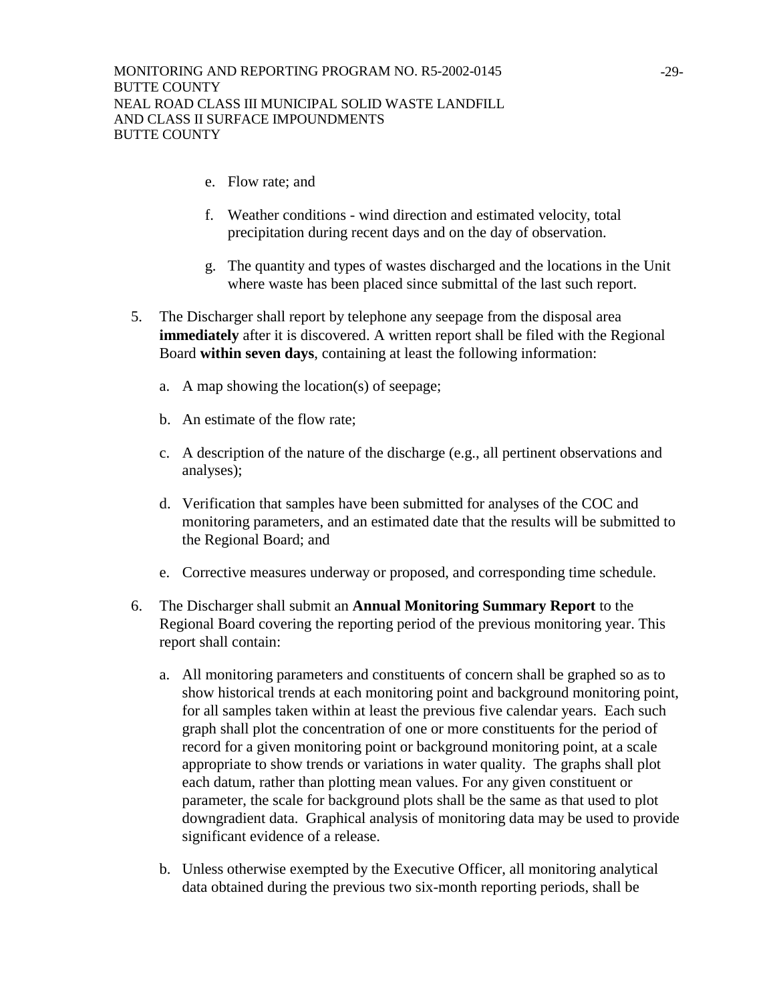- e. Flow rate; and
- f. Weather conditions wind direction and estimated velocity, total precipitation during recent days and on the day of observation.
- g. The quantity and types of wastes discharged and the locations in the Unit where waste has been placed since submittal of the last such report.
- 5. The Discharger shall report by telephone any seepage from the disposal area **immediately** after it is discovered. A written report shall be filed with the Regional Board **within seven days**, containing at least the following information:
	- a. A map showing the location(s) of seepage;
	- b. An estimate of the flow rate;
	- c. A description of the nature of the discharge (e.g., all pertinent observations and analyses);
	- d. Verification that samples have been submitted for analyses of the COC and monitoring parameters, and an estimated date that the results will be submitted to the Regional Board; and
	- e. Corrective measures underway or proposed, and corresponding time schedule.
- 6. The Discharger shall submit an **Annual Monitoring Summary Report** to the Regional Board covering the reporting period of the previous monitoring year. This report shall contain:
	- a. All monitoring parameters and constituents of concern shall be graphed so as to show historical trends at each monitoring point and background monitoring point, for all samples taken within at least the previous five calendar years. Each such graph shall plot the concentration of one or more constituents for the period of record for a given monitoring point or background monitoring point, at a scale appropriate to show trends or variations in water quality. The graphs shall plot each datum, rather than plotting mean values. For any given constituent or parameter, the scale for background plots shall be the same as that used to plot downgradient data. Graphical analysis of monitoring data may be used to provide significant evidence of a release.
	- b. Unless otherwise exempted by the Executive Officer, all monitoring analytical data obtained during the previous two six-month reporting periods, shall be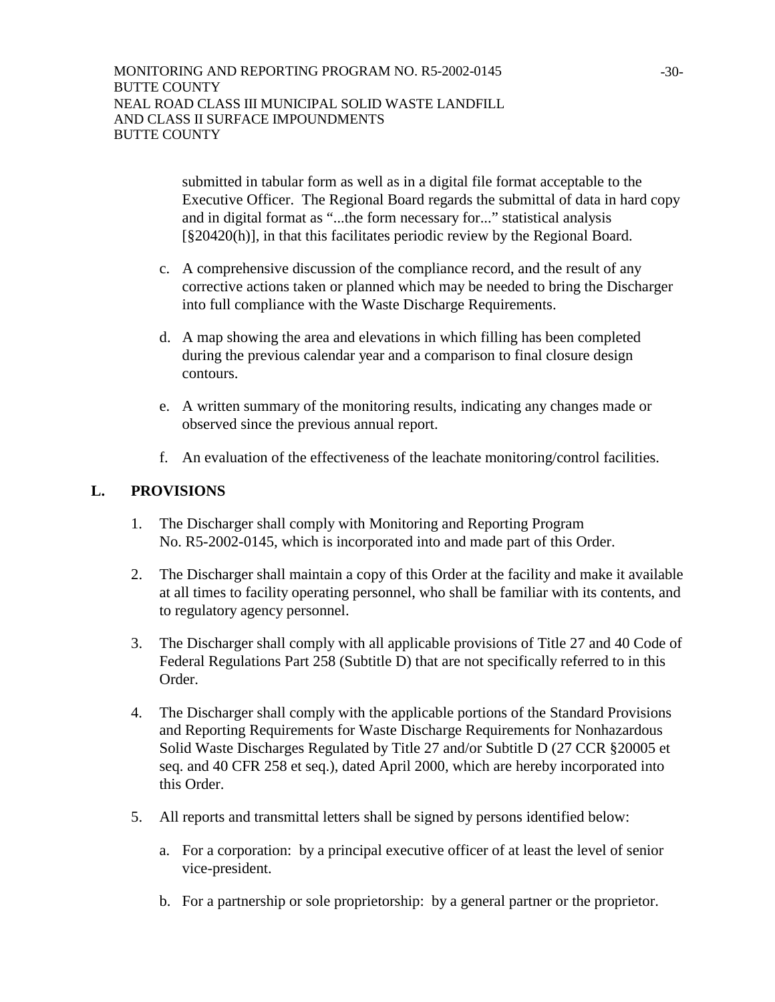submitted in tabular form as well as in a digital file format acceptable to the Executive Officer. The Regional Board regards the submittal of data in hard copy and in digital format as "...the form necessary for..." statistical analysis [§20420(h)], in that this facilitates periodic review by the Regional Board.

- c. A comprehensive discussion of the compliance record, and the result of any corrective actions taken or planned which may be needed to bring the Discharger into full compliance with the Waste Discharge Requirements.
- d. A map showing the area and elevations in which filling has been completed during the previous calendar year and a comparison to final closure design contours.
- e. A written summary of the monitoring results, indicating any changes made or observed since the previous annual report.
- f. An evaluation of the effectiveness of the leachate monitoring/control facilities.

## **L. PROVISIONS**

- 1. The Discharger shall comply with Monitoring and Reporting Program No. R5-2002-0145, which is incorporated into and made part of this Order.
- 2. The Discharger shall maintain a copy of this Order at the facility and make it available at all times to facility operating personnel, who shall be familiar with its contents, and to regulatory agency personnel.
- 3. The Discharger shall comply with all applicable provisions of Title 27 and 40 Code of Federal Regulations Part 258 (Subtitle D) that are not specifically referred to in this Order.
- 4. The Discharger shall comply with the applicable portions of the Standard Provisions and Reporting Requirements for Waste Discharge Requirements for Nonhazardous Solid Waste Discharges Regulated by Title 27 and/or Subtitle D (27 CCR §20005 et seq. and 40 CFR 258 et seq.), dated April 2000, which are hereby incorporated into this Order.
- 5. All reports and transmittal letters shall be signed by persons identified below:
	- a. For a corporation: by a principal executive officer of at least the level of senior vice-president.
	- b. For a partnership or sole proprietorship: by a general partner or the proprietor.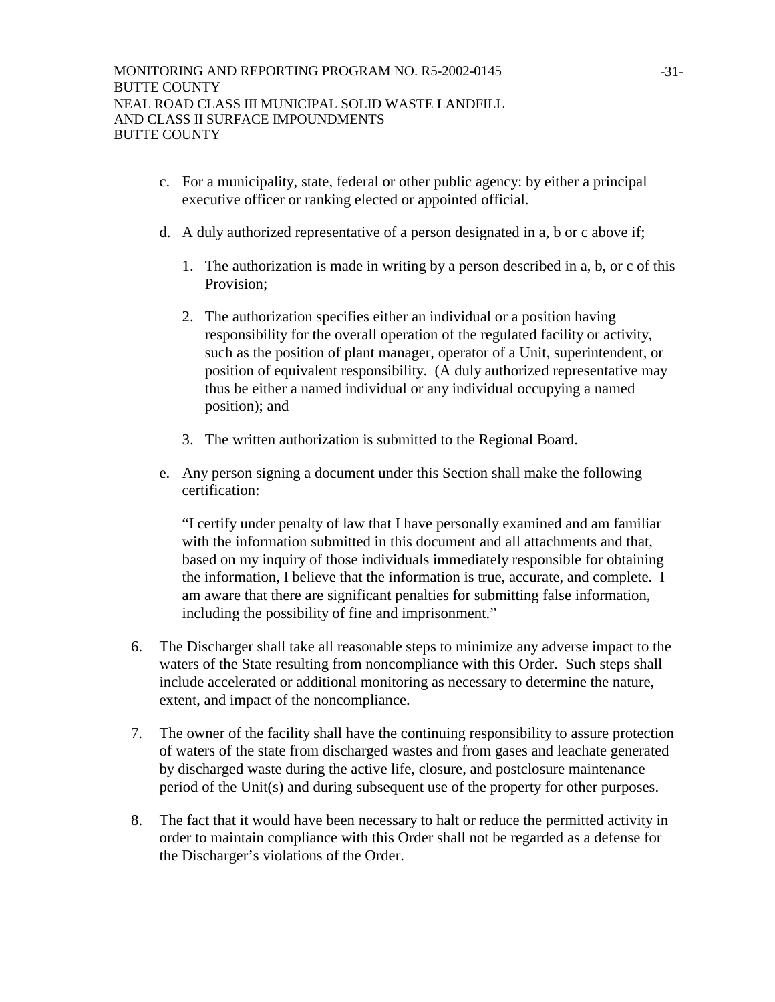- c. For a municipality, state, federal or other public agency: by either a principal executive officer or ranking elected or appointed official.
- d. A duly authorized representative of a person designated in a, b or c above if;
	- 1. The authorization is made in writing by a person described in a, b, or c of this Provision;
	- 2. The authorization specifies either an individual or a position having responsibility for the overall operation of the regulated facility or activity, such as the position of plant manager, operator of a Unit, superintendent, or position of equivalent responsibility. (A duly authorized representative may thus be either a named individual or any individual occupying a named position); and
	- 3. The written authorization is submitted to the Regional Board.
- e. Any person signing a document under this Section shall make the following certification:

"I certify under penalty of law that I have personally examined and am familiar with the information submitted in this document and all attachments and that, based on my inquiry of those individuals immediately responsible for obtaining the information, I believe that the information is true, accurate, and complete. I am aware that there are significant penalties for submitting false information, including the possibility of fine and imprisonment."

- 6. The Discharger shall take all reasonable steps to minimize any adverse impact to the waters of the State resulting from noncompliance with this Order. Such steps shall include accelerated or additional monitoring as necessary to determine the nature, extent, and impact of the noncompliance.
- 7. The owner of the facility shall have the continuing responsibility to assure protection of waters of the state from discharged wastes and from gases and leachate generated by discharged waste during the active life, closure, and postclosure maintenance period of the Unit(s) and during subsequent use of the property for other purposes.
- 8. The fact that it would have been necessary to halt or reduce the permitted activity in order to maintain compliance with this Order shall not be regarded as a defense for the Discharger's violations of the Order.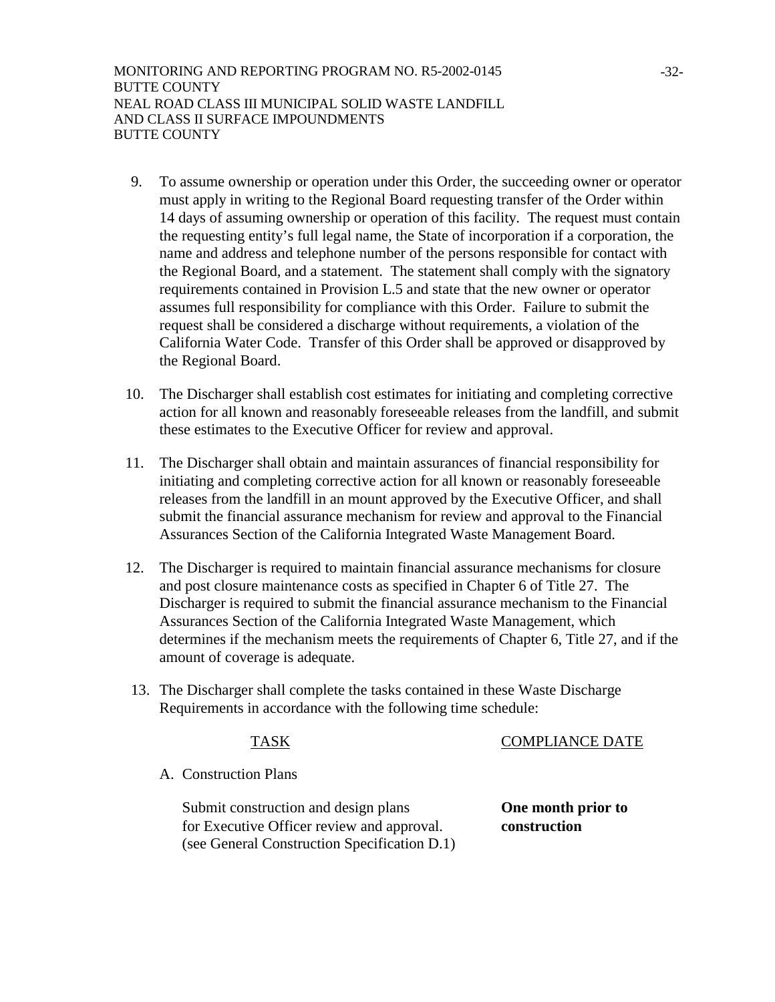- 9. To assume ownership or operation under this Order, the succeeding owner or operator must apply in writing to the Regional Board requesting transfer of the Order within 14 days of assuming ownership or operation of this facility. The request must contain the requesting entity's full legal name, the State of incorporation if a corporation, the name and address and telephone number of the persons responsible for contact with the Regional Board, and a statement. The statement shall comply with the signatory requirements contained in Provision L.5 and state that the new owner or operator assumes full responsibility for compliance with this Order. Failure to submit the request shall be considered a discharge without requirements, a violation of the California Water Code. Transfer of this Order shall be approved or disapproved by the Regional Board.
- 10. The Discharger shall establish cost estimates for initiating and completing corrective action for all known and reasonably foreseeable releases from the landfill, and submit these estimates to the Executive Officer for review and approval.
- 11. The Discharger shall obtain and maintain assurances of financial responsibility for initiating and completing corrective action for all known or reasonably foreseeable releases from the landfill in an mount approved by the Executive Officer, and shall submit the financial assurance mechanism for review and approval to the Financial Assurances Section of the California Integrated Waste Management Board.
- 12. The Discharger is required to maintain financial assurance mechanisms for closure and post closure maintenance costs as specified in Chapter 6 of Title 27. The Discharger is required to submit the financial assurance mechanism to the Financial Assurances Section of the California Integrated Waste Management, which determines if the mechanism meets the requirements of Chapter 6, Title 27, and if the amount of coverage is adequate.
- 13. The Discharger shall complete the tasks contained in these Waste Discharge Requirements in accordance with the following time schedule:

## TASK COMPLIANCE DATE

A. Construction Plans

Submit construction and design plans **One month prior to** for Executive Officer review and approval. **construction** (see General Construction Specification D.1)

-32-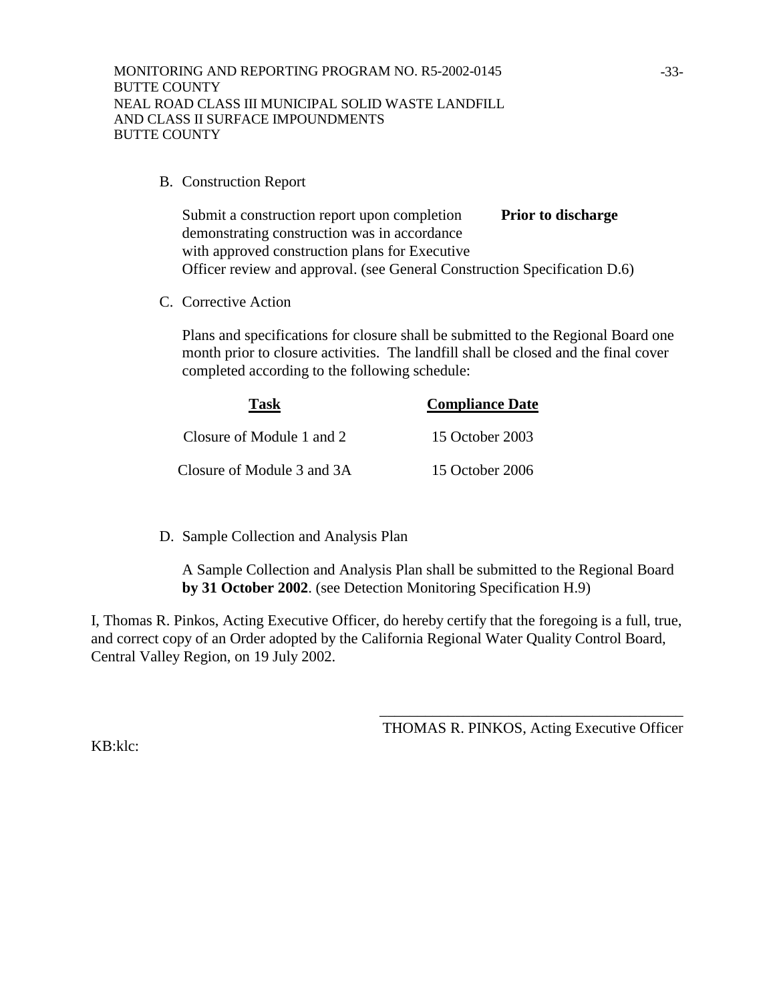B. Construction Report

Submit a construction report upon completion **Prior to discharge** demonstrating construction was in accordance with approved construction plans for Executive Officer review and approval. (see General Construction Specification D.6)

C. Corrective Action

Plans and specifications for closure shall be submitted to the Regional Board one month prior to closure activities. The landfill shall be closed and the final cover completed according to the following schedule:

| <b>Task</b>                | <b>Compliance Date</b> |
|----------------------------|------------------------|
| Closure of Module 1 and 2  | 15 October 2003        |
| Closure of Module 3 and 3A | 15 October 2006        |

D. Sample Collection and Analysis Plan

A Sample Collection and Analysis Plan shall be submitted to the Regional Board **by 31 October 2002**. (see Detection Monitoring Specification H.9)

I, Thomas R. Pinkos, Acting Executive Officer, do hereby certify that the foregoing is a full, true, and correct copy of an Order adopted by the California Regional Water Quality Control Board, Central Valley Region, on 19 July 2002.

> \_\_\_\_\_\_\_\_\_\_\_\_\_\_\_\_\_\_\_\_\_\_\_\_\_\_\_\_\_\_\_\_\_\_\_\_\_\_\_\_ THOMAS R. PINKOS, Acting Executive Officer

KB:klc: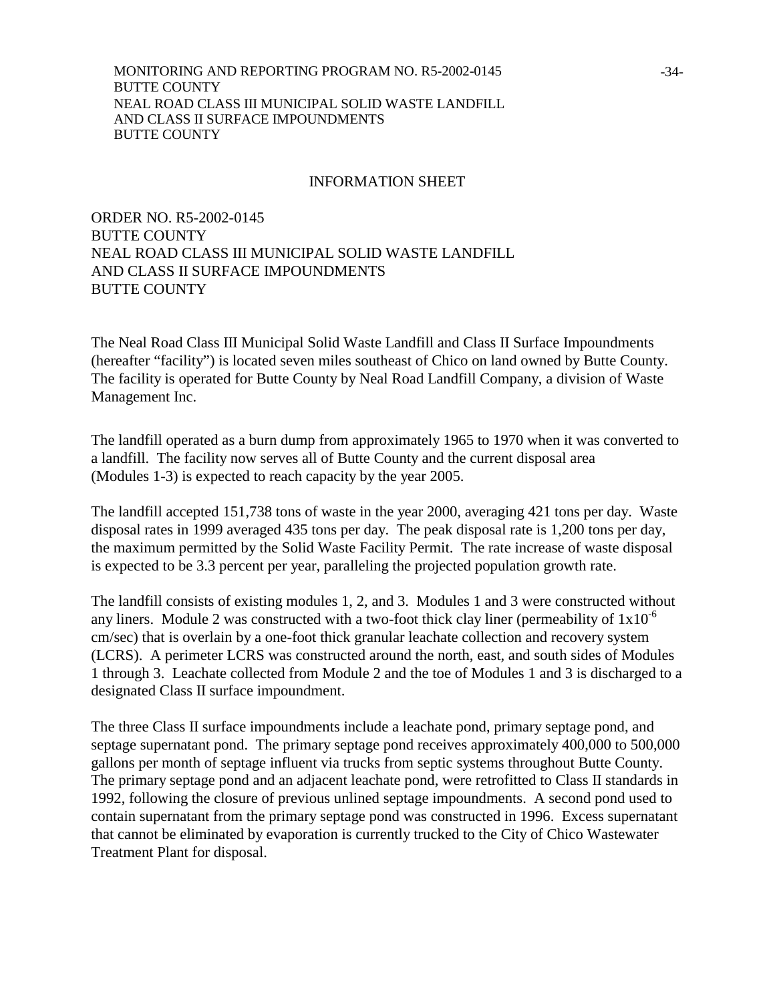#### INFORMATION SHEET

ORDER NO. R5-2002-0145 BUTTE COUNTY NEAL ROAD CLASS III MUNICIPAL SOLID WASTE LANDFILL AND CLASS II SURFACE IMPOUNDMENTS BUTTE COUNTY

The Neal Road Class III Municipal Solid Waste Landfill and Class II Surface Impoundments (hereafter "facility") is located seven miles southeast of Chico on land owned by Butte County. The facility is operated for Butte County by Neal Road Landfill Company, a division of Waste Management Inc.

The landfill operated as a burn dump from approximately 1965 to 1970 when it was converted to a landfill. The facility now serves all of Butte County and the current disposal area (Modules 1-3) is expected to reach capacity by the year 2005.

The landfill accepted 151,738 tons of waste in the year 2000, averaging 421 tons per day. Waste disposal rates in 1999 averaged 435 tons per day. The peak disposal rate is 1,200 tons per day, the maximum permitted by the Solid Waste Facility Permit. The rate increase of waste disposal is expected to be 3.3 percent per year, paralleling the projected population growth rate.

The landfill consists of existing modules 1, 2, and 3. Modules 1 and 3 were constructed without any liners. Module 2 was constructed with a two-foot thick clay liner (permeability of  $1x10^{-6}$ ) cm/sec) that is overlain by a one-foot thick granular leachate collection and recovery system (LCRS). A perimeter LCRS was constructed around the north, east, and south sides of Modules 1 through 3. Leachate collected from Module 2 and the toe of Modules 1 and 3 is discharged to a designated Class II surface impoundment.

The three Class II surface impoundments include a leachate pond, primary septage pond, and septage supernatant pond. The primary septage pond receives approximately 400,000 to 500,000 gallons per month of septage influent via trucks from septic systems throughout Butte County. The primary septage pond and an adjacent leachate pond, were retrofitted to Class II standards in 1992, following the closure of previous unlined septage impoundments. A second pond used to contain supernatant from the primary septage pond was constructed in 1996. Excess supernatant that cannot be eliminated by evaporation is currently trucked to the City of Chico Wastewater Treatment Plant for disposal.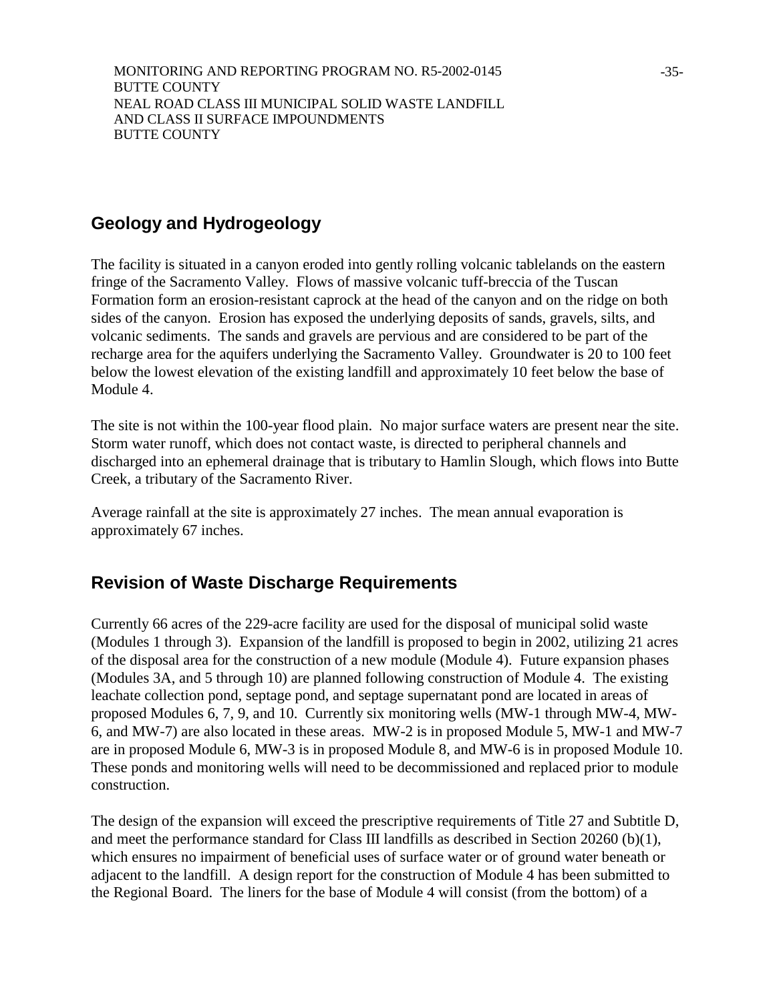# **Geology and Hydrogeology**

The facility is situated in a canyon eroded into gently rolling volcanic tablelands on the eastern fringe of the Sacramento Valley. Flows of massive volcanic tuff-breccia of the Tuscan Formation form an erosion-resistant caprock at the head of the canyon and on the ridge on both sides of the canyon. Erosion has exposed the underlying deposits of sands, gravels, silts, and volcanic sediments. The sands and gravels are pervious and are considered to be part of the recharge area for the aquifers underlying the Sacramento Valley. Groundwater is 20 to 100 feet below the lowest elevation of the existing landfill and approximately 10 feet below the base of Module 4.

The site is not within the 100-year flood plain. No major surface waters are present near the site. Storm water runoff, which does not contact waste, is directed to peripheral channels and discharged into an ephemeral drainage that is tributary to Hamlin Slough, which flows into Butte Creek, a tributary of the Sacramento River.

Average rainfall at the site is approximately 27 inches. The mean annual evaporation is approximately 67 inches.

# **Revision of Waste Discharge Requirements**

Currently 66 acres of the 229-acre facility are used for the disposal of municipal solid waste (Modules 1 through 3). Expansion of the landfill is proposed to begin in 2002, utilizing 21 acres of the disposal area for the construction of a new module (Module 4). Future expansion phases (Modules 3A, and 5 through 10) are planned following construction of Module 4. The existing leachate collection pond, septage pond, and septage supernatant pond are located in areas of proposed Modules 6, 7, 9, and 10. Currently six monitoring wells (MW-1 through MW-4, MW-6, and MW-7) are also located in these areas. MW-2 is in proposed Module 5, MW-1 and MW-7 are in proposed Module 6, MW-3 is in proposed Module 8, and MW-6 is in proposed Module 10. These ponds and monitoring wells will need to be decommissioned and replaced prior to module construction.

The design of the expansion will exceed the prescriptive requirements of Title 27 and Subtitle D, and meet the performance standard for Class III landfills as described in Section 20260 (b)(1), which ensures no impairment of beneficial uses of surface water or of ground water beneath or adjacent to the landfill. A design report for the construction of Module 4 has been submitted to the Regional Board. The liners for the base of Module 4 will consist (from the bottom) of a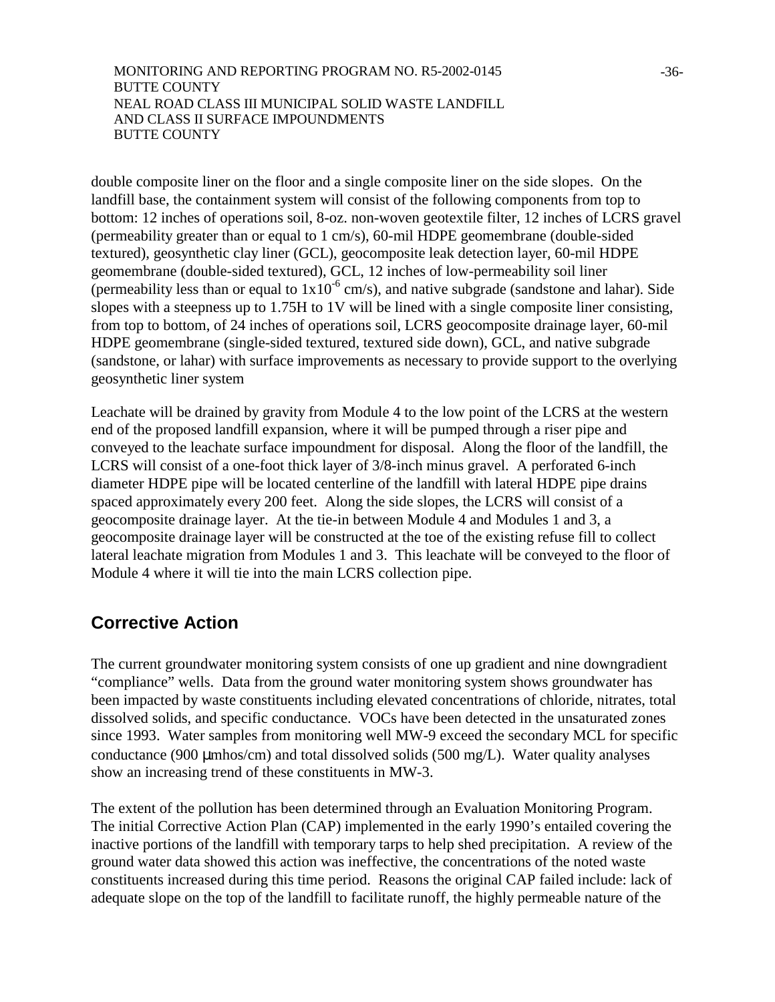double composite liner on the floor and a single composite liner on the side slopes. On the landfill base, the containment system will consist of the following components from top to bottom: 12 inches of operations soil, 8-oz. non-woven geotextile filter, 12 inches of LCRS gravel (permeability greater than or equal to 1 cm/s), 60-mil HDPE geomembrane (double-sided textured), geosynthetic clay liner (GCL), geocomposite leak detection layer, 60-mil HDPE geomembrane (double-sided textured), GCL, 12 inches of low-permeability soil liner (permeability less than or equal to  $1x10^{-6}$  cm/s), and native subgrade (sandstone and lahar). Side slopes with a steepness up to 1.75H to 1V will be lined with a single composite liner consisting, from top to bottom, of 24 inches of operations soil, LCRS geocomposite drainage layer, 60-mil HDPE geomembrane (single-sided textured, textured side down), GCL, and native subgrade (sandstone, or lahar) with surface improvements as necessary to provide support to the overlying geosynthetic liner system

Leachate will be drained by gravity from Module 4 to the low point of the LCRS at the western end of the proposed landfill expansion, where it will be pumped through a riser pipe and conveyed to the leachate surface impoundment for disposal. Along the floor of the landfill, the LCRS will consist of a one-foot thick layer of 3/8-inch minus gravel. A perforated 6-inch diameter HDPE pipe will be located centerline of the landfill with lateral HDPE pipe drains spaced approximately every 200 feet. Along the side slopes, the LCRS will consist of a geocomposite drainage layer. At the tie-in between Module 4 and Modules 1 and 3, a geocomposite drainage layer will be constructed at the toe of the existing refuse fill to collect lateral leachate migration from Modules 1 and 3. This leachate will be conveyed to the floor of Module 4 where it will tie into the main LCRS collection pipe.

# **Corrective Action**

The current groundwater monitoring system consists of one up gradient and nine downgradient "compliance" wells. Data from the ground water monitoring system shows groundwater has been impacted by waste constituents including elevated concentrations of chloride, nitrates, total dissolved solids, and specific conductance. VOCs have been detected in the unsaturated zones since 1993. Water samples from monitoring well MW-9 exceed the secondary MCL for specific conductance (900 µmhos/cm) and total dissolved solids (500 mg/L). Water quality analyses show an increasing trend of these constituents in MW-3.

The extent of the pollution has been determined through an Evaluation Monitoring Program. The initial Corrective Action Plan (CAP) implemented in the early 1990's entailed covering the inactive portions of the landfill with temporary tarps to help shed precipitation. A review of the ground water data showed this action was ineffective, the concentrations of the noted waste constituents increased during this time period. Reasons the original CAP failed include: lack of adequate slope on the top of the landfill to facilitate runoff, the highly permeable nature of the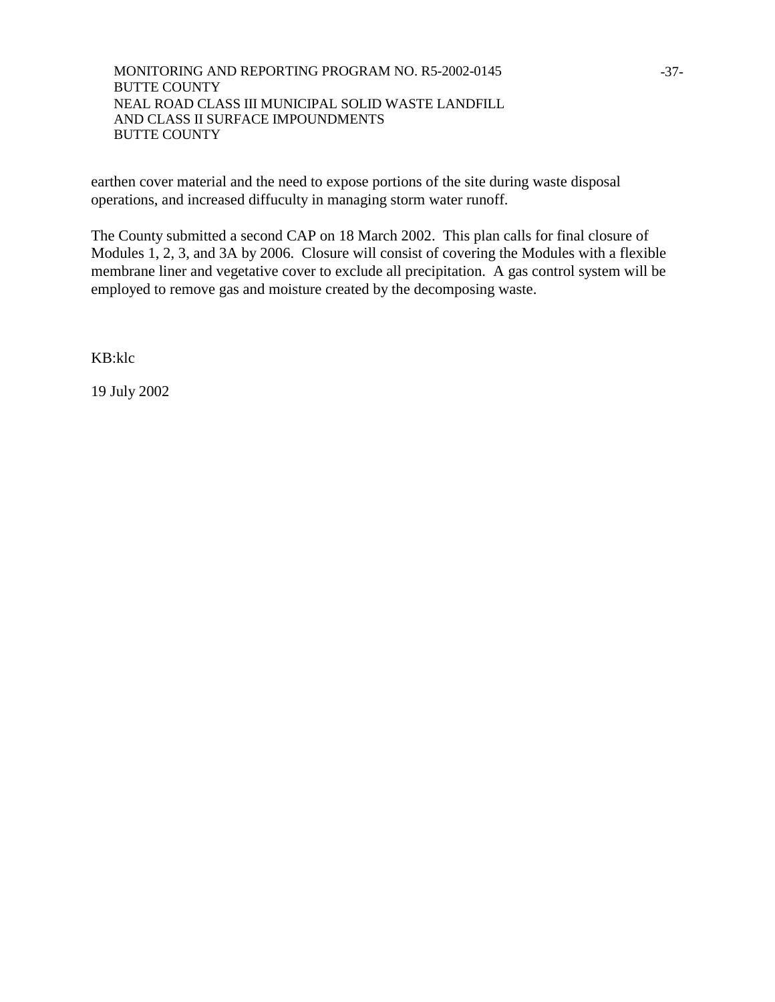earthen cover material and the need to expose portions of the site during waste disposal operations, and increased diffuculty in managing storm water runoff.

The County submitted a second CAP on 18 March 2002. This plan calls for final closure of Modules 1, 2, 3, and 3A by 2006. Closure will consist of covering the Modules with a flexible membrane liner and vegetative cover to exclude all precipitation. A gas control system will be employed to remove gas and moisture created by the decomposing waste.

KB:klc

19 July 2002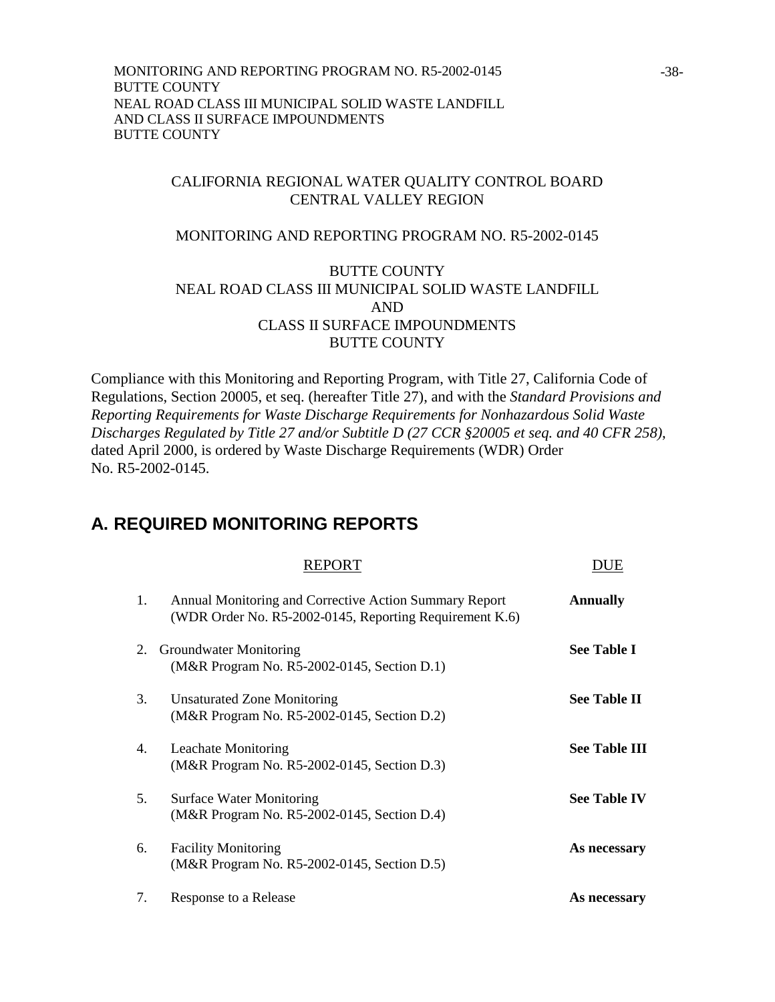## CALIFORNIA REGIONAL WATER QUALITY CONTROL BOARD CENTRAL VALLEY REGION

#### MONITORING AND REPORTING PROGRAM NO. R5-2002-0145

# BUTTE COUNTY NEAL ROAD CLASS III MUNICIPAL SOLID WASTE LANDFILL AND CLASS II SURFACE IMPOUNDMENTS BUTTE COUNTY

Compliance with this Monitoring and Reporting Program, with Title 27, California Code of Regulations, Section 20005, et seq. (hereafter Title 27), and with the *Standard Provisions and Reporting Requirements for Waste Discharge Requirements for Nonhazardous Solid Waste Discharges Regulated by Title 27 and/or Subtitle D (27 CCR §20005 et seq. and 40 CFR 258)*, dated April 2000, is ordered by Waste Discharge Requirements (WDR) Order No. R5-2002-0145.

# **A. REQUIRED MONITORING REPORTS**

|         | REPORT                                                                                                            | UE                   |
|---------|-------------------------------------------------------------------------------------------------------------------|----------------------|
| 1.      | Annual Monitoring and Corrective Action Summary Report<br>(WDR Order No. R5-2002-0145, Reporting Requirement K.6) | <b>Annually</b>      |
| $2_{-}$ | Groundwater Monitoring<br>(M&R Program No. R5-2002-0145, Section D.1)                                             | <b>See Table I</b>   |
| 3.      | <b>Unsaturated Zone Monitoring</b><br>(M&R Program No. R5-2002-0145, Section D.2)                                 | <b>See Table II</b>  |
| 4.      | <b>Leachate Monitoring</b><br>(M&R Program No. R5-2002-0145, Section D.3)                                         | <b>See Table III</b> |
| 5.      | <b>Surface Water Monitoring</b><br>(M&R Program No. R5-2002-0145, Section D.4)                                    | <b>See Table IV</b>  |
| 6.      | <b>Facility Monitoring</b><br>(M&R Program No. R5-2002-0145, Section D.5)                                         | As necessary         |
| 7.      | Response to a Release                                                                                             | As necessary         |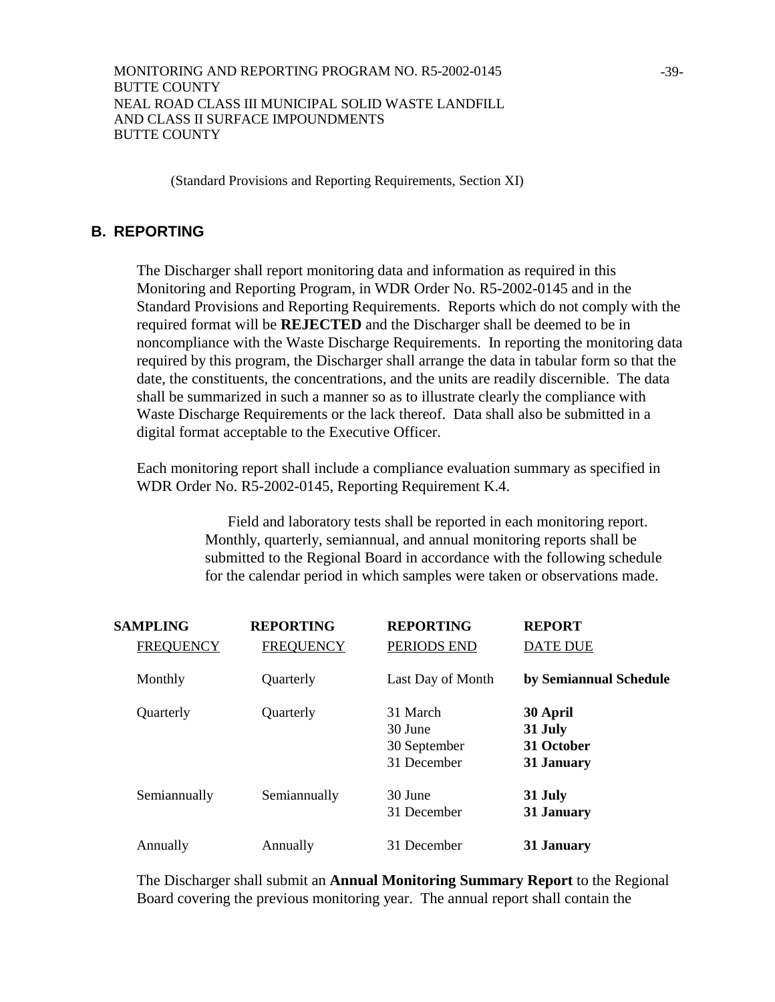(Standard Provisions and Reporting Requirements, Section XI)

# **B. REPORTING**

 The Discharger shall report monitoring data and information as required in this Monitoring and Reporting Program, in WDR Order No. R5-2002-0145 and in the Standard Provisions and Reporting Requirements. Reports which do not comply with the required format will be **REJECTED** and the Discharger shall be deemed to be in noncompliance with the Waste Discharge Requirements. In reporting the monitoring data required by this program, the Discharger shall arrange the data in tabular form so that the date, the constituents, the concentrations, and the units are readily discernible. The data shall be summarized in such a manner so as to illustrate clearly the compliance with Waste Discharge Requirements or the lack thereof. Data shall also be submitted in a digital format acceptable to the Executive Officer.

 Each monitoring report shall include a compliance evaluation summary as specified in WDR Order No. R5-2002-0145, Reporting Requirement K.4.

> Field and laboratory tests shall be reported in each monitoring report. Monthly, quarterly, semiannual, and annual monitoring reports shall be submitted to the Regional Board in accordance with the following schedule for the calendar period in which samples were taken or observations made.

| <b>SAMPLING</b>  | <b>REPORTING</b> | <b>REPORTING</b>                                   | <b>REPORT</b>                                   |
|------------------|------------------|----------------------------------------------------|-------------------------------------------------|
| <b>FREQUENCY</b> | <b>FREQUENCY</b> | PERIODS END                                        | <b>DATE DUE</b>                                 |
| Monthly          | Quarterly        | Last Day of Month                                  | by Semiannual Schedule                          |
| Quarterly        | Quarterly        | 31 March<br>30 June<br>30 September<br>31 December | 30 April<br>31 July<br>31 October<br>31 January |
| Semiannually     | Semiannually     | 30 June<br>31 December                             | 31 July<br>31 January                           |
| Annually         | Annually         | 31 December                                        | 31 January                                      |

 The Discharger shall submit an **Annual Monitoring Summary Report** to the Regional Board covering the previous monitoring year. The annual report shall contain the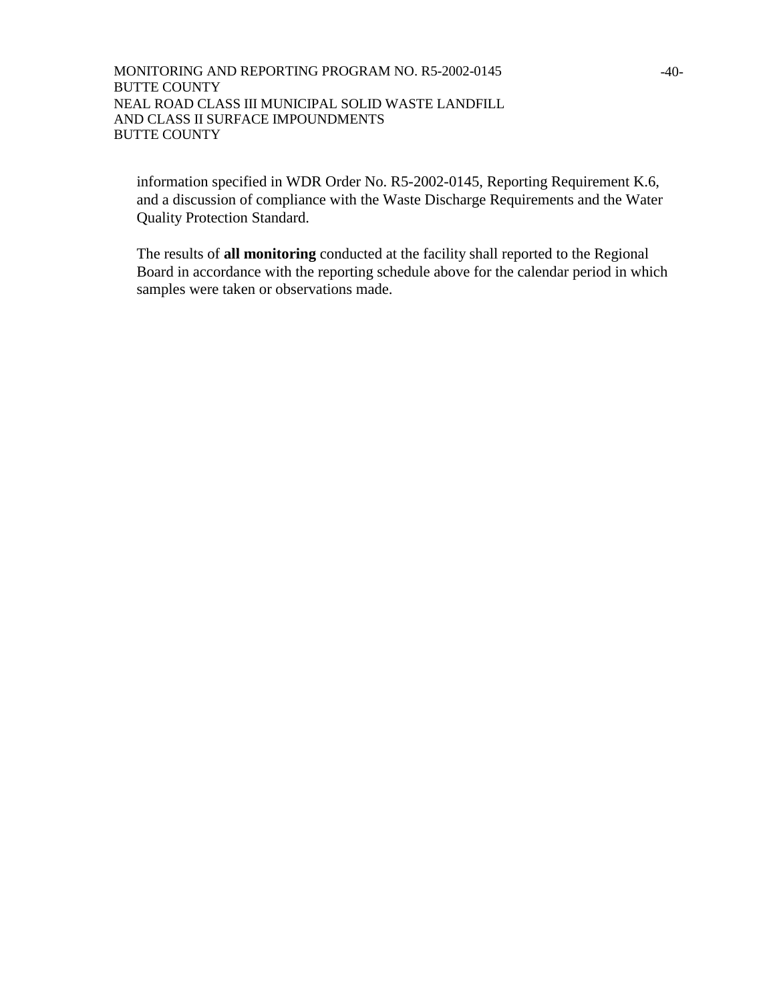information specified in WDR Order No. R5-2002-0145, Reporting Requirement K.6, and a discussion of compliance with the Waste Discharge Requirements and the Water Quality Protection Standard.

 The results of **all monitoring** conducted at the facility shall reported to the Regional Board in accordance with the reporting schedule above for the calendar period in which samples were taken or observations made.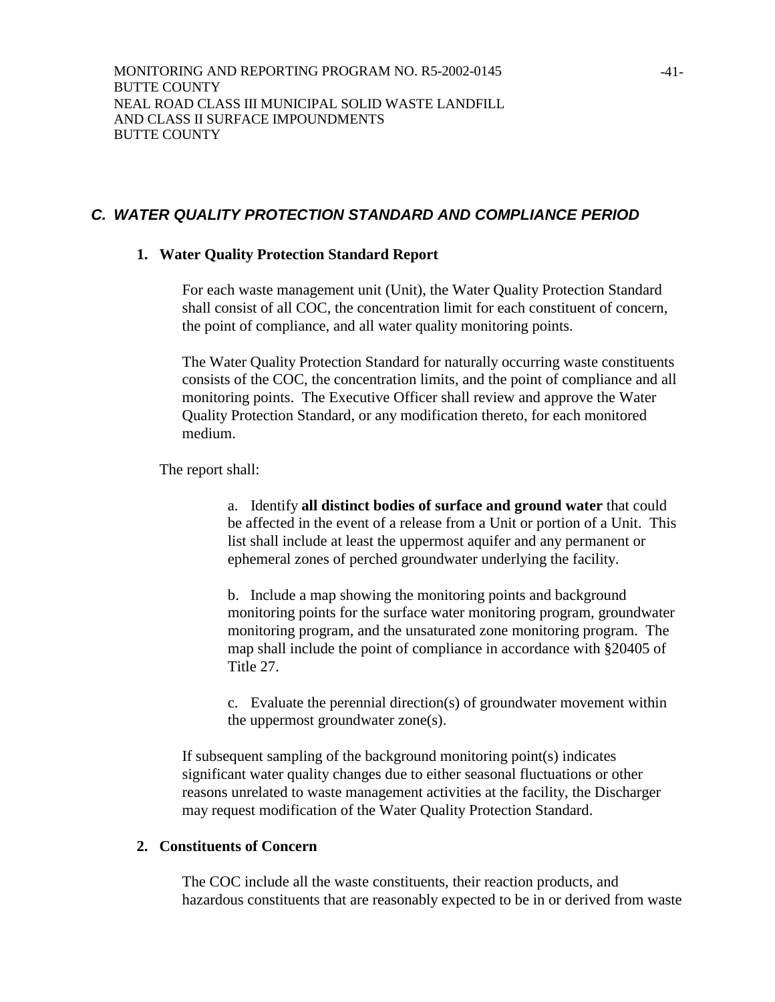# *C. WATER QUALITY PROTECTION STANDARD AND COMPLIANCE PERIOD*

### **1. Water Quality Protection Standard Report**

 For each waste management unit (Unit), the Water Quality Protection Standard shall consist of all COC, the concentration limit for each constituent of concern, the point of compliance, and all water quality monitoring points.

 The Water Quality Protection Standard for naturally occurring waste constituents consists of the COC, the concentration limits, and the point of compliance and all monitoring points. The Executive Officer shall review and approve the Water Quality Protection Standard, or any modification thereto, for each monitored medium.

The report shall:

 a. Identify **all distinct bodies of surface and ground water** that could be affected in the event of a release from a Unit or portion of a Unit. This list shall include at least the uppermost aquifer and any permanent or ephemeral zones of perched groundwater underlying the facility.

 b. Include a map showing the monitoring points and background monitoring points for the surface water monitoring program, groundwater monitoring program, and the unsaturated zone monitoring program. The map shall include the point of compliance in accordance with §20405 of Title 27.

 c. Evaluate the perennial direction(s) of groundwater movement within the uppermost groundwater zone(s).

 If subsequent sampling of the background monitoring point(s) indicates significant water quality changes due to either seasonal fluctuations or other reasons unrelated to waste management activities at the facility, the Discharger may request modification of the Water Quality Protection Standard.

#### **2. Constituents of Concern**

 The COC include all the waste constituents, their reaction products, and hazardous constituents that are reasonably expected to be in or derived from waste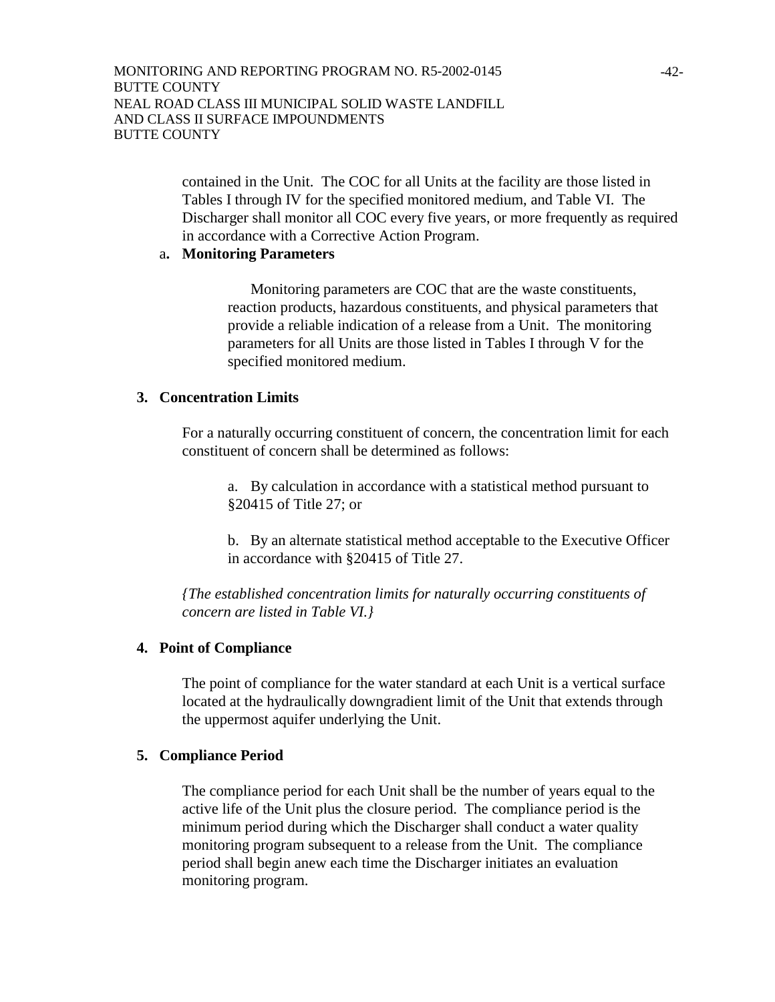contained in the Unit. The COC for all Units at the facility are those listed in Tables I through IV for the specified monitored medium, and Table VI. The Discharger shall monitor all COC every five years, or more frequently as required in accordance with a Corrective Action Program.

#### a**. Monitoring Parameters**

 Monitoring parameters are COC that are the waste constituents, reaction products, hazardous constituents, and physical parameters that provide a reliable indication of a release from a Unit. The monitoring parameters for all Units are those listed in Tables I through V for the specified monitored medium.

#### **3. Concentration Limits**

 For a naturally occurring constituent of concern, the concentration limit for each constituent of concern shall be determined as follows:

 a. By calculation in accordance with a statistical method pursuant to §20415 of Title 27; or

 b. By an alternate statistical method acceptable to the Executive Officer in accordance with §20415 of Title 27.

*{The established concentration limits for naturally occurring constituents of concern are listed in Table VI.}* 

#### **4. Point of Compliance**

 The point of compliance for the water standard at each Unit is a vertical surface located at the hydraulically downgradient limit of the Unit that extends through the uppermost aquifer underlying the Unit.

#### **5. Compliance Period**

 The compliance period for each Unit shall be the number of years equal to the active life of the Unit plus the closure period. The compliance period is the minimum period during which the Discharger shall conduct a water quality monitoring program subsequent to a release from the Unit. The compliance period shall begin anew each time the Discharger initiates an evaluation monitoring program.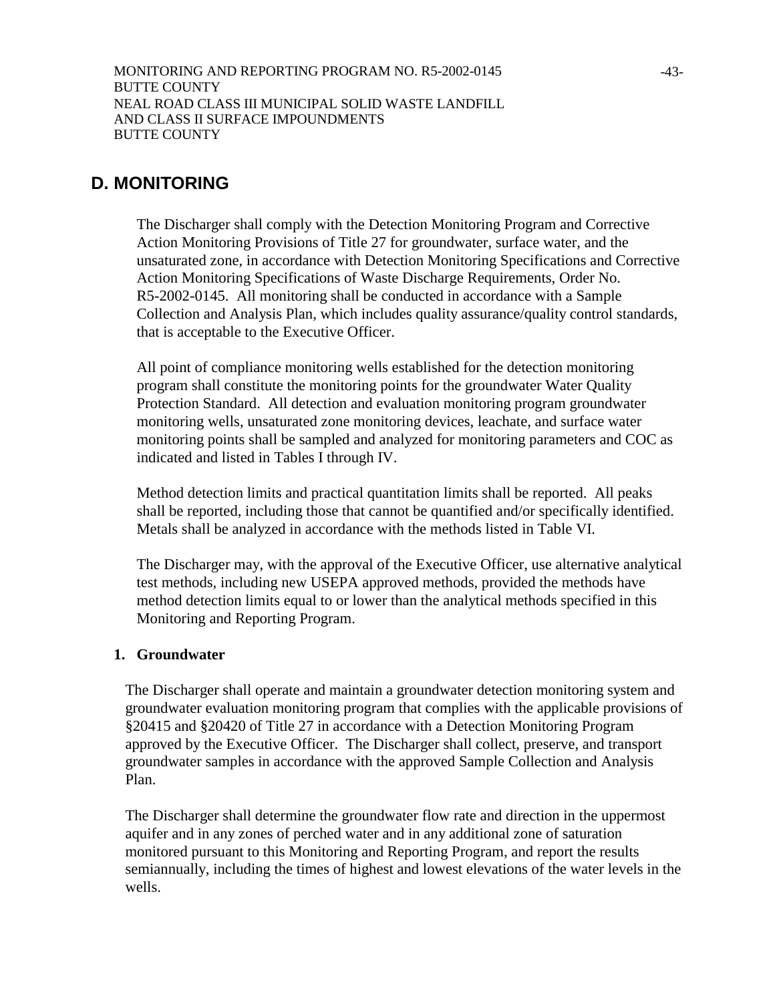# **D. MONITORING**

The Discharger shall comply with the Detection Monitoring Program and Corrective Action Monitoring Provisions of Title 27 for groundwater, surface water, and the unsaturated zone, in accordance with Detection Monitoring Specifications and Corrective Action Monitoring Specifications of Waste Discharge Requirements, Order No. R5-2002-0145. All monitoring shall be conducted in accordance with a Sample Collection and Analysis Plan, which includes quality assurance/quality control standards, that is acceptable to the Executive Officer.

All point of compliance monitoring wells established for the detection monitoring program shall constitute the monitoring points for the groundwater Water Quality Protection Standard. All detection and evaluation monitoring program groundwater monitoring wells, unsaturated zone monitoring devices, leachate, and surface water monitoring points shall be sampled and analyzed for monitoring parameters and COC as indicated and listed in Tables I through IV.

Method detection limits and practical quantitation limits shall be reported. All peaks shall be reported, including those that cannot be quantified and/or specifically identified. Metals shall be analyzed in accordance with the methods listed in Table VI.

The Discharger may, with the approval of the Executive Officer, use alternative analytical test methods, including new USEPA approved methods, provided the methods have method detection limits equal to or lower than the analytical methods specified in this Monitoring and Reporting Program.

## **1. Groundwater**

The Discharger shall operate and maintain a groundwater detection monitoring system and groundwater evaluation monitoring program that complies with the applicable provisions of §20415 and §20420 of Title 27 in accordance with a Detection Monitoring Program approved by the Executive Officer. The Discharger shall collect, preserve, and transport groundwater samples in accordance with the approved Sample Collection and Analysis Plan.

The Discharger shall determine the groundwater flow rate and direction in the uppermost aquifer and in any zones of perched water and in any additional zone of saturation monitored pursuant to this Monitoring and Reporting Program, and report the results semiannually, including the times of highest and lowest elevations of the water levels in the wells.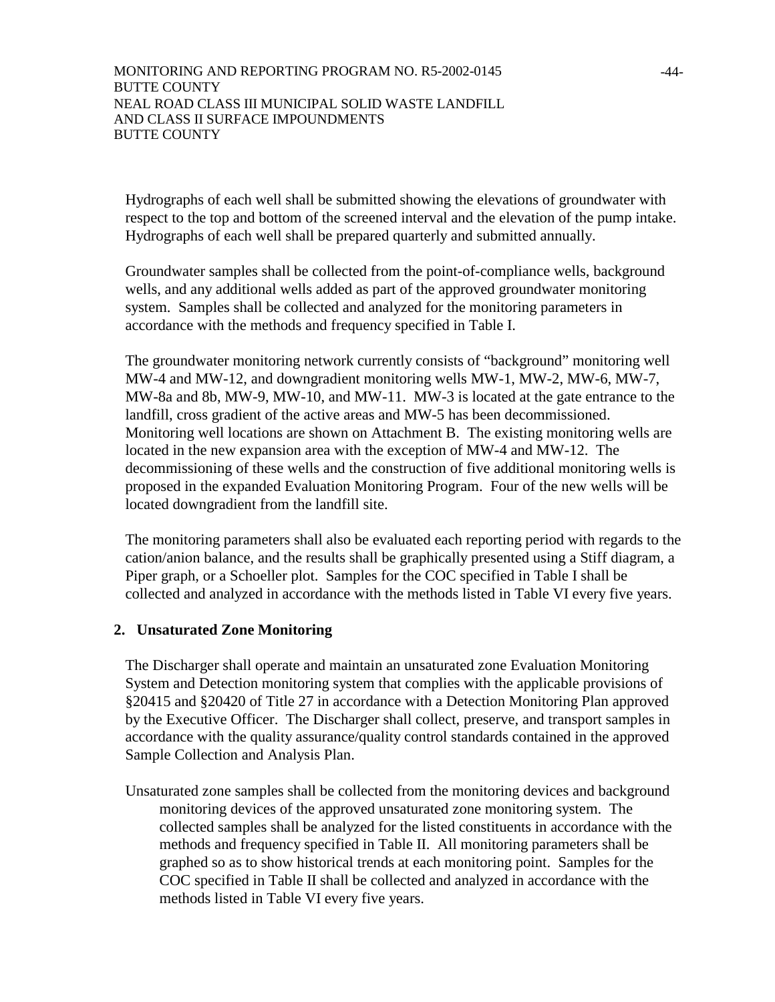Hydrographs of each well shall be submitted showing the elevations of groundwater with respect to the top and bottom of the screened interval and the elevation of the pump intake. Hydrographs of each well shall be prepared quarterly and submitted annually.

Groundwater samples shall be collected from the point-of-compliance wells, background wells, and any additional wells added as part of the approved groundwater monitoring system. Samples shall be collected and analyzed for the monitoring parameters in accordance with the methods and frequency specified in Table I.

The groundwater monitoring network currently consists of "background" monitoring well MW-4 and MW-12, and downgradient monitoring wells MW-1, MW-2, MW-6, MW-7, MW-8a and 8b, MW-9, MW-10, and MW-11. MW-3 is located at the gate entrance to the landfill, cross gradient of the active areas and MW-5 has been decommissioned. Monitoring well locations are shown on Attachment B. The existing monitoring wells are located in the new expansion area with the exception of MW-4 and MW-12. The decommissioning of these wells and the construction of five additional monitoring wells is proposed in the expanded Evaluation Monitoring Program. Four of the new wells will be located downgradient from the landfill site.

The monitoring parameters shall also be evaluated each reporting period with regards to the cation/anion balance, and the results shall be graphically presented using a Stiff diagram, a Piper graph, or a Schoeller plot. Samples for the COC specified in Table I shall be collected and analyzed in accordance with the methods listed in Table VI every five years.

## **2. Unsaturated Zone Monitoring**

The Discharger shall operate and maintain an unsaturated zone Evaluation Monitoring System and Detection monitoring system that complies with the applicable provisions of §20415 and §20420 of Title 27 in accordance with a Detection Monitoring Plan approved by the Executive Officer. The Discharger shall collect, preserve, and transport samples in accordance with the quality assurance/quality control standards contained in the approved Sample Collection and Analysis Plan.

Unsaturated zone samples shall be collected from the monitoring devices and background monitoring devices of the approved unsaturated zone monitoring system. The collected samples shall be analyzed for the listed constituents in accordance with the methods and frequency specified in Table II. All monitoring parameters shall be graphed so as to show historical trends at each monitoring point. Samples for the COC specified in Table II shall be collected and analyzed in accordance with the methods listed in Table VI every five years.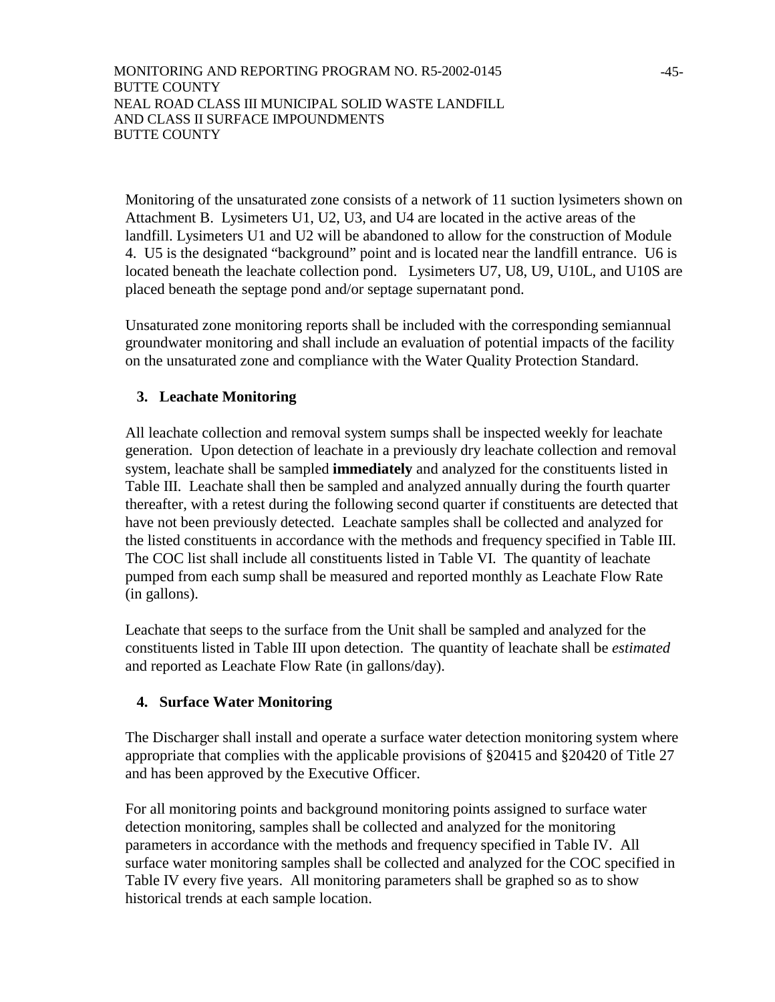Monitoring of the unsaturated zone consists of a network of 11 suction lysimeters shown on Attachment B. Lysimeters U1, U2, U3, and U4 are located in the active areas of the landfill. Lysimeters U1 and U2 will be abandoned to allow for the construction of Module 4. U5 is the designated "background" point and is located near the landfill entrance. U6 is located beneath the leachate collection pond. Lysimeters U7, U8, U9, U10L, and U10S are placed beneath the septage pond and/or septage supernatant pond.

Unsaturated zone monitoring reports shall be included with the corresponding semiannual groundwater monitoring and shall include an evaluation of potential impacts of the facility on the unsaturated zone and compliance with the Water Quality Protection Standard.

# **3. Leachate Monitoring**

All leachate collection and removal system sumps shall be inspected weekly for leachate generation. Upon detection of leachate in a previously dry leachate collection and removal system, leachate shall be sampled **immediately** and analyzed for the constituents listed in Table III. Leachate shall then be sampled and analyzed annually during the fourth quarter thereafter, with a retest during the following second quarter if constituents are detected that have not been previously detected. Leachate samples shall be collected and analyzed for the listed constituents in accordance with the methods and frequency specified in Table III. The COC list shall include all constituents listed in Table VI. The quantity of leachate pumped from each sump shall be measured and reported monthly as Leachate Flow Rate (in gallons).

Leachate that seeps to the surface from the Unit shall be sampled and analyzed for the constituents listed in Table III upon detection. The quantity of leachate shall be *estimated* and reported as Leachate Flow Rate (in gallons/day).

# **4. Surface Water Monitoring**

The Discharger shall install and operate a surface water detection monitoring system where appropriate that complies with the applicable provisions of §20415 and §20420 of Title 27 and has been approved by the Executive Officer.

For all monitoring points and background monitoring points assigned to surface water detection monitoring, samples shall be collected and analyzed for the monitoring parameters in accordance with the methods and frequency specified in Table IV. All surface water monitoring samples shall be collected and analyzed for the COC specified in Table IV every five years. All monitoring parameters shall be graphed so as to show historical trends at each sample location.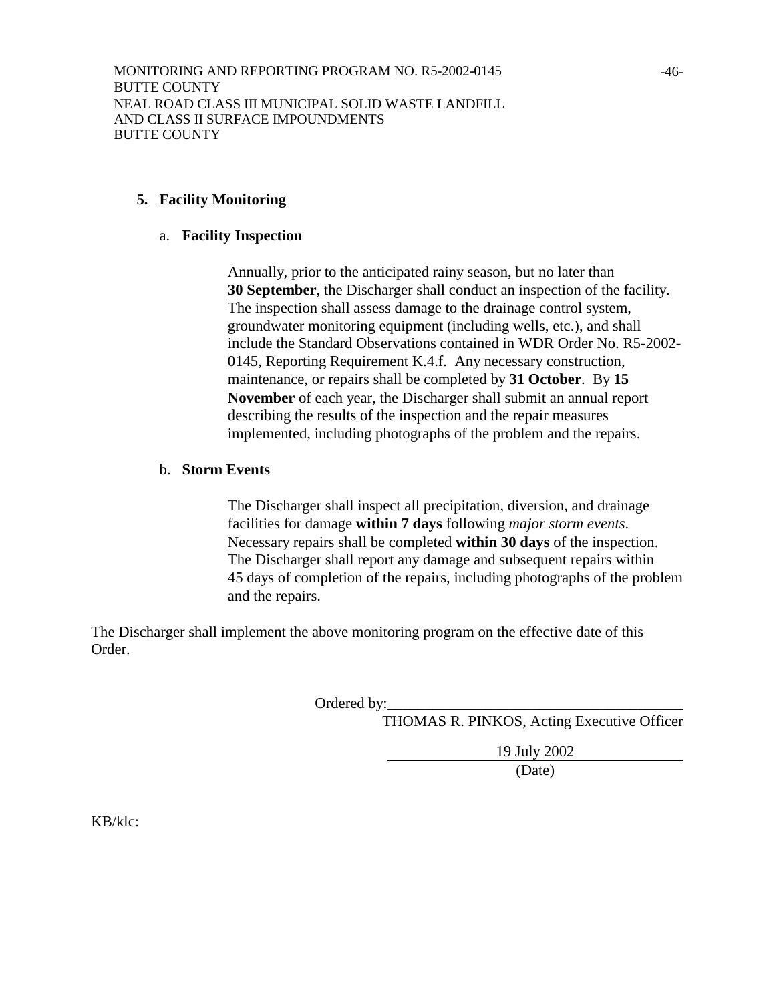### **5. Facility Monitoring**

### a. **Facility Inspection**

Annually, prior to the anticipated rainy season, but no later than **30 September**, the Discharger shall conduct an inspection of the facility. The inspection shall assess damage to the drainage control system, groundwater monitoring equipment (including wells, etc.), and shall include the Standard Observations contained in WDR Order No. R5-2002- 0145, Reporting Requirement K.4.f. Any necessary construction, maintenance, or repairs shall be completed by **31 October**. By **15 November** of each year, the Discharger shall submit an annual report describing the results of the inspection and the repair measures implemented, including photographs of the problem and the repairs.

## b. **Storm Events**

The Discharger shall inspect all precipitation, diversion, and drainage facilities for damage **within 7 days** following *major storm events*. Necessary repairs shall be completed **within 30 days** of the inspection. The Discharger shall report any damage and subsequent repairs within 45 days of completion of the repairs, including photographs of the problem and the repairs.

The Discharger shall implement the above monitoring program on the effective date of this Order.

Ordered by:

THOMAS R. PINKOS, Acting Executive Officer

19 July 2002

(Date)

KB/klc: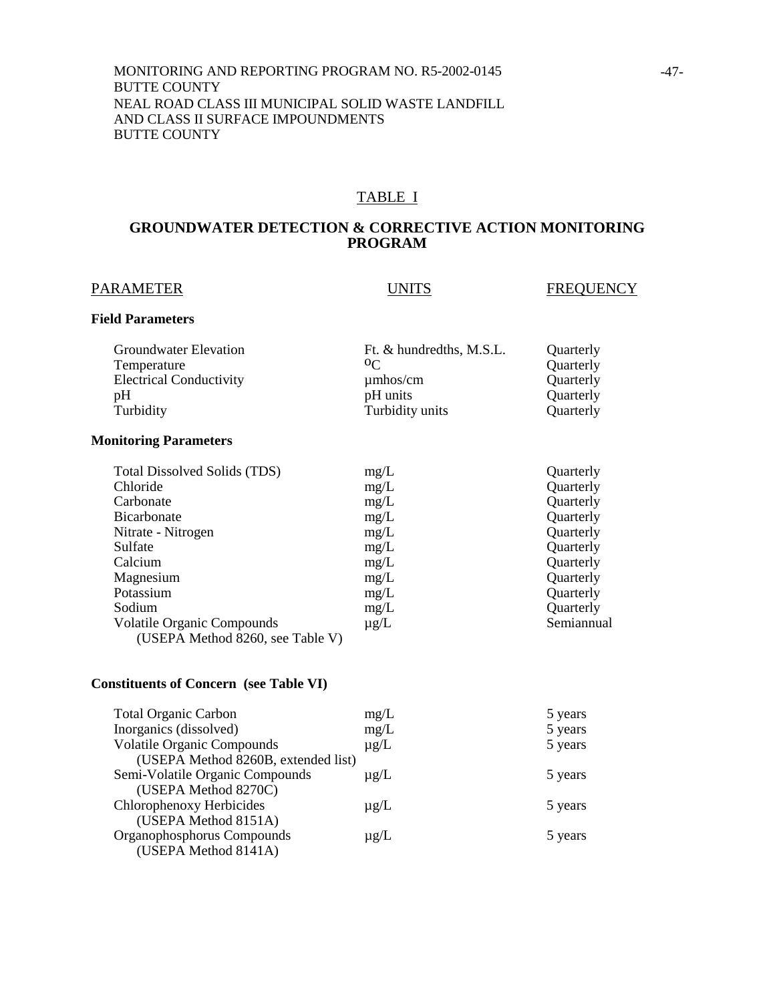## TABLE I

## **GROUNDWATER DETECTION & CORRECTIVE ACTION MONITORING PROGRAM**

#### PARAMETER UNITS FREQUENCY

#### **Field Parameters**

| Groundwater Elevation          | Ft. & hundredths, M.S.L. | Quarterly |
|--------------------------------|--------------------------|-----------|
| Temperature                    | 0 <sup>C</sup>           | Quarterly |
| <b>Electrical Conductivity</b> | $\mu$ mhos/cm            | Quarterly |
| pΗ                             | pH units                 | Quarterly |
| Turbidity                      | Turbidity units          | Quarterly |

# **Monitoring Parameters**

| <b>Total Dissolved Solids (TDS)</b> | mg/L      | Quarterly  |
|-------------------------------------|-----------|------------|
| Chloride                            | mg/L      | Quarterly  |
| Carbonate                           | mg/L      | Quarterly  |
| <b>Bicarbonate</b>                  | mg/L      | Quarterly  |
| Nitrate - Nitrogen                  | mg/L      | Quarterly  |
| Sulfate                             | mg/L      | Quarterly  |
| Calcium                             | mg/L      | Quarterly  |
| Magnesium                           | mg/L      | Quarterly  |
| Potassium                           | mg/L      | Quarterly  |
| Sodium                              | mg/L      | Quarterly  |
| <b>Volatile Organic Compounds</b>   | $\mu$ g/L | Semiannual |
| (USEPA Method 8260, see Table V)    |           |            |

#### **Constituents of Concern (see Table VI)**

| <b>Total Organic Carbon</b>         | mg/L      | 5 years |
|-------------------------------------|-----------|---------|
| Inorganics (dissolved)              | mg/L      | 5 years |
| <b>Volatile Organic Compounds</b>   | $\mu$ g/L | 5 years |
| (USEPA Method 8260B, extended list) |           |         |
| Semi-Volatile Organic Compounds     | $\mu$ g/L | 5 years |
| (USEPA Method 8270C)                |           |         |
| Chlorophenoxy Herbicides            | $\mu$ g/L | 5 years |
| (USEPA Method 8151A)                |           |         |
| Organophosphorus Compounds          | $\mu$ g/L | 5 years |
| (USEPA Method 8141A)                |           |         |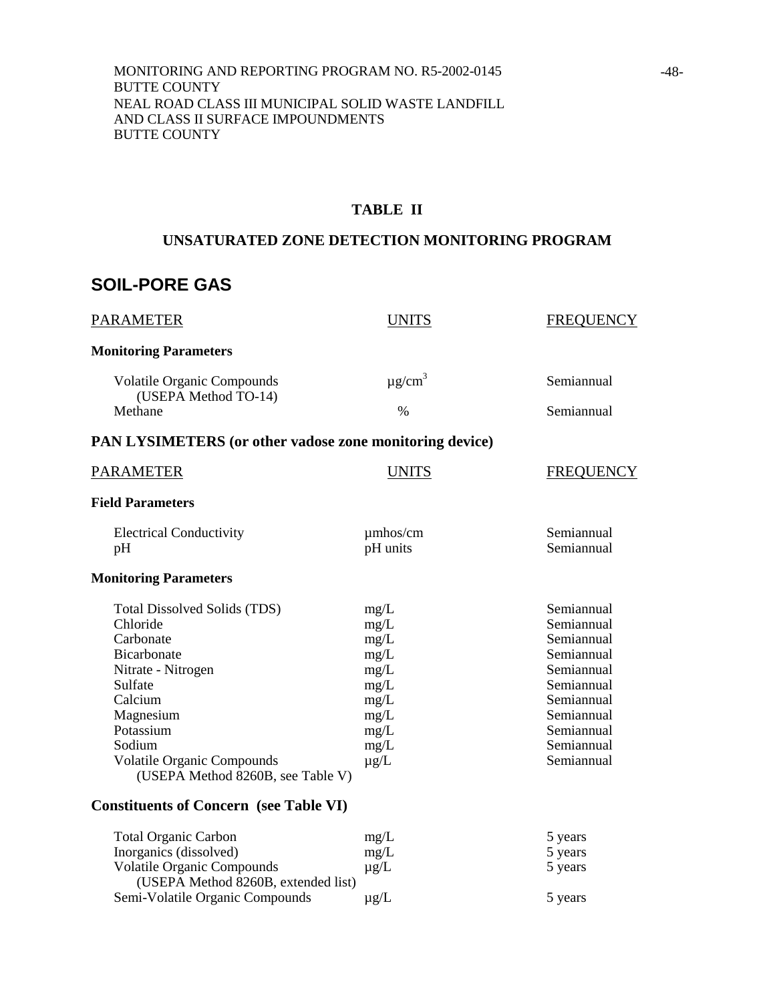# **TABLE II**

# **UNSATURATED ZONE DETECTION MONITORING PROGRAM**

# **SOIL-PORE GAS**

| <b>PARAMETER</b>                                                                                                                                                                                                                      | <b>UNITS</b>                                                                              | <b>FREQUENCY</b>                                                                                                                                       |
|---------------------------------------------------------------------------------------------------------------------------------------------------------------------------------------------------------------------------------------|-------------------------------------------------------------------------------------------|--------------------------------------------------------------------------------------------------------------------------------------------------------|
| <b>Monitoring Parameters</b>                                                                                                                                                                                                          |                                                                                           |                                                                                                                                                        |
| Volatile Organic Compounds                                                                                                                                                                                                            | $\mu$ g/cm <sup>3</sup>                                                                   | Semiannual                                                                                                                                             |
| (USEPA Method TO-14)<br>Methane                                                                                                                                                                                                       | $\%$                                                                                      | Semiannual                                                                                                                                             |
| <b>PAN LYSIMETERS</b> (or other vadose zone monitoring device)                                                                                                                                                                        |                                                                                           |                                                                                                                                                        |
| <b>PARAMETER</b>                                                                                                                                                                                                                      | <b>UNITS</b>                                                                              | <b>FREQUENCY</b>                                                                                                                                       |
| <b>Field Parameters</b>                                                                                                                                                                                                               |                                                                                           |                                                                                                                                                        |
| <b>Electrical Conductivity</b><br>pH                                                                                                                                                                                                  | $\mu$ mhos/cm<br>pH units                                                                 | Semiannual<br>Semiannual                                                                                                                               |
| <b>Monitoring Parameters</b>                                                                                                                                                                                                          |                                                                                           |                                                                                                                                                        |
| <b>Total Dissolved Solids (TDS)</b><br>Chloride<br>Carbonate<br>Bicarbonate<br>Nitrate - Nitrogen<br>Sulfate<br>Calcium<br>Magnesium<br>Potassium<br>Sodium<br><b>Volatile Organic Compounds</b><br>(USEPA Method 8260B, see Table V) | mg/L<br>mg/L<br>mg/L<br>mg/L<br>mg/L<br>mg/L<br>mg/L<br>mg/L<br>mg/L<br>mg/L<br>$\mu$ g/L | Semiannual<br>Semiannual<br>Semiannual<br>Semiannual<br>Semiannual<br>Semiannual<br>Semiannual<br>Semiannual<br>Semiannual<br>Semiannual<br>Semiannual |
| <b>Constituents of Concern</b> (see Table VI)                                                                                                                                                                                         |                                                                                           |                                                                                                                                                        |
| <b>Total Organic Carbon</b><br>Inorganics (dissolved)<br><b>Volatile Organic Compounds</b><br>(USEPA Method 8260B, extended list)<br>Semi-Volatile Organic Compounds                                                                  | mg/L<br>mg/L<br>$\mu$ g/L<br>$\mu g/L$                                                    | 5 years<br>5 years<br>5 years<br>5 years                                                                                                               |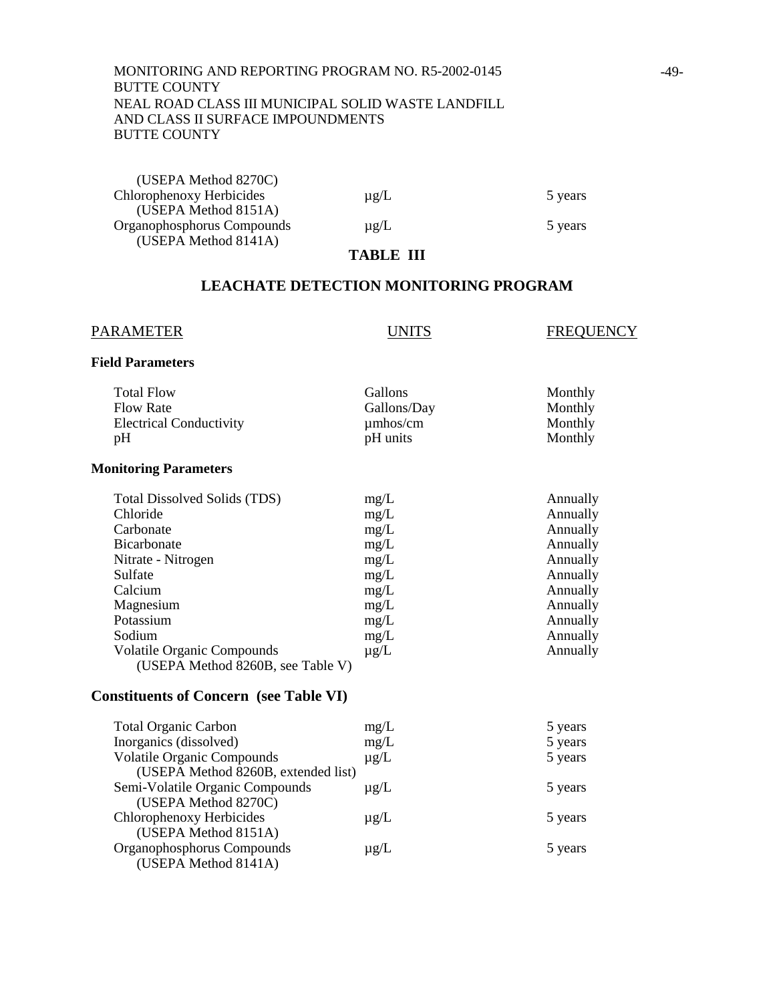| (USEPA Method 8270C)       |                 |         |
|----------------------------|-----------------|---------|
| Chlorophenoxy Herbicides   | $\mu$ g/L       | 5 years |
| (USEPA Method 8151A)       |                 |         |
| Organophosphorus Compounds | $\mu$ g/L       | 5 years |
| (USEPA Method 8141A)       |                 |         |
|                            | m 1 dit politik |         |

# **TABLE III**

## **LEACHATE DETECTION MONITORING PROGRAM**

# PARAMETER UNITS FREQUENCY **Field Parameters** Total Flow Gallons Gallons Monthly Flow Rate Gallons/Day Gallons Age Monthly Electrical Conductivity **1988** umhos/cm Monthly pH units Monthly **Monitoring Parameters** Total Dissolved Solids (TDS) mg/L Annually Chloride mg/L Annually Carbonate mg/L Annually Bicarbonate mg/L Annually Nitrate - Nitrogen mg/L mg/L Annually Sulfate mg/L Annually Calcium mg/L Annually Magnesium mg/L Annually<br>Potassium mg/L Annually<br>Annually Potassium mg/L Sodium mg/L Annually Volatile Organic Compounds  $\mu g/L$  Annually (USEPA Method 8260B, see Table V)

### **Constituents of Concern (see Table VI)**

| 5 years |
|---------|
|         |
| 5 years |
|         |
| 5 years |
|         |
| 5 years |
|         |
| 5 years |
|         |
|         |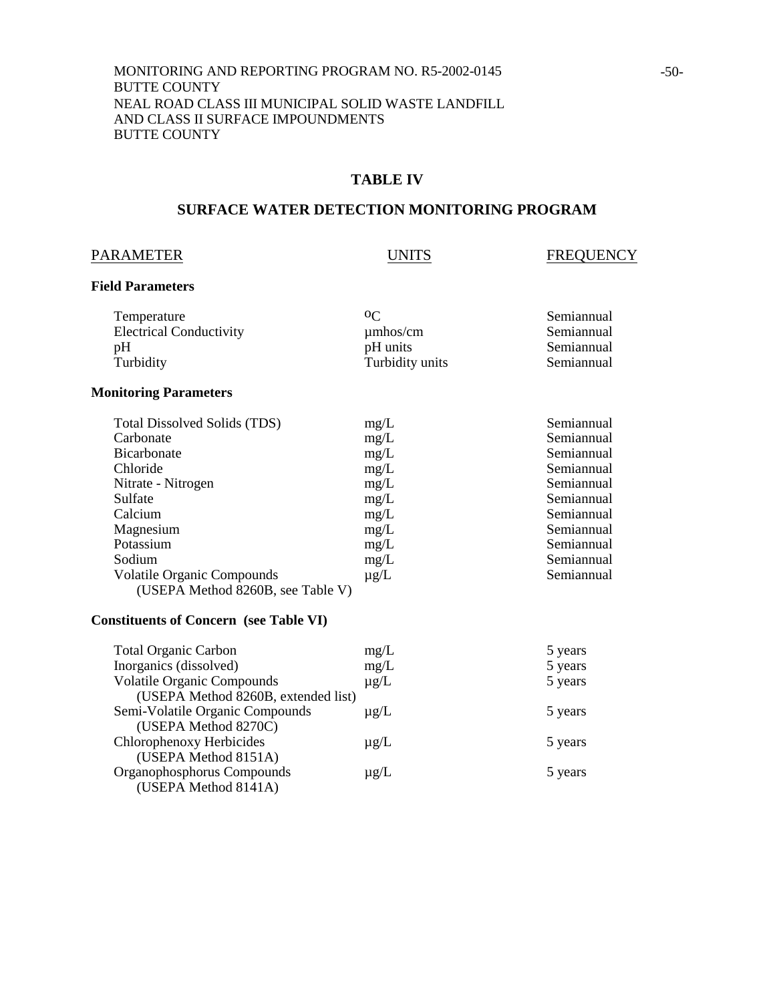## **TABLE IV**

## **SURFACE WATER DETECTION MONITORING PROGRAM**

#### PARAMETER UNITS FREQUENCY

### **Field Parameters**

| Temperature<br><b>Electrical Conductivity</b><br>pH<br>Turbidity | $^{0}C$<br>$\mu$ mhos/cm<br>pH units<br>Turbidity units | Semiannual<br>Semiannual<br>Semiannual<br>Semiannual |
|------------------------------------------------------------------|---------------------------------------------------------|------------------------------------------------------|
| <b>Monitoring Parameters</b>                                     |                                                         |                                                      |
| Total Dissolved Solids (TDS)                                     | mg/L                                                    | Semiannual                                           |
| Carbonate                                                        | mg/L                                                    | Semiannual                                           |
| <b>Bicarbonate</b>                                               | mg/L                                                    | Semiannual                                           |
| Chloride                                                         | mg/L                                                    | Semiannual                                           |
| Nitrate - Nitrogen                                               | mg/L                                                    | Semiannual                                           |
| Sulfate                                                          | mg/L                                                    | Semiannual                                           |
| Calcium                                                          | mg/L                                                    | Semiannual                                           |
| Magnesium                                                        | mg/L                                                    | Semiannual                                           |
| Potassium                                                        | mg/L                                                    | Semiannual                                           |
| Sodium                                                           | mg/L                                                    | Semiannual                                           |
| <b>Volatile Organic Compounds</b>                                | $\mu$ g/L                                               | Semiannual                                           |

#### **Constituents of Concern (see Table VI)**

(USEPA Method 8260B, see Table V)

| <b>Total Organic Carbon</b>         | mg/L      | 5 years |
|-------------------------------------|-----------|---------|
| Inorganics (dissolved)              | mg/L      | 5 years |
| <b>Volatile Organic Compounds</b>   | $\mu$ g/L | 5 years |
| (USEPA Method 8260B, extended list) |           |         |
| Semi-Volatile Organic Compounds     | $\mu$ g/L | 5 years |
| (USEPA Method 8270C)                |           |         |
| Chlorophenoxy Herbicides            | $\mu$ g/L | 5 years |
| (USEPA Method 8151A)                |           |         |
| Organophosphorus Compounds          | $\mu$ g/L | 5 years |
| (USEPA Method 8141A)                |           |         |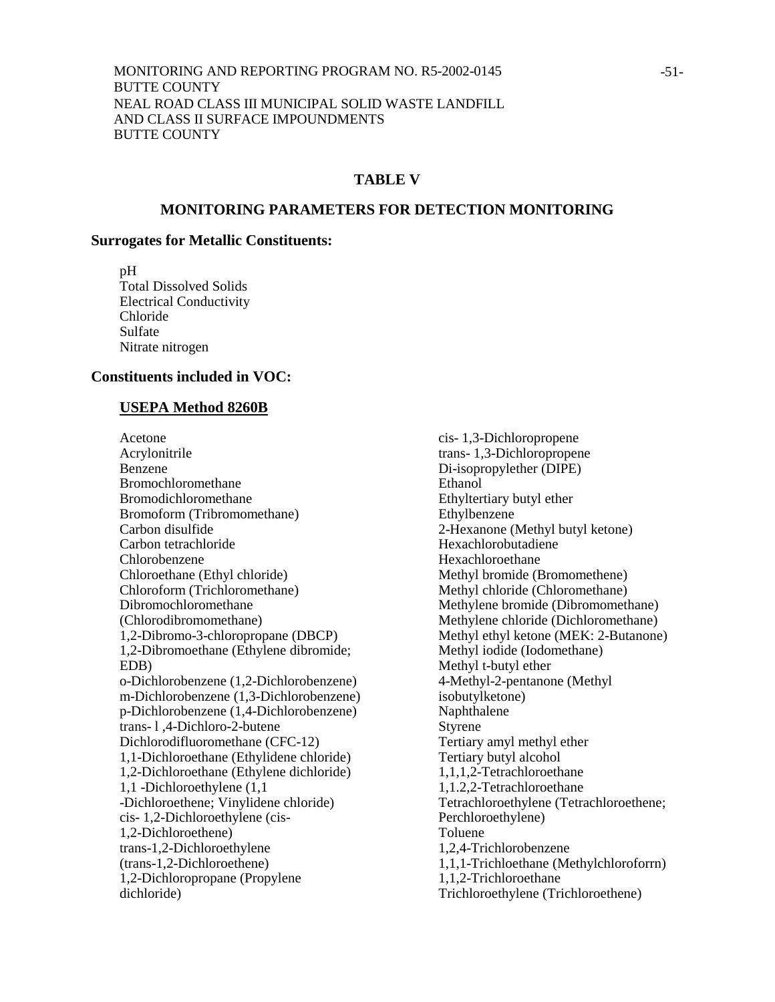#### **TABLE V**

#### **MONITORING PARAMETERS FOR DETECTION MONITORING**

#### **Surrogates for Metallic Constituents:**

 pH Total Dissolved Solids Electrical Conductivity Chloride Sulfate Nitrate nitrogen

#### **Constituents included in VOC:**

#### **USEPA Method 8260B**

 Acetone Acrylonitrile Benzene Bromochloromethane Bromodichloromethane Bromoform (Tribromomethane) Carbon disulfide Carbon tetrachloride Chlorobenzene Chloroethane (Ethyl chloride) Chloroform (Trichloromethane) Dibromochloromethane (Chlorodibromomethane) 1,2-Dibromo-3-chloropropane (DBCP) 1,2-Dibromoethane (Ethylene dibromide; EDB) o-Dichlorobenzene (1,2-Dichlorobenzene) m-Dichlorobenzene (1,3-Dichlorobenzene) p-Dichlorobenzene (1,4-Dichlorobenzene) trans- l ,4-Dichloro-2-butene Dichlorodifluoromethane (CFC-12) 1,1-Dichloroethane (Ethylidene chloride) 1,2-Dichloroethane (Ethylene dichloride) 1,1 -Dichloroethylene (1,1 -Dichloroethene; Vinylidene chloride) cis- 1,2-Dichloroethylene (cis-1,2-Dichloroethene) trans-1,2-Dichloroethylene (trans-1,2-Dichloroethene) 1,2-Dichloropropane (Propylene dichloride)

 cis- 1,3-Dichloropropene trans- 1,3-Dichloropropene Di-isopropylether (DIPE) Ethanol Ethyltertiary butyl ether Ethylbenzene 2-Hexanone (Methyl butyl ketone) Hexachlorobutadiene Hexachloroethane Methyl bromide (Bromomethene) Methyl chloride (Chloromethane) Methylene bromide (Dibromomethane) Methylene chloride (Dichloromethane) Methyl ethyl ketone (MEK: 2-Butanone) Methyl iodide (Iodomethane) Methyl t-butyl ether 4-Methyl-2-pentanone (Methyl isobutylketone) Naphthalene Styrene Tertiary amyl methyl ether Tertiary butyl alcohol 1,1,1,2-Tetrachloroethane 1,1.2,2-Tetrachloroethane Tetrachloroethylene (Tetrachloroethene; Perchloroethylene) Toluene 1,2,4-Trichlorobenzene 1,1,1-Trichloethane (Methylchloroforrn) 1,1,2-Trichloroethane Trichloroethylene (Trichloroethene)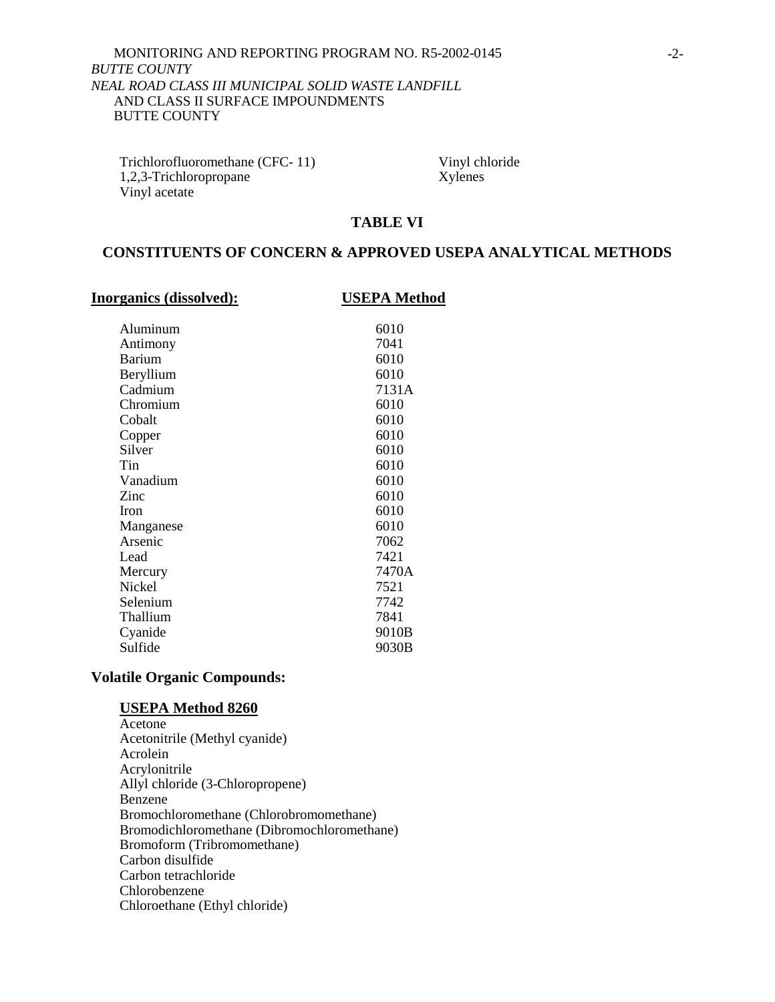Trichlorofluoromethane (CFC- 11) 1,2,3-Trichloropropane Vinyl acetate

 Vinyl chloride Xylenes

#### **TABLE VI**

## **CONSTITUENTS OF CONCERN & APPROVED USEPA ANALYTICAL METHODS**

| <u> Inorganics (dissolved):</u> | <b>USEPA Method</b> |
|---------------------------------|---------------------|
|                                 |                     |
| Aluminum                        | 6010                |
| Antimony                        | 7041                |
| <b>Barium</b>                   | 6010                |
| Beryllium                       | 6010                |
| Cadmium                         | 7131A               |
| Chromium                        | 6010                |
| Cobalt                          | 6010                |
| Copper                          | 6010                |
| Silver                          | 6010                |
| Tin                             | 6010                |
| Vanadium                        | 6010                |
| Zinc                            | 6010                |
| <b>Iron</b>                     | 6010                |
| Manganese                       | 6010                |
| Arsenic                         | 7062                |
| Lead                            | 7421                |
| Mercury                         | 7470A               |
| <b>Nickel</b>                   | 7521                |
| Selenium                        | 7742                |
| Thallium                        | 7841                |
| Cyanide                         | 9010B               |
| Sulfide                         | 9030B               |
|                                 |                     |

### **Volatile Organic Compounds:**

#### **USEPA Method 8260**

 Acetone Acetonitrile (Methyl cyanide) Acrolein Acrylonitrile Allyl chloride (3-Chloropropene) Benzene Bromochloromethane (Chlorobromomethane) Bromodichloromethane (Dibromochloromethane) Bromoform (Tribromomethane) Carbon disulfide Carbon tetrachloride Chlorobenzene Chloroethane (Ethyl chloride)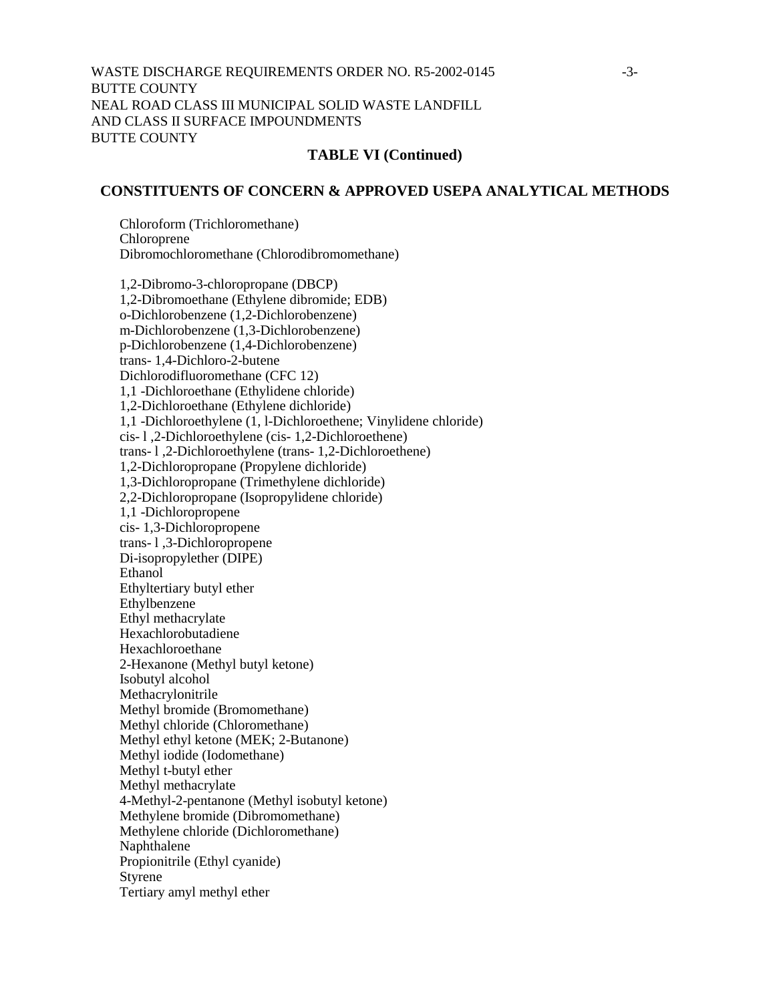#### **TABLE VI (Continued)**

#### **CONSTITUENTS OF CONCERN & APPROVED USEPA ANALYTICAL METHODS**

 Chloroform (Trichloromethane) Chloroprene Dibromochloromethane (Chlorodibromomethane)

 1,2-Dibromo-3-chloropropane (DBCP) 1,2-Dibromoethane (Ethylene dibromide; EDB) o-Dichlorobenzene (1,2-Dichlorobenzene) m-Dichlorobenzene (1,3-Dichlorobenzene) p-Dichlorobenzene (1,4-Dichlorobenzene) trans- 1,4-Dichloro-2-butene Dichlorodifluoromethane (CFC 12) 1,1 -Dichloroethane (Ethylidene chloride) 1,2-Dichloroethane (Ethylene dichloride) 1,1 -Dichloroethylene (1, l-Dichloroethene; Vinylidene chloride) cis- l ,2-Dichloroethylene (cis- 1,2-Dichloroethene) trans- l ,2-Dichloroethylene (trans- 1,2-Dichloroethene) 1,2-Dichloropropane (Propylene dichloride) 1,3-Dichloropropane (Trimethylene dichloride) 2,2-Dichloropropane (Isopropylidene chloride) 1,1 -Dichloropropene cis- 1,3-Dichloropropene trans- l ,3-Dichloropropene Di-isopropylether (DIPE) Ethanol Ethyltertiary butyl ether Ethylbenzene Ethyl methacrylate Hexachlorobutadiene Hexachloroethane 2-Hexanone (Methyl butyl ketone) Isobutyl alcohol Methacrylonitrile Methyl bromide (Bromomethane) Methyl chloride (Chloromethane) Methyl ethyl ketone (MEK; 2-Butanone) Methyl iodide (Iodomethane) Methyl t-butyl ether Methyl methacrylate 4-Methyl-2-pentanone (Methyl isobutyl ketone) Methylene bromide (Dibromomethane) Methylene chloride (Dichloromethane) Naphthalene Propionitrile (Ethyl cyanide) Styrene Tertiary amyl methyl ether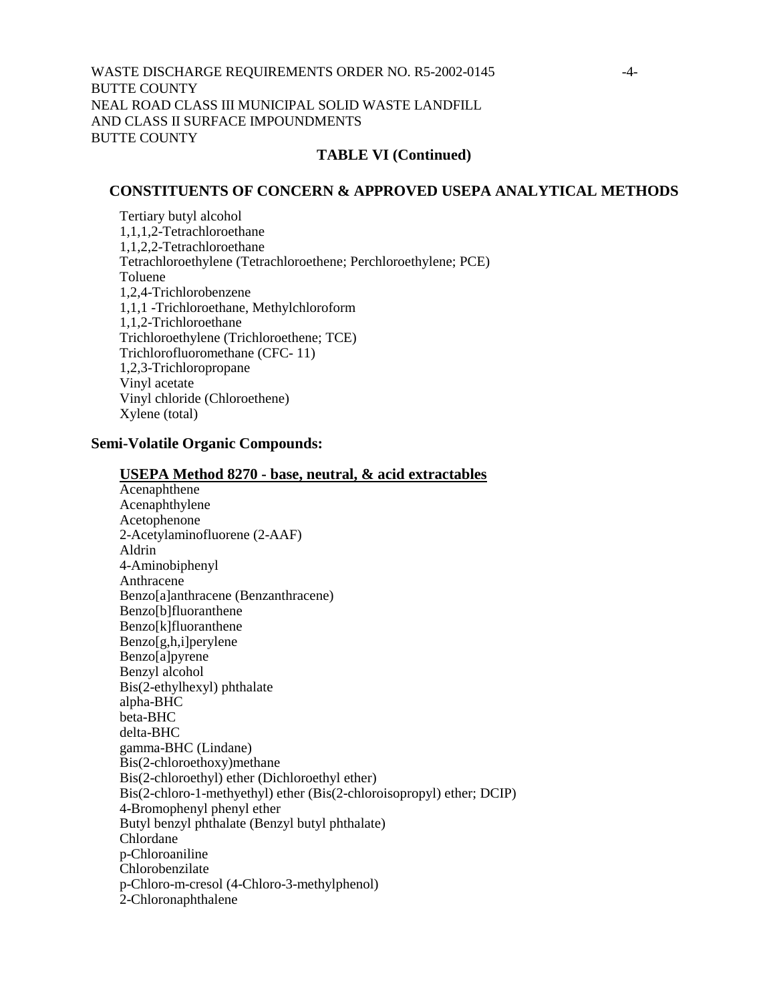WASTE DISCHARGE REQUIREMENTS ORDER NO. R5-2002-0145  $-4$ -BUTTE COUNTY NEAL ROAD CLASS III MUNICIPAL SOLID WASTE LANDFILL AND CLASS II SURFACE IMPOUNDMENTS BUTTE COUNTY

#### **TABLE VI (Continued)**

#### **CONSTITUENTS OF CONCERN & APPROVED USEPA ANALYTICAL METHODS**

 Tertiary butyl alcohol 1,1,1,2-Tetrachloroethane 1,1,2,2-Tetrachloroethane Tetrachloroethylene (Tetrachloroethene; Perchloroethylene; PCE) Toluene 1,2,4-Trichlorobenzene 1,1,1 -Trichloroethane, Methylchloroform 1,1,2-Trichloroethane Trichloroethylene (Trichloroethene; TCE) Trichlorofluoromethane (CFC- 11) 1,2,3-Trichloropropane Vinyl acetate Vinyl chloride (Chloroethene) Xylene (total)

#### **Semi-Volatile Organic Compounds:**

#### **USEPA Method 8270 - base, neutral, & acid extractables**

 Acenaphthene Acenaphthylene Acetophenone 2-Acetylaminofluorene (2-AAF) Aldrin 4-Aminobiphenyl Anthracene Benzo[a]anthracene (Benzanthracene) Benzo[b]fluoranthene Benzo[k]fluoranthene Benzo[g,h,i]perylene Benzo[a]pyrene Benzyl alcohol Bis(2-ethylhexyl) phthalate alpha-BHC beta-BHC delta-BHC gamma-BHC (Lindane) Bis(2-chloroethoxy)methane Bis(2-chloroethyl) ether (Dichloroethyl ether) Bis(2-chloro-1-methyethyl) ether (Bis(2-chloroisopropyl) ether; DCIP) 4-Bromophenyl phenyl ether Butyl benzyl phthalate (Benzyl butyl phthalate) Chlordane p-Chloroaniline Chlorobenzilate p-Chloro-m-cresol (4-Chloro-3-methylphenol) 2-Chloronaphthalene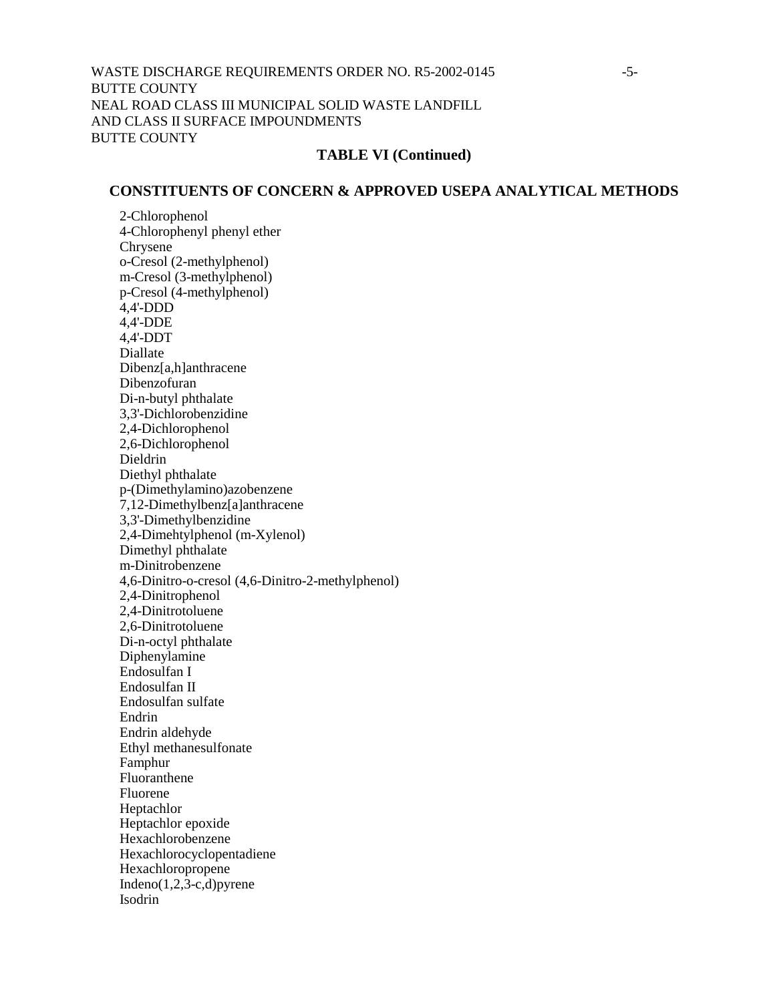#### **TABLE VI (Continued)**

#### **CONSTITUENTS OF CONCERN & APPROVED USEPA ANALYTICAL METHODS**

 2-Chlorophenol 4-Chlorophenyl phenyl ether Chrysene o-Cresol (2-methylphenol) m-Cresol (3-methylphenol) p-Cresol (4-methylphenol) 4,4'-DDD 4,4'-DDE 4,4'-DDT Diallate Dibenz[a,h]anthracene Dibenzofuran Di-n-butyl phthalate 3,3'-Dichlorobenzidine 2,4-Dichlorophenol 2,6-Dichlorophenol Dieldrin Diethyl phthalate p-(Dimethylamino)azobenzene 7,12-Dimethylbenz[a]anthracene 3,3'-Dimethylbenzidine 2,4-Dimehtylphenol (m-Xylenol) Dimethyl phthalate m-Dinitrobenzene 4,6-Dinitro-o-cresol (4,6-Dinitro-2-methylphenol) 2,4-Dinitrophenol 2,4-Dinitrotoluene 2,6-Dinitrotoluene Di-n-octyl phthalate Diphenylamine Endosulfan I Endosulfan II Endosulfan sulfate Endrin Endrin aldehyde Ethyl methanesulfonate Famphur Fluoranthene Fluorene Heptachlor Heptachlor epoxide Hexachlorobenzene Hexachlorocyclopentadiene Hexachloropropene Indeno $(1,2,3-c,d)$  pyrene Isodrin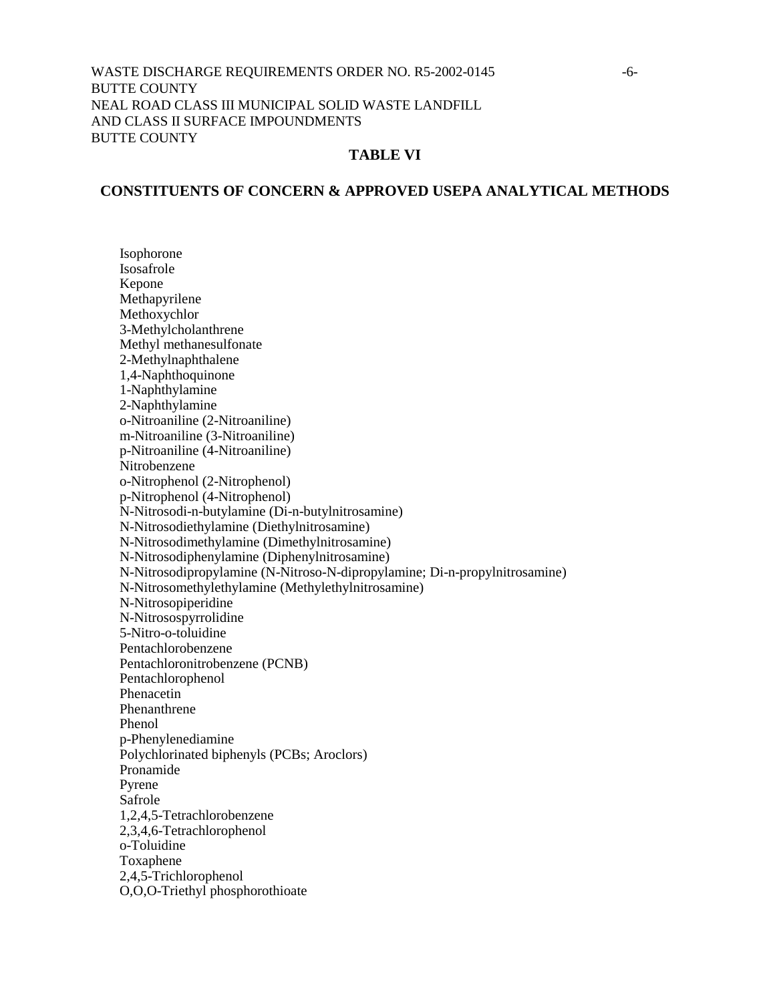## WASTE DISCHARGE REQUIREMENTS ORDER NO. R5-2002-0145 -6- BUTTE COUNTY NEAL ROAD CLASS III MUNICIPAL SOLID WASTE LANDFILL AND CLASS II SURFACE IMPOUNDMENTS BUTTE COUNTY

## **TABLE VI**

#### **CONSTITUENTS OF CONCERN & APPROVED USEPA ANALYTICAL METHODS**

 Isophorone Isosafrole Kepone Methapyrilene Methoxychlor 3-Methylcholanthrene Methyl methanesulfonate 2-Methylnaphthalene 1,4-Naphthoquinone 1-Naphthylamine 2-Naphthylamine o-Nitroaniline (2-Nitroaniline) m-Nitroaniline (3-Nitroaniline) p-Nitroaniline (4-Nitroaniline) Nitrobenzene o-Nitrophenol (2-Nitrophenol) p-Nitrophenol (4-Nitrophenol) N-Nitrosodi-n-butylamine (Di-n-butylnitrosamine) N-Nitrosodiethylamine (Diethylnitrosamine) N-Nitrosodimethylamine (Dimethylnitrosamine) N-Nitrosodiphenylamine (Diphenylnitrosamine) N-Nitrosodipropylamine (N-Nitroso-N-dipropylamine; Di-n-propylnitrosamine) N-Nitrosomethylethylamine (Methylethylnitrosamine) N-Nitrosopiperidine N-Nitrosospyrrolidine 5-Nitro-o-toluidine Pentachlorobenzene Pentachloronitrobenzene (PCNB) Pentachlorophenol Phenacetin Phenanthrene Phenol p-Phenylenediamine Polychlorinated biphenyls (PCBs; Aroclors) Pronamide Pyrene Safrole 1,2,4,5-Tetrachlorobenzene 2,3,4,6-Tetrachlorophenol o-Toluidine Toxaphene 2,4,5-Trichlorophenol O,O,O-Triethyl phosphorothioate